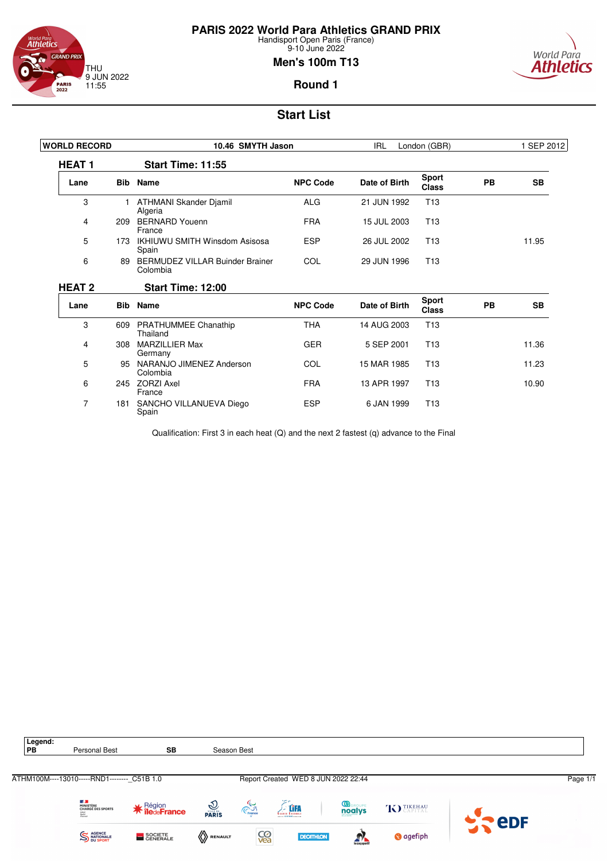

# **PARIS 2022 World Para Athletics GRAND PRIX**

Handisport Open Paris (France) 9-10 June 2022

### **Men's 100m T13**



#### **Round 1**

# **Start List**

| <b>WORLD RECORD</b> |     | 10.46 SMYTH Jason                                  | <b>IRL</b>      | London (GBR)  |                              | 1 SEP 2012 |           |
|---------------------|-----|----------------------------------------------------|-----------------|---------------|------------------------------|------------|-----------|
| <b>HEAT1</b>        |     | <b>Start Time: 11:55</b>                           |                 |               |                              |            |           |
| Lane                |     | <b>Bib</b> Name                                    | <b>NPC Code</b> | Date of Birth | <b>Sport</b><br><b>Class</b> | <b>PB</b>  | <b>SB</b> |
| 3                   |     | ATHMANI Skander Djamil<br>Algeria                  | <b>ALG</b>      | 21 JUN 1992   | T <sub>13</sub>              |            |           |
| 4                   | 209 | <b>BERNARD Youenn</b><br>France                    | <b>FRA</b>      | 15 JUL 2003   | T <sub>13</sub>              |            |           |
| 5                   | 173 | <b>IKHIUWU SMITH Winsdom Asisosa</b><br>Spain      | <b>ESP</b>      | 26 JUL 2002   | T <sub>13</sub>              |            | 11.95     |
| 6                   | 89  | <b>BERMUDEZ VILLAR Buinder Brainer</b><br>Colombia | COL             | 29 JUN 1996   | T <sub>13</sub>              |            |           |
| <b>HEAT 2</b>       |     | <b>Start Time: 12:00</b>                           |                 |               |                              |            |           |
| Lane                |     | <b>Bib</b> Name                                    | <b>NPC Code</b> | Date of Birth | <b>Sport</b><br><b>Class</b> | PB         | <b>SB</b> |
| 3                   | 609 | <b>PRATHUMMEE Chanathip</b><br>Thailand            | <b>THA</b>      | 14 AUG 2003   | T <sub>13</sub>              |            |           |
| 4                   | 308 | <b>MARZILLIER Max</b><br>Germany                   | <b>GER</b>      | 5 SEP 2001    | T <sub>13</sub>              |            | 11.36     |
| 5                   | 95  | NARANJO JIMENEZ Anderson<br>Colombia               | COL             | 15 MAR 1985   | T <sub>13</sub>              |            | 11.23     |
| 6                   | 245 | <b>ZORZI Axel</b><br>France                        | <b>FRA</b>      | 13 APR 1997   | T <sub>13</sub>              |            | 10.90     |
| $\overline{7}$      | 181 | SANCHO VILLANUEVA Diego<br>Spain                   | <b>ESP</b>      | 6 JAN 1999    | T <sub>13</sub>              |            |           |

Qualification: First 3 in each heat (Q) and the next 2 fastest (q) advance to the Final

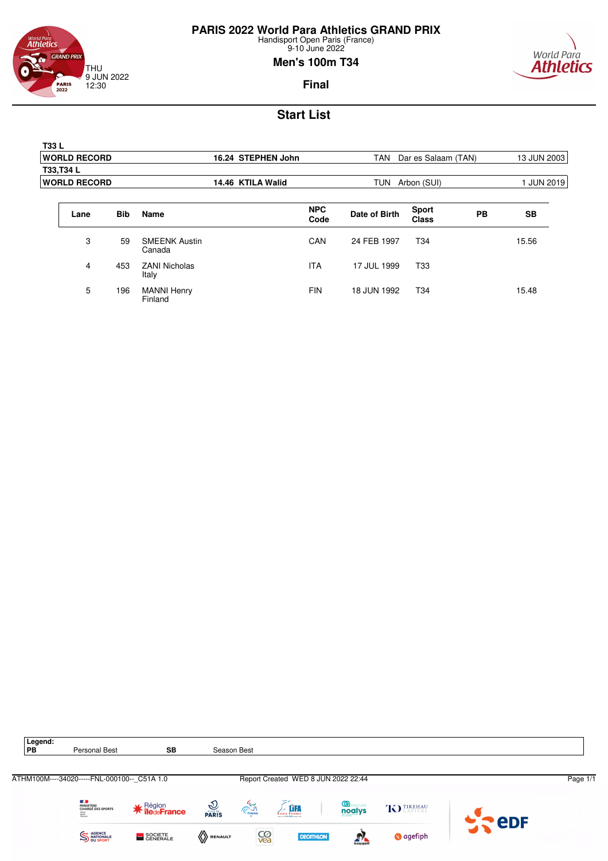

world Para<br>**Athletics GRAND PRIX** THU 9 JUN 2022 12:30 **PARIS**<br>2022

Finland

9-10 June 2022 **Men's 100m T34**



**Final**

| <b>T33L</b> |                     |            |                                |                    |                    |               |                              |           |                 |  |
|-------------|---------------------|------------|--------------------------------|--------------------|--------------------|---------------|------------------------------|-----------|-----------------|--|
|             | <b>WORLD RECORD</b> |            |                                | 16.24 STEPHEN John |                    | <b>TAN</b>    | Dar es Salaam (TAN)          |           | 13 JUN 2003     |  |
|             | T33, T34 L          |            |                                |                    |                    |               |                              |           |                 |  |
|             | <b>WORLD RECORD</b> |            |                                | 14.46 KTILA Walid  |                    | <b>TUN</b>    | Arbon (SUI)                  |           | <b>JUN 2019</b> |  |
|             | Lane                | <b>Bib</b> | <b>Name</b>                    |                    | <b>NPC</b><br>Code | Date of Birth | <b>Sport</b><br><b>Class</b> | <b>PB</b> | <b>SB</b>       |  |
|             | 3                   | 59         | <b>SMEENK Austin</b><br>Canada |                    | CAN                | 24 FEB 1997   | T34                          |           | 15.56           |  |
|             | 4                   | 453        | <b>ZANI Nicholas</b><br>Italy  |                    | <b>ITA</b>         | 17 JUL 1999   | T <sub>33</sub>              |           |                 |  |
|             | 5                   | 196        | <b>MANNI Henry</b>             |                    | <b>FIN</b>         | 18 JUN 1992   | T <sub>34</sub>              |           | 15.48           |  |

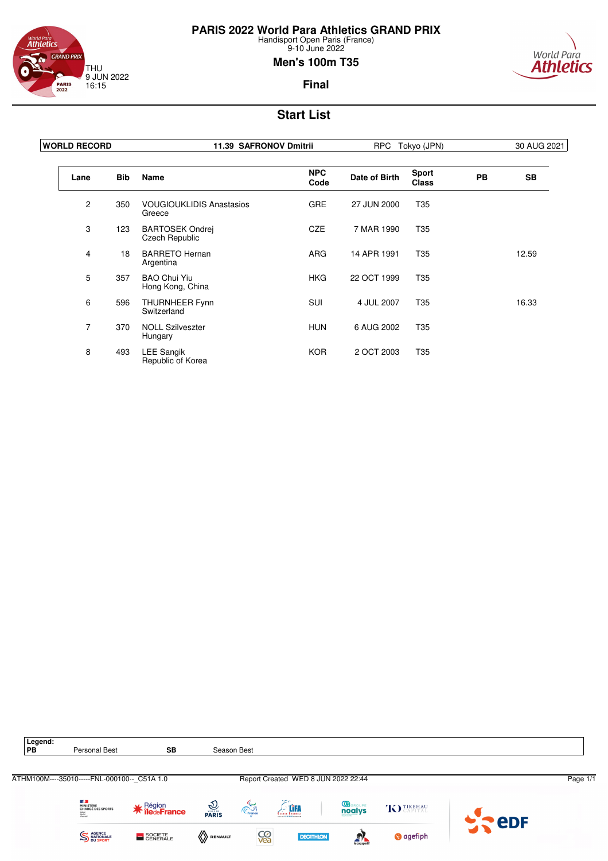



### **Men's 100m T35**



**Final**

| <b>WORLD RECORD</b> |            | 11.39 SAFRONOV Dmitrii                    |                    | <b>RPC</b><br>Tokyo (JPN) |                              |           | 30 AUG 2021 |
|---------------------|------------|-------------------------------------------|--------------------|---------------------------|------------------------------|-----------|-------------|
| Lane                | <b>Bib</b> | <b>Name</b>                               | <b>NPC</b><br>Code | Date of Birth             | <b>Sport</b><br><b>Class</b> | <b>PB</b> | <b>SB</b>   |
| $\mathbf{2}$        | 350        | <b>VOUGIOUKLIDIS Anastasios</b><br>Greece | <b>GRE</b>         | 27 JUN 2000               | T <sub>35</sub>              |           |             |
| 3                   | 123        | <b>BARTOSEK Ondrej</b><br>Czech Republic  | <b>CZE</b>         | 7 MAR 1990                | T <sub>35</sub>              |           |             |
| 4                   | 18         | <b>BARRETO Hernan</b><br>Argentina        | <b>ARG</b>         | 14 APR 1991               | T35                          |           | 12.59       |
| 5                   | 357        | <b>BAO Chui Yiu</b><br>Hong Kong, China   | <b>HKG</b>         | 22 OCT 1999               | T35                          |           |             |
| 6                   | 596        | <b>THURNHEER Fynn</b><br>Switzerland      | <b>SUI</b>         | 4 JUL 2007                | T35                          |           | 16.33       |
| $\overline{7}$      | 370        | <b>NOLL Szilveszter</b><br>Hungary        | <b>HUN</b>         | 6 AUG 2002                | T35                          |           |             |
| 8                   | 493        | <b>LEE Sangik</b><br>Republic of Korea    | <b>KOR</b>         | 2 OCT 2003                | T <sub>35</sub>              |           |             |

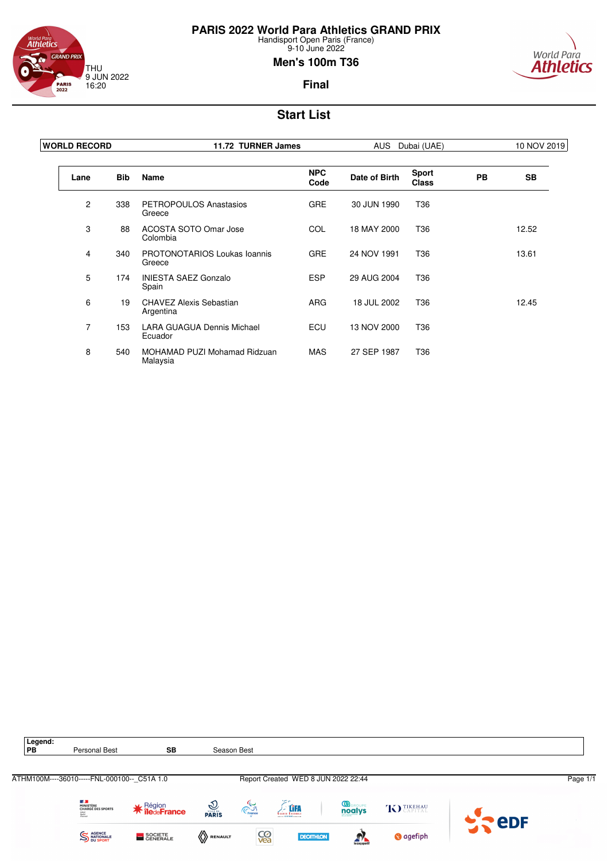



### **Men's 100m T36**



**Final**

| <b>WORLD RECORD</b> |     | 11.72 TURNER James                            |                    | <b>AUS</b>    | Dubai (UAE)                  |           | 10 NOV 2019 |
|---------------------|-----|-----------------------------------------------|--------------------|---------------|------------------------------|-----------|-------------|
| Lane                | Bib | Name                                          | <b>NPC</b><br>Code | Date of Birth | <b>Sport</b><br><b>Class</b> | <b>PB</b> | <b>SB</b>   |
| 2                   | 338 | PETROPOULOS Anastasios<br>Greece              | <b>GRE</b>         | 30 JUN 1990   | T36                          |           |             |
| 3                   | 88  | ACOSTA SOTO Omar Jose<br>Colombia             | <b>COL</b>         | 18 MAY 2000   | T36                          |           | 12.52       |
| 4                   | 340 | <b>PROTONOTARIOS Loukas Ioannis</b><br>Greece | <b>GRE</b>         | 24 NOV 1991   | T36                          |           | 13.61       |
| 5                   | 174 | <b>INIESTA SAEZ Gonzalo</b><br>Spain          | <b>ESP</b>         | 29 AUG 2004   | T36                          |           |             |
| 6                   | 19  | CHAVEZ Alexis Sebastian<br>Argentina          | <b>ARG</b>         | 18 JUL 2002   | T36                          |           | 12.45       |
| 7                   | 153 | <b>LARA GUAGUA Dennis Michael</b><br>Ecuador  | ECU                | 13 NOV 2000   | T36                          |           |             |
| 8                   | 540 | MOHAMAD PUZI Mohamad Ridzuan<br>Malaysia      | <b>MAS</b>         | 27 SEP 1987   | T36                          |           |             |

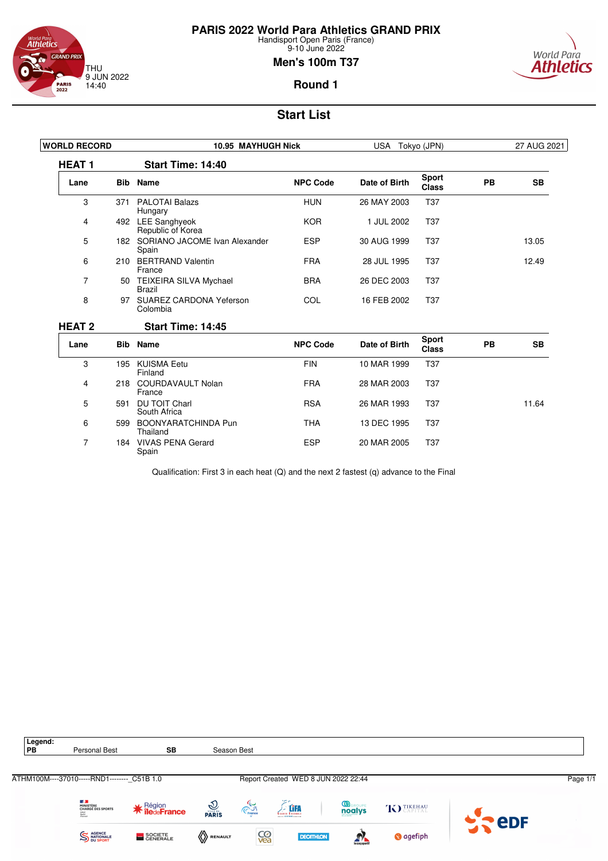

**PARIS 2022 World Para Athletics GRAND PRIX**

Handisport Open Paris (France) 9-10 June 2022

### **Men's 100m T37**



**Round 1**

# **Start List**

| <b>WORLD RECORD</b> |            | 10.95 MAYHUGH Nick                         | USA Tokyo (JPN) |               | 27 AUG 2021                  |           |           |
|---------------------|------------|--------------------------------------------|-----------------|---------------|------------------------------|-----------|-----------|
| <b>HEAT1</b>        |            | <b>Start Time: 14:40</b>                   |                 |               |                              |           |           |
| Lane                | <b>Bib</b> | <b>Name</b>                                | <b>NPC Code</b> | Date of Birth | <b>Sport</b><br><b>Class</b> | <b>PB</b> | <b>SB</b> |
| 3                   | 371        | <b>PALOTAI Balazs</b><br>Hungary           | <b>HUN</b>      | 26 MAY 2003   | <b>T37</b>                   |           |           |
| 4                   |            | 492 LEE Sanghyeok<br>Republic of Korea     | <b>KOR</b>      | 1 JUL 2002    | T <sub>37</sub>              |           |           |
| 5                   |            | 182 SORIANO JACOME Ivan Alexander<br>Spain | <b>ESP</b>      | 30 AUG 1999   | T <sub>37</sub>              |           | 13.05     |
| 6                   | 210        | <b>BERTRAND Valentin</b><br>France         | <b>FRA</b>      | 28 JUL 1995   | T <sub>37</sub>              |           | 12.49     |
| 7                   | 50         | TEIXEIRA SILVA Mychael<br><b>Brazil</b>    | <b>BRA</b>      | 26 DEC 2003   | T <sub>37</sub>              |           |           |
| 8                   | 97         | <b>SUAREZ CARDONA Yeferson</b><br>Colombia | COL             | 16 FEB 2002   | T <sub>37</sub>              |           |           |
| <b>HEAT 2</b>       |            | Start Time: 14:45                          |                 |               |                              |           |           |
| Lane                | <b>Bib</b> | <b>Name</b>                                | <b>NPC Code</b> | Date of Birth | <b>Sport</b><br><b>Class</b> | <b>PB</b> | <b>SB</b> |
| 3                   |            | 195 KUISMA Eetu<br>Finland                 | <b>FIN</b>      | 10 MAR 1999   | <b>T37</b>                   |           |           |
| 4                   | 218        | <b>COURDAVAULT Nolan</b><br>France         | <b>FRA</b>      | 28 MAR 2003   | <b>T37</b>                   |           |           |
| 5                   | 591        | <b>DU TOIT Charl</b><br>South Africa       | <b>RSA</b>      | 26 MAR 1993   | T <sub>37</sub>              |           | 11.64     |
| 6                   | 599        | BOONYARATCHINDA Pun<br>Thailand            | <b>THA</b>      | 13 DEC 1995   | T <sub>37</sub>              |           |           |
| 7                   | 184        | <b>VIVAS PENA Gerard</b><br>Spain          | <b>ESP</b>      | 20 MAR 2005   | T <sub>37</sub>              |           |           |

Qualification: First 3 in each heat (Q) and the next 2 fastest (q) advance to the Final

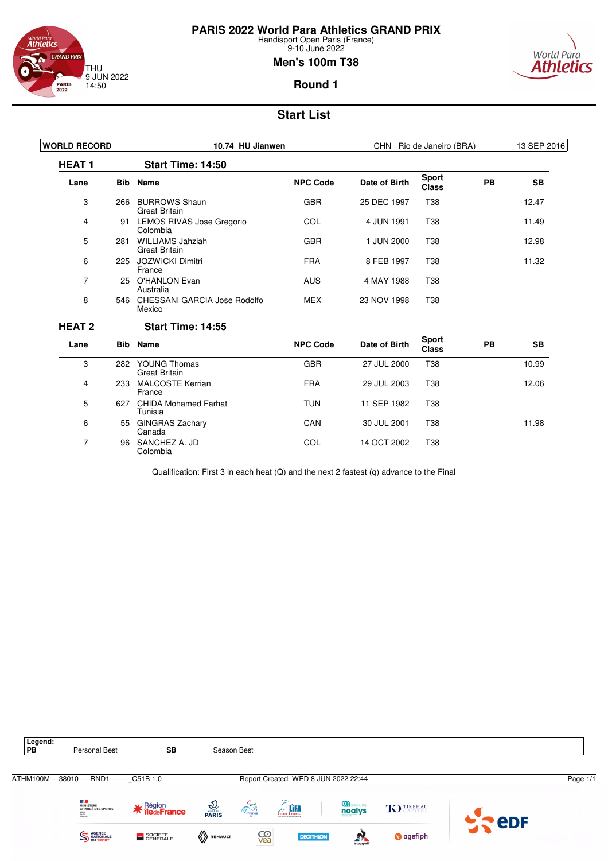

**PARIS 2022 World Para Athletics GRAND PRIX**

Handisport Open Paris (France) 9-10 June 2022

### **Men's 100m T38**



### **Round 1**

# **Start List**

| <b>WORLD RECORD</b> |            | 10.74 HU Jianwen                                |                 | CHN Rio de Janeiro (BRA) |                              |    | 13 SEP 2016 |
|---------------------|------------|-------------------------------------------------|-----------------|--------------------------|------------------------------|----|-------------|
| <b>HEAT1</b>        |            | Start Time: 14:50                               |                 |                          |                              |    |             |
| Lane                |            | <b>Bib</b> Name                                 | <b>NPC Code</b> | Date of Birth            | <b>Sport</b><br><b>Class</b> | PB | <b>SB</b>   |
| 3                   | 266        | <b>BURROWS Shaun</b><br><b>Great Britain</b>    | <b>GBR</b>      | 25 DEC 1997              | T38                          |    | 12.47       |
| 4                   | 91         | LEMOS RIVAS Jose Gregorio<br>Colombia           | COL             | 4 JUN 1991               | <b>T38</b>                   |    | 11.49       |
| 5                   | 281        | <b>WILLIAMS Jahziah</b><br><b>Great Britain</b> | <b>GBR</b>      | 1 JUN 2000               | <b>T38</b>                   |    | 12.98       |
| 6                   | 225        | JOZWICKI Dimitri<br>France                      | <b>FRA</b>      | 8 FEB 1997               | <b>T38</b>                   |    | 11.32       |
| $\overline{7}$      | 25.        | <b>O'HANLON Evan</b><br>Australia               | <b>AUS</b>      | 4 MAY 1988               | <b>T38</b>                   |    |             |
| 8                   |            | 546 CHESSANI GARCIA Jose Rodolfo<br>Mexico      | <b>MEX</b>      | 23 NOV 1998              | <b>T38</b>                   |    |             |
| <b>HEAT 2</b>       |            | <b>Start Time: 14:55</b>                        |                 |                          |                              |    |             |
| Lane                | <b>Bib</b> | Name                                            | <b>NPC Code</b> | Date of Birth            | <b>Sport</b><br><b>Class</b> | PB | <b>SB</b>   |
| 3                   |            | 282 YOUNG Thomas<br><b>Great Britain</b>        | <b>GBR</b>      | 27 JUL 2000              | <b>T38</b>                   |    | 10.99       |
| 4                   | 233        | <b>MALCOSTE Kerrian</b><br>France               | <b>FRA</b>      | 29 JUL 2003              | T38                          |    | 12.06       |
| 5                   | 627        | <b>CHIDA Mohamed Farhat</b><br>Tunisia          | <b>TUN</b>      | 11 SEP 1982              | <b>T38</b>                   |    |             |
| 6                   |            | 55 GINGRAS Zachary<br>Canada                    | CAN             | 30 JUL 2001              | <b>T38</b>                   |    | 11.98       |
| 7                   | 96         | SANCHEZ A. JD<br>Colombia                       | COL             | 14 OCT 2002              | <b>T38</b>                   |    |             |

Qualification: First 3 in each heat (Q) and the next 2 fastest (q) advance to the Final

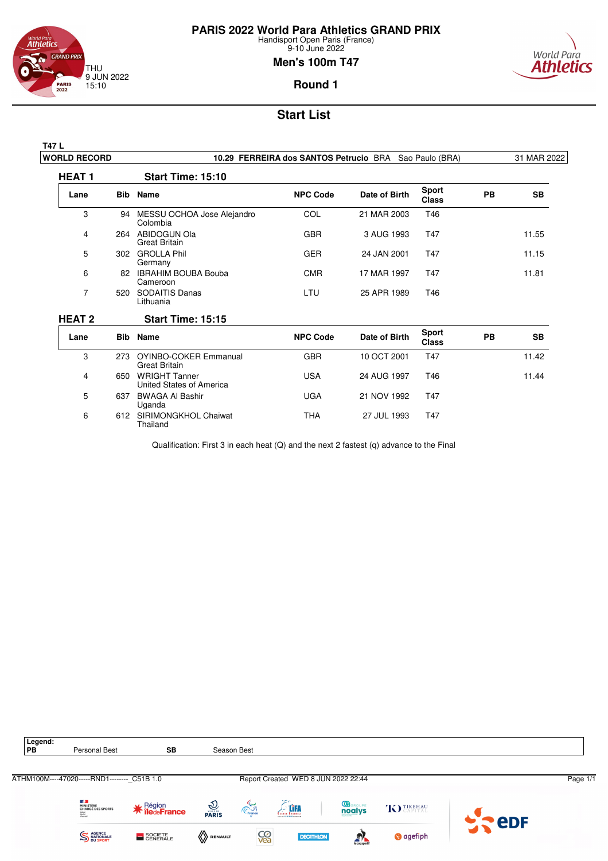

9-10 June 2022

### **Men's 100m T47**

# World Para **Athletics**

**Round 1**

# **Start List**

| ш | <br>$\cdots$<br>٠<br>٠ | - |  |
|---|------------------------|---|--|

5 637 BWAGA Al Bashir Uganda

6 612 SIRIMONGKHOL Chaiwat Thailand

| <b>WORLD RECORD</b> |     | 10.29 FERREIRA dos SANTOS Petrucio BRA Sao Paulo (BRA) |                 |               |                              |           | 31 MAR 2022 |
|---------------------|-----|--------------------------------------------------------|-----------------|---------------|------------------------------|-----------|-------------|
| <b>HEAT1</b>        |     | Start Time: 15:10                                      |                 |               |                              |           |             |
| Lane                |     | <b>Bib</b> Name                                        | <b>NPC Code</b> | Date of Birth | <b>Sport</b><br><b>Class</b> | <b>PB</b> | <b>SB</b>   |
| 3                   | 94  | MESSU OCHOA Jose Alejandro<br>Colombia                 | <b>COL</b>      | 21 MAR 2003   | T46                          |           |             |
| 4                   |     | 264 ABIDOGUN Ola<br>Great Britain                      | <b>GBR</b>      | 3 AUG 1993    | T47                          |           | 11.55       |
| 5                   | 302 | <b>GROLLA Phil</b><br>Germany                          | <b>GER</b>      | 24 JAN 2001   | T47                          |           | 11.15       |
| 6                   | 82. | <b>IBRAHIM BOUBA Bouba</b><br>Cameroon                 | <b>CMR</b>      | 17 MAR 1997   | T47                          |           | 11.81       |
| 7                   | 520 | <b>SODAITIS Danas</b><br>Lithuania                     | LTU.            | 25 APR 1989   | T46                          |           |             |
| <b>HEAT 2</b>       |     | <b>Start Time: 15:15</b>                               |                 |               |                              |           |             |
| Lane                | Bib | Name                                                   | <b>NPC Code</b> | Date of Birth | Sport<br><b>Class</b>        | <b>PB</b> | <b>SB</b>   |
| 3                   | 273 | <b>OYINBO-COKER Emmanual</b><br>Great Britain          | <b>GBR</b>      | 10 OCT 2001   | T47                          |           | 11.42       |
| 4                   | 650 | <b>WRIGHT Tanner</b><br>United States of America       | <b>USA</b>      | 24 AUG 1997   | T46                          |           | 11.44       |

Qualification: First 3 in each heat (Q) and the next 2 fastest (q) advance to the Final

UGA 21 NOV 1992 T47

THA 27 JUL 1993 T47

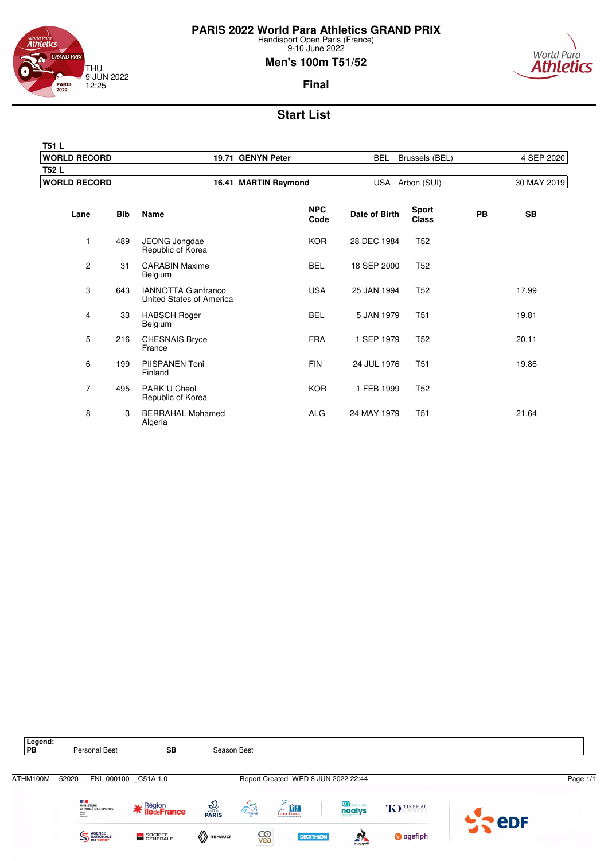



**T51 L**

### **Men's 100m T51/52**



**Final**

| <b>WORLD RECORD</b> |            |                                                        | 19.71 GENYN Peter    | <b>BEL</b>    | Brussels (BEL)               |           | 4 SEP 2020  |
|---------------------|------------|--------------------------------------------------------|----------------------|---------------|------------------------------|-----------|-------------|
| T52 L               |            |                                                        |                      |               |                              |           |             |
| <b>WORLD RECORD</b> |            |                                                        | 16.41 MARTIN Raymond |               | USA Arbon (SUI)              |           | 30 MAY 2019 |
| Lane                | <b>Bib</b> | Name                                                   | <b>NPC</b><br>Code   | Date of Birth | <b>Sport</b><br><b>Class</b> | <b>PB</b> | <b>SB</b>   |
| 1                   | 489        | JEONG Jongdae<br>Republic of Korea                     | <b>KOR</b>           | 28 DEC 1984   | T <sub>52</sub>              |           |             |
| $\overline{c}$      | 31         | <b>CARABIN Maxime</b><br>Belgium                       | <b>BEL</b>           | 18 SEP 2000   | T <sub>52</sub>              |           |             |
| 3                   | 643        | <b>IANNOTTA Gianfranco</b><br>United States of America | <b>USA</b>           | 25 JAN 1994   | T <sub>52</sub>              |           | 17.99       |
| 4                   | 33         | <b>HABSCH Roger</b><br>Belgium                         | <b>BEL</b>           | 5 JAN 1979    | T <sub>51</sub>              |           | 19.81       |
| 5                   | 216        | <b>CHESNAIS Bryce</b><br>France                        | <b>FRA</b>           | 1 SEP 1979    | T <sub>52</sub>              |           | 20.11       |
| 6                   | 199        | PIISPANEN Toni<br>Finland                              | <b>FIN</b>           | 24 JUL 1976   | T <sub>51</sub>              |           | 19.86       |
| $\overline{7}$      | 495        | PARK U Cheol<br>Republic of Korea                      | <b>KOR</b>           | 1 FEB 1999    | T <sub>52</sub>              |           |             |
| 8                   | 3          | <b>BERRAHAL Mohamed</b><br>Algeria                     | <b>ALG</b>           | 24 MAY 1979   | <b>T51</b>                   |           | 21.64       |

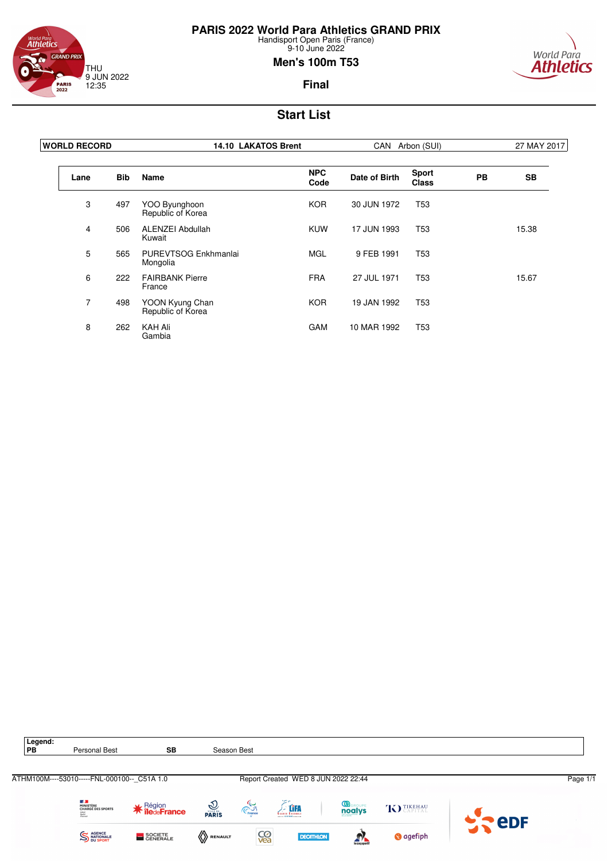



### **Men's 100m T53**



**Final**

| <b>WORLD RECORD</b> |            | <b>14.10 LAKATOS Brent</b>           |                    |               | CAN Arbon (SUI)              |           | 27 MAY 2017 |
|---------------------|------------|--------------------------------------|--------------------|---------------|------------------------------|-----------|-------------|
| Lane                | <b>Bib</b> | Name                                 | <b>NPC</b><br>Code | Date of Birth | <b>Sport</b><br><b>Class</b> | <b>PB</b> | <b>SB</b>   |
| 3                   | 497        | YOO Byunghoon<br>Republic of Korea   | <b>KOR</b>         | 30 JUN 1972   | T <sub>53</sub>              |           |             |
| 4                   | 506        | <b>ALENZEI Abdullah</b><br>Kuwait    | <b>KUW</b>         | 17 JUN 1993   | T <sub>53</sub>              |           | 15.38       |
| 5                   | 565        | PUREVTSOG Enkhmanlai<br>Mongolia     | <b>MGL</b>         | 9 FEB 1991    | T <sub>53</sub>              |           |             |
| 6                   | 222        | <b>FAIRBANK Pierre</b><br>France     | <b>FRA</b>         | 27 JUL 1971   | T <sub>53</sub>              |           | 15.67       |
| $\overline{7}$      | 498        | YOON Kyung Chan<br>Republic of Korea | <b>KOR</b>         | 19 JAN 1992   | T <sub>53</sub>              |           |             |
| 8                   | 262        | <b>KAH Ali</b><br>Gambia             | <b>GAM</b>         | 10 MAR 1992   | T <sub>53</sub>              |           |             |

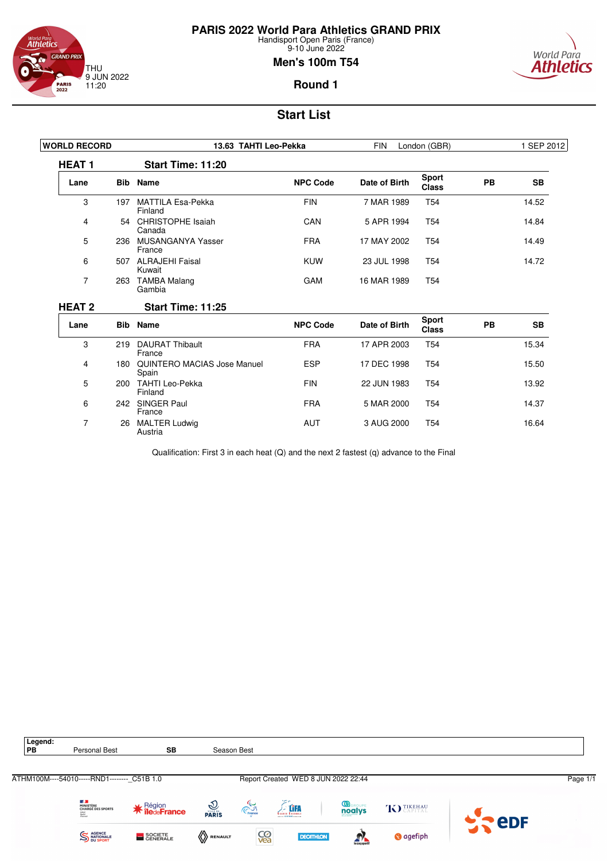

7 26 MALTER Ludwig Austria

**PARIS 2022 World Para Athletics GRAND PRIX**

Handisport Open Paris (France) 9-10 June 2022

### **Men's 100m T54**



**Round 1**

# **Start List**

| <b>WORLD RECORD</b> |     | 13.63 TAHTI Leo-Pekka                | <b>FIN</b><br>London (GBR) |               |                       | 1 SEP 2012 |           |
|---------------------|-----|--------------------------------------|----------------------------|---------------|-----------------------|------------|-----------|
| <b>HEAT1</b>        |     | Start Time: 11:20                    |                            |               |                       |            |           |
| Lane                |     | <b>Bib</b> Name                      | <b>NPC Code</b>            | Date of Birth | Sport<br><b>Class</b> | <b>PB</b>  | <b>SB</b> |
| 3                   | 197 | <b>MATTILA Esa-Pekka</b><br>Finland  | <b>FIN</b>                 | 7 MAR 1989    | T <sub>54</sub>       |            | 14.52     |
| 4                   | 54  | <b>CHRISTOPHE Isaiah</b><br>Canada   | CAN                        | 5 APR 1994    | T <sub>54</sub>       |            | 14.84     |
| 5                   | 236 | MUSANGANYA Yasser<br>France          | <b>FRA</b>                 | 17 MAY 2002   | T <sub>54</sub>       |            | 14.49     |
| 6                   | 507 | ALRAJEHI Faisal<br>Kuwait            | <b>KUW</b>                 | 23 JUL 1998   | T <sub>54</sub>       |            | 14.72     |
| 7                   | 263 | <b>TAMBA Malang</b><br>Gambia        | GAM                        | 16 MAR 1989   | T <sub>54</sub>       |            |           |
| <b>HEAT 2</b>       |     | <b>Start Time: 11:25</b>             |                            |               |                       |            |           |
| Lane                |     | <b>Bib</b> Name                      | <b>NPC Code</b>            | Date of Birth | Sport<br><b>Class</b> | <b>PB</b>  | <b>SB</b> |
| 3                   | 219 | <b>DAURAT Thibault</b><br>France     | <b>FRA</b>                 | 17 APR 2003   | T <sub>54</sub>       |            | 15.34     |
| 4                   | 180 | QUINTERO MACIAS Jose Manuel<br>Spain | <b>ESP</b>                 | 17 DEC 1998   | T <sub>54</sub>       |            | 15.50     |
| 5                   | 200 | <b>TAHTI Leo-Pekka</b><br>Finland    | <b>FIN</b>                 | 22 JUN 1983   | T <sub>54</sub>       |            | 13.92     |
| 6                   | 242 | <b>SINGER Paul</b><br>France         | <b>FRA</b>                 | 5 MAR 2000    | T <sub>54</sub>       |            | 14.37     |

Qualification: First 3 in each heat (Q) and the next 2 fastest (q) advance to the Final

AUT 3 AUG 2000 T54 16.64

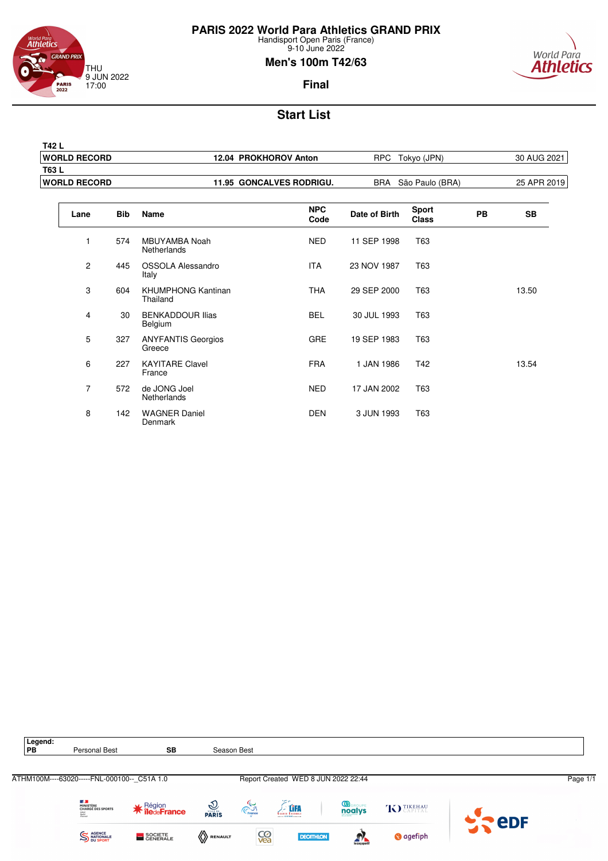



### **Men's 100m T42/63**



| T42 L                |                                 |                        |             |
|----------------------|---------------------------------|------------------------|-------------|
| <b>WORLD RECORD</b>  | 12.04 PROKHOROV Anton           | Tokyo (JPN)<br>RPC.    | 30 AUG 2021 |
| <b>T63L</b>          |                                 |                        |             |
| <b>IWORLD RECORD</b> | <b>11.95 GONCALVES RODRIGU.</b> | BRA São Paulo (BRA)    | 25 APR 2019 |
|                      |                                 |                        |             |
| ---<br>. .           | <b>NPC</b>                      | Sport<br>_ _ _ _<br>-- | $ -$        |

| Lane           | <b>Bib</b> | <b>Name</b>                           | <b>NPC</b><br>Code | Date of Birth | <b>Sport</b><br><b>Class</b> | <b>PB</b> | <b>SB</b> |  |
|----------------|------------|---------------------------------------|--------------------|---------------|------------------------------|-----------|-----------|--|
| 1              | 574        | <b>MBUYAMBA Noah</b><br>Netherlands   | <b>NED</b>         | 11 SEP 1998   | T63                          |           |           |  |
| $\overline{c}$ | 445        | OSSOLA Alessandro<br>Italy            | <b>ITA</b>         | 23 NOV 1987   | T63                          |           |           |  |
| 3              | 604        | <b>KHUMPHONG Kantinan</b><br>Thailand | <b>THA</b>         | 29 SEP 2000   | T63                          |           | 13.50     |  |
| 4              | 30         | <b>BENKADDOUR Ilias</b><br>Belgium    | <b>BEL</b>         | 30 JUL 1993   | T63                          |           |           |  |
| 5              | 327        | <b>ANYFANTIS Georgios</b><br>Greece   | <b>GRE</b>         | 19 SEP 1983   | T63                          |           |           |  |
| 6              | 227        | <b>KAYITARE Clavel</b><br>France      | <b>FRA</b>         | 1 JAN 1986    | T42                          |           | 13.54     |  |
| 7              | 572        | de JONG Joel<br>Netherlands           | <b>NED</b>         | 17 JAN 2002   | T63                          |           |           |  |
| 8              | 142        | <b>WAGNER Daniel</b><br>Denmark       | <b>DEN</b>         | 3 JUN 1993    | T63                          |           |           |  |



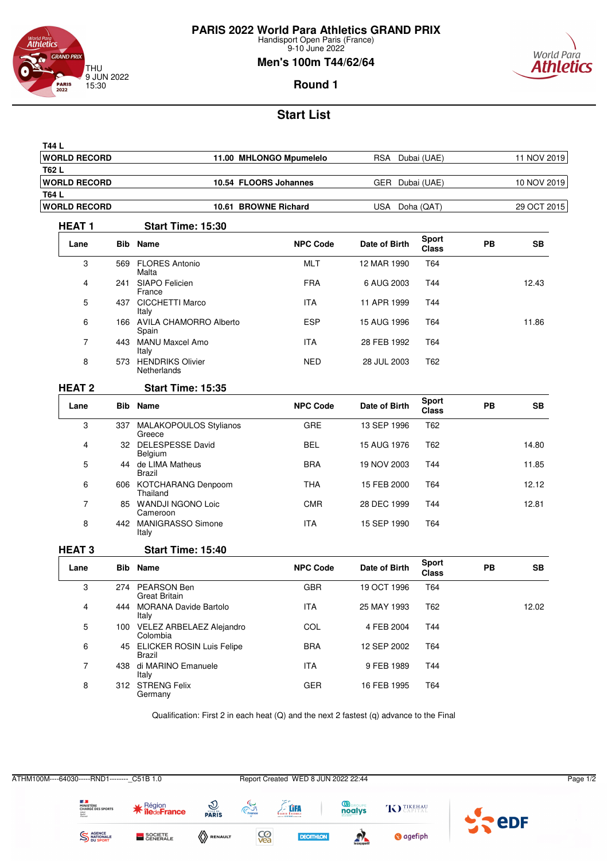

9-10 June 2022

### **Men's 100m T44/62/64**



**Round 1**

# **Start List**

| T44 L               |     |                                          |                         |               |                              |    |             |
|---------------------|-----|------------------------------------------|-------------------------|---------------|------------------------------|----|-------------|
| <b>WORLD RECORD</b> |     |                                          | 11.00 MHLONGO Mpumelelo | <b>RSA</b>    | Dubai (UAE)                  |    | 11 NOV 2019 |
| T62 L               |     |                                          |                         |               |                              |    |             |
| <b>WORLD RECORD</b> |     | 10.54 FLOORS Johannes                    |                         | GER           | Dubai (UAE)                  |    | 10 NOV 2019 |
| T64 L               |     | 10.61 BROWNE Richard                     |                         |               |                              |    |             |
| <b>WORLD RECORD</b> |     |                                          |                         | <b>USA</b>    | Doha (QAT)                   |    | 29 OCT 2015 |
| <b>HEAT1</b>        |     | Start Time: 15:30                        |                         |               |                              |    |             |
| Lane                |     | <b>Bib</b> Name                          | <b>NPC Code</b>         | Date of Birth | <b>Sport</b><br><b>Class</b> | PB | <b>SB</b>   |
| 3                   | 569 | <b>FLORES Antonio</b><br>Malta           | MLT                     | 12 MAR 1990   | T64                          |    |             |
| 4                   |     | 241 SIAPO Felicien<br>France             | <b>FRA</b>              | 6 AUG 2003    | T44                          |    | 12.43       |
| 5                   |     | 437 CICCHETTI Marco<br>Italy             | <b>ITA</b>              | 11 APR 1999   | T44                          |    |             |
| 6                   |     | 166 AVILA CHAMORRO Alberto<br>Spain      | ESP                     | 15 AUG 1996   | T64                          |    | 11.86       |
| $\overline{7}$      |     | 443 MANU Maxcel Amo<br>Italy             | <b>ITA</b>              | 28 FEB 1992   | T64                          |    |             |
| 8                   | 573 | <b>HENDRIKS Olivier</b><br>Netherlands   | <b>NED</b>              | 28 JUL 2003   | T62                          |    |             |
| <b>HEAT 2</b>       |     | <b>Start Time: 15:35</b>                 |                         |               |                              |    |             |
| Lane                |     | <b>Bib</b> Name                          | <b>NPC Code</b>         | Date of Birth | <b>Sport</b><br><b>Class</b> | PB | <b>SB</b>   |
| 3                   |     | 337 MALAKOPOULOS Stylianos<br>Greece     | <b>GRE</b>              | 13 SEP 1996   | T <sub>62</sub>              |    |             |
| 4                   |     | 32 DELESPESSE David<br>Belgium           | <b>BEL</b>              | 15 AUG 1976   | T62                          |    | 14.80       |
| 5                   |     | 44 de LIMA Matheus<br>Brazil             | <b>BRA</b>              | 19 NOV 2003   | T44                          |    | 11.85       |
| 6                   |     | 606 KOTCHARANG Denpoom<br>Thailand       | <b>THA</b>              | 15 FEB 2000   | T64                          |    | 12.12       |
| 7                   |     | 85 WANDJI NGONO Loic<br>Cameroon         | <b>CMR</b>              | 28 DEC 1999   | T44                          |    | 12.81       |
| 8                   |     | 442 MANIGRASSO Simone<br>Italy           | <b>ITA</b>              | 15 SEP 1990   | T64                          |    |             |
| <b>HEAT3</b>        |     | Start Time: 15:40                        |                         |               |                              |    |             |
| Lane                |     | <b>Bib Name</b>                          | <b>NPC Code</b>         | Date of Birth | <b>Sport</b><br><b>Class</b> | PB | SВ          |
| 3                   |     | 274 PEARSON Ben<br>Great Britain         | <b>GBR</b>              | 19 OCT 1996   | T64                          |    |             |
| 4                   |     | 444 MORANA Davide Bartolo<br>Italy       | ITA                     | 25 MAY 1993   | T62                          |    | 12.02       |
| 5                   |     | 100 VELEZ ARBELAEZ Alejandro<br>Colombia | COL                     | 4 FEB 2004    | T44                          |    |             |
| 6                   |     | 45 ELICKER ROSIN Luis Felipe<br>Brazil   | <b>BRA</b>              | 12 SEP 2002   | T64                          |    |             |
| 7                   |     | 438 di MARINO Emanuele<br>Italy          | ITA                     | 9 FEB 1989    | T44                          |    |             |
| 8                   |     | 312 STRENG Felix<br>Germany              | GER                     | 16 FEB 1995   | T64                          |    |             |

Qualification: First 2 in each heat (Q) and the next 2 fastest (q) advance to the Final

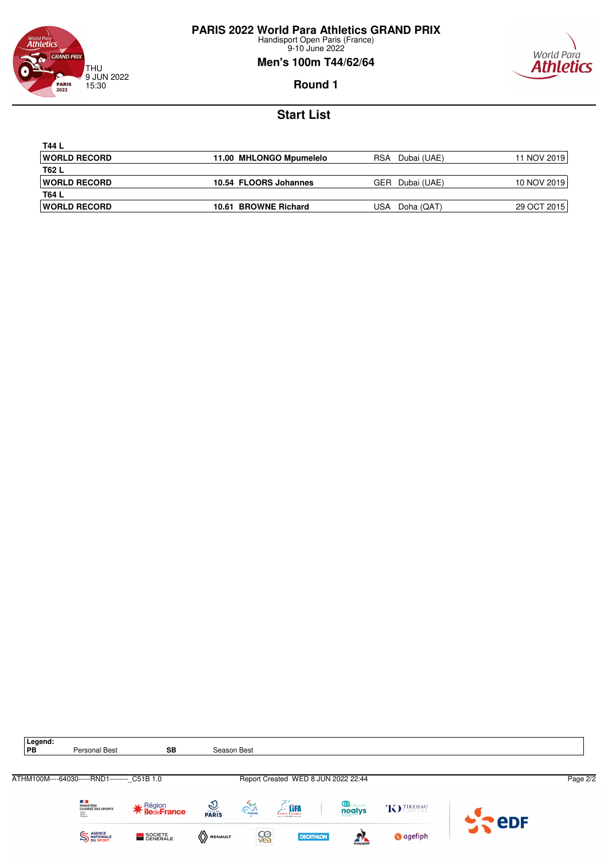

9-10 June 2022

### **Men's 100m T44/62/64**



**Round 1**

| T44 L                |                         |                     |             |
|----------------------|-------------------------|---------------------|-------------|
| <b>IWORLD RECORD</b> | 11.00 MHLONGO Mpumelelo | RSA.<br>Dubai (UAE) | 11 NOV 2019 |
| T62 L                |                         |                     |             |
| <b>IWORLD RECORD</b> | 10.54 FLOORS Johannes   | GER<br>Dubai (UAE)  | 10 NOV 2019 |
| T64 L                |                         |                     |             |
| <b>IWORLD RECORD</b> | 10.61 BROWNE Richard    | USA<br>Doha (QAT)   | 29 OCT 2015 |

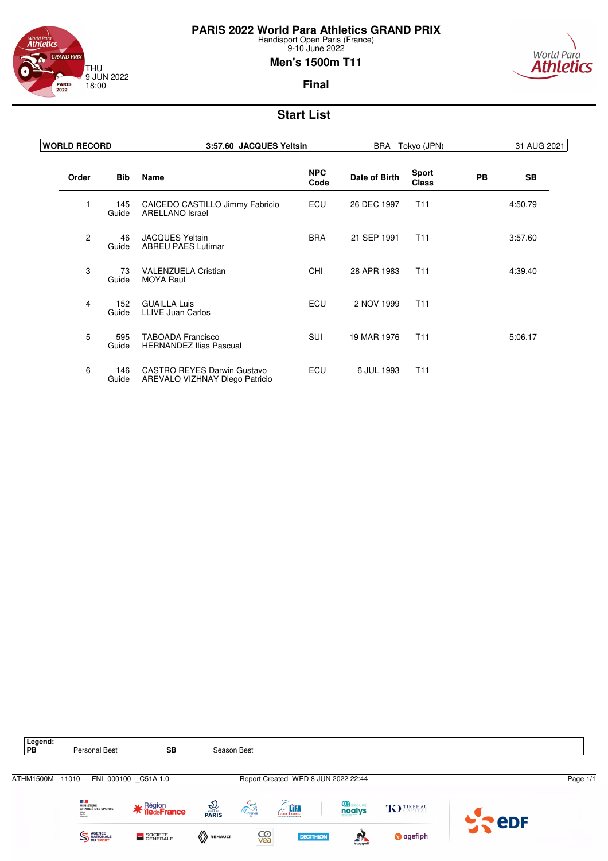

9-10 June 2022

### **Men's 1500m T11**



**Final**

| <b>WORLD RECORD</b> |              | 3:57.60 JACQUES Yeltsin                                       |                    | <b>BRA</b><br>Tokyo (JPN) |                              |           | 31 AUG 2021 |
|---------------------|--------------|---------------------------------------------------------------|--------------------|---------------------------|------------------------------|-----------|-------------|
| Order               | <b>Bib</b>   | <b>Name</b>                                                   | <b>NPC</b><br>Code | Date of Birth             | <b>Sport</b><br><b>Class</b> | <b>PB</b> | <b>SB</b>   |
| 1                   | 145<br>Guide | CAICEDO CASTILLO Jimmy Fabricio<br><b>ARELLANO Israel</b>     | ECU                | 26 DEC 1997               | T <sub>11</sub>              |           | 4:50.79     |
| 2                   | 46<br>Guide  | <b>JACQUES Yeltsin</b><br><b>ABREU PAES Lutimar</b>           | <b>BRA</b>         | 21 SEP 1991               | T <sub>11</sub>              |           | 3:57.60     |
| 3                   | 73<br>Guide  | <b>VALENZUELA Cristian</b><br><b>MOYA Raul</b>                | <b>CHI</b>         | 28 APR 1983               | T <sub>11</sub>              |           | 4:39.40     |
| 4                   | 152<br>Guide | <b>GUAILLA Luis</b><br><b>LLIVE Juan Carlos</b>               | ECU                | 2 NOV 1999                | T <sub>11</sub>              |           |             |
| 5                   | 595<br>Guide | <b>TABOADA Francisco</b><br><b>HERNANDEZ Ilias Pascual</b>    | <b>SUI</b>         | 19 MAR 1976               | T <sub>11</sub>              |           | 5:06.17     |
| 6                   | 146<br>Guide | CASTRO REYES Darwin Gustavo<br>AREVALO VIZHNAY Diego Patricio | ECU                | 6 JUL 1993                | T <sub>11</sub>              |           |             |

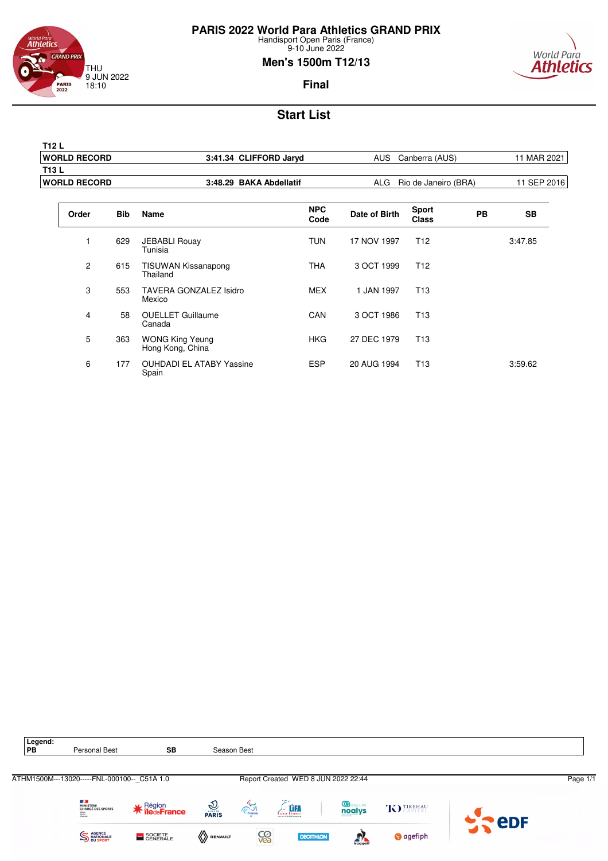

9-10 June 2022

### **Men's 1500m T12/13**



**Final**

| T12 L                |                         |                              |             |
|----------------------|-------------------------|------------------------------|-------------|
| <b>IWORLD RECORD</b> | 3:41.34 CLIFFORD Jaryd  | AUS<br>Canberra (AUS)        | 11 MAR 2021 |
| T13 L                |                         |                              |             |
| <b>IWORLD RECORD</b> | 3:48.29 BAKA Abdellatif | Rio de Janeiro (BRA)<br>ALG. | 11 SEP 2016 |
|                      |                         |                              |             |

| Order          | <b>Bib</b> | Name                                       | <b>NPC</b><br>Code | Date of Birth | <b>Sport</b><br><b>Class</b> | <b>PB</b> | <b>SB</b> |
|----------------|------------|--------------------------------------------|--------------------|---------------|------------------------------|-----------|-----------|
|                | 629        | <b>JEBABLI Rouay</b><br>Tunisia            | <b>TUN</b>         | 17 NOV 1997   | T <sub>12</sub>              |           | 3:47.85   |
| $\overline{c}$ | 615        | <b>TISUWAN Kissanapong</b><br>Thailand     | <b>THA</b>         | 3 OCT 1999    | T <sub>12</sub>              |           |           |
| 3              | 553        | <b>TAVERA GONZALEZ Isidro</b><br>Mexico    | <b>MEX</b>         | 1 JAN 1997    | T <sub>13</sub>              |           |           |
| 4              | 58         | <b>OUELLET Guillaume</b><br>Canada         | CAN                | 3 OCT 1986    | T <sub>13</sub>              |           |           |
| 5              | 363        | <b>WONG King Yeung</b><br>Hong Kong, China | <b>HKG</b>         | 27 DEC 1979   | T <sub>13</sub>              |           |           |
| 6              | 177        | <b>OUHDADI EL ATABY Yassine</b><br>Spain   | <b>ESP</b>         | 20 AUG 1994   | T <sub>13</sub>              |           | 3:59.62   |

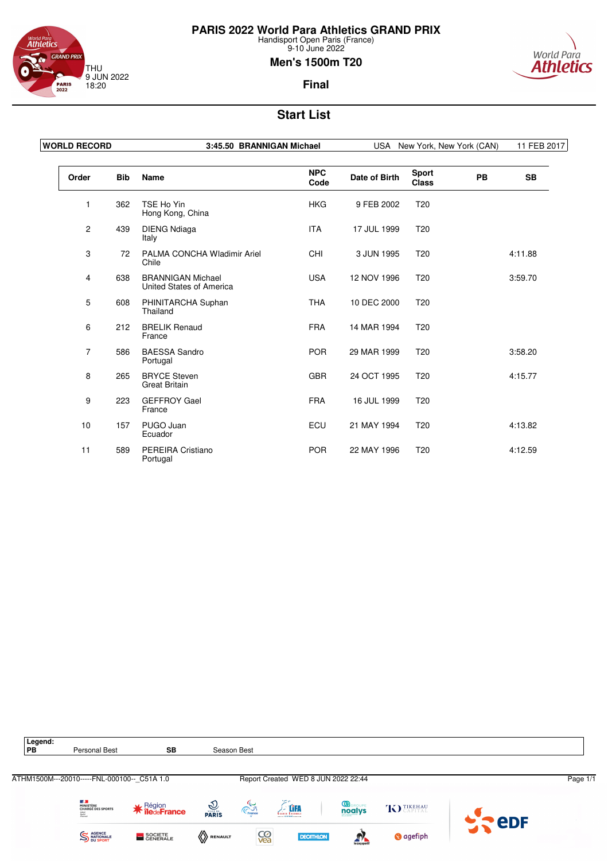



#### 9-10 June 2022 **Men's 1500m T20**



### **Final**

| <b>WORLD RECORD</b> |            | 3:45.50 BRANNIGAN Michael                            | <b>USA</b><br>New York, New York (CAN) |               |                              | 11 FEB 2017 |           |
|---------------------|------------|------------------------------------------------------|----------------------------------------|---------------|------------------------------|-------------|-----------|
| Order               | <b>Bib</b> | Name                                                 | <b>NPC</b><br>Code                     | Date of Birth | <b>Sport</b><br><b>Class</b> | <b>PB</b>   | <b>SB</b> |
| 1                   | 362        | TSE Ho Yin<br>Hong Kong, China                       | <b>HKG</b>                             | 9 FEB 2002    | T <sub>20</sub>              |             |           |
| 2                   | 439        | <b>DIENG Ndiaga</b><br>Italy                         | <b>ITA</b>                             | 17 JUL 1999   | T <sub>20</sub>              |             |           |
| 3                   | 72         | PALMA CONCHA Wladimir Ariel<br>Chile                 | <b>CHI</b>                             | 3 JUN 1995    | T <sub>20</sub>              |             | 4:11.88   |
| 4                   | 638        | <b>BRANNIGAN Michael</b><br>United States of America | <b>USA</b>                             | 12 NOV 1996   | T <sub>20</sub>              |             | 3:59.70   |
| 5                   | 608        | PHINITARCHA Suphan<br>Thailand                       | <b>THA</b>                             | 10 DEC 2000   | T <sub>20</sub>              |             |           |
| 6                   | 212        | <b>BRELIK Renaud</b><br>France                       | <b>FRA</b>                             | 14 MAR 1994   | T <sub>20</sub>              |             |           |
| $\overline{7}$      | 586        | <b>BAESSA Sandro</b><br>Portugal                     | <b>POR</b>                             | 29 MAR 1999   | T <sub>20</sub>              |             | 3:58.20   |
| 8                   | 265        | <b>BRYCE Steven</b><br><b>Great Britain</b>          | <b>GBR</b>                             | 24 OCT 1995   | T <sub>20</sub>              |             | 4:15.77   |
| 9                   | 223        | <b>GEFFROY Gael</b><br>France                        | <b>FRA</b>                             | 16 JUL 1999   | T <sub>20</sub>              |             |           |
| 10                  | 157        | PUGO Juan<br>Ecuador                                 | ECU                                    | 21 MAY 1994   | T <sub>20</sub>              |             | 4:13.82   |
| 11                  | 589        | PEREIRA Cristiano<br>Portugal                        | <b>POR</b>                             | 22 MAY 1996   | T <sub>20</sub>              |             | 4:12.59   |

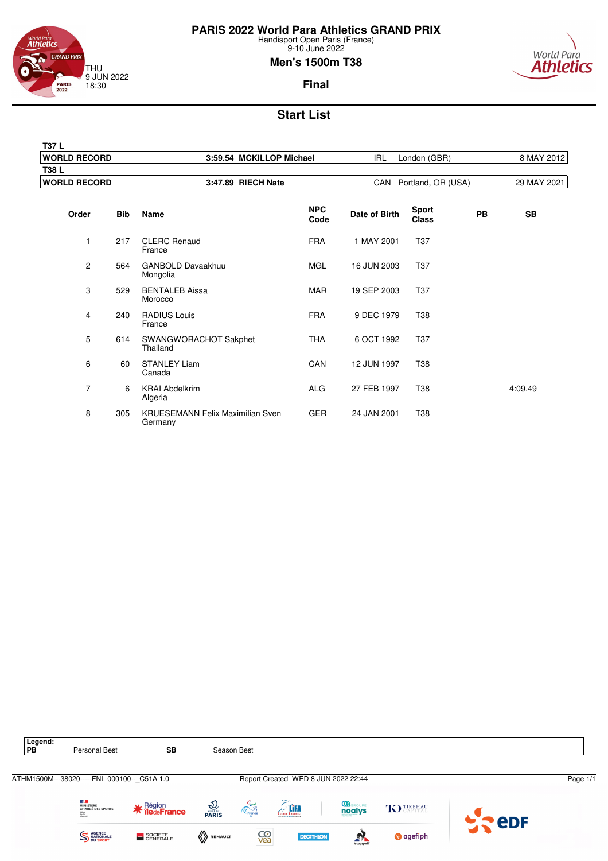

**T37 L**

**PARIS 2022 World Para Athletics GRAND PRIX**

Handisport Open Paris (France) 9-10 June 2022

### **Men's 1500m T38**



**Final**

# **Start List**

|                             | <b>WORLD RECORD</b><br>3:59.54 MCKILLOP Michael<br><b>IRL</b><br>London (GBR) |                                      | 8 MAY 2012         |               |                              |           |           |
|-----------------------------|-------------------------------------------------------------------------------|--------------------------------------|--------------------|---------------|------------------------------|-----------|-----------|
| T38L<br><b>WORLD RECORD</b> |                                                                               | 3:47.89 RIECH Nate                   |                    |               | CAN Portland, OR (USA)       |           |           |
| Order                       | <b>Bib</b>                                                                    | <b>Name</b>                          | <b>NPC</b><br>Code | Date of Birth | <b>Sport</b><br><b>Class</b> | <b>PB</b> | <b>SB</b> |
| 1                           | 217                                                                           | <b>CLERC Renaud</b><br>France        | <b>FRA</b>         | 1 MAY 2001    | <b>T37</b>                   |           |           |
| 2                           | 564                                                                           | <b>GANBOLD Davaakhuu</b><br>Mongolia | <b>MGL</b>         | 16 JUN 2003   | T37                          |           |           |
| 3                           | 529                                                                           | <b>BENTALEB Aissa</b><br>Morocco     | MAR                | 19 SEP 2003   | T37                          |           |           |
| $\overline{4}$              | 240                                                                           | <b>RADIUS Louis</b><br>France        | <b>FRA</b>         | 9 DEC 1979    | T38                          |           |           |
| 5                           | 614                                                                           | SWANGWORACHOT Sakphet<br>Thailand    | <b>THA</b>         | 6 OCT 1992    | T37                          |           |           |
| 6                           | 60                                                                            | <b>STANLEY Liam</b><br>Canada        | CAN                | 12 JUN 1997   | <b>T38</b>                   |           |           |
| $\overline{7}$              | 6                                                                             | <b>KRAI Abdelkrim</b><br>Algeria     | <b>ALG</b>         | 27 FEB 1997   | T38                          |           | 4:09.49   |

GER 24 JAN 2001 T38

8 305 KRUESEMANN Felix Maximilian Sven

**Germany** 

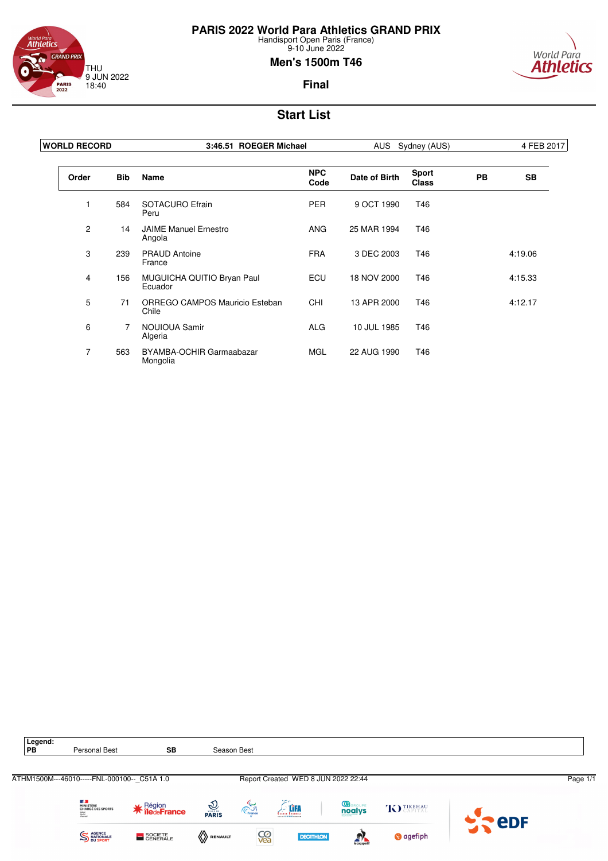



### **Men's 1500m T46**



**Final**

| <b>WORLD RECORD</b> |                | 3:46.51 ROEGER Michael                  |                    | AUS Sydney (AUS) |                              |           | 4 FEB 2017 |
|---------------------|----------------|-----------------------------------------|--------------------|------------------|------------------------------|-----------|------------|
| Order               | <b>Bib</b>     | <b>Name</b>                             | <b>NPC</b><br>Code | Date of Birth    | <b>Sport</b><br><b>Class</b> | <b>PB</b> | <b>SB</b>  |
|                     | 584            | SOTACURO Efrain<br>Peru                 | <b>PER</b>         | 9 OCT 1990       | T46                          |           |            |
| $\overline{2}$      | 14             | <b>JAIME Manuel Ernestro</b><br>Angola  | <b>ANG</b>         | 25 MAR 1994      | T46                          |           |            |
| 3                   | 239            | <b>PRAUD Antoine</b><br>France          | <b>FRA</b>         | 3 DEC 2003       | T46                          |           | 4:19.06    |
| 4                   | 156            | MUGUICHA QUITIO Bryan Paul<br>Ecuador   | ECU                | 18 NOV 2000      | T46                          |           | 4:15.33    |
| 5                   | 71             | ORREGO CAMPOS Mauricio Esteban<br>Chile | <b>CHI</b>         | 13 APR 2000      | T46                          |           | 4:12.17    |
| 6                   | $\overline{7}$ | <b>NOUIOUA Samir</b><br>Algeria         | <b>ALG</b>         | 10 JUL 1985      | T46                          |           |            |
| $\overline{7}$      | 563            | BYAMBA-OCHIR Garmaabazar<br>Mongolia    | <b>MGL</b>         | 22 AUG 1990      | T46                          |           |            |

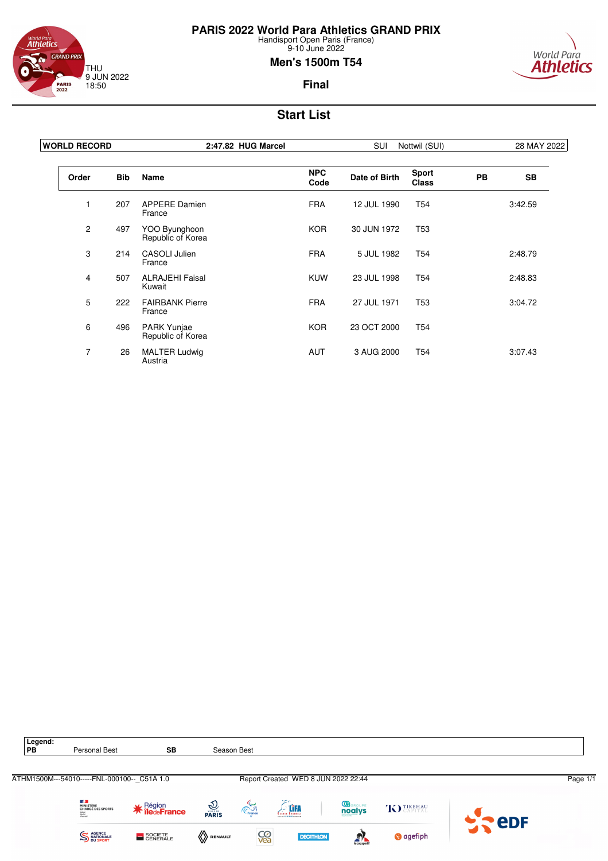

world Para<br>**Athletics GRAND PRIX** THU 9 JUN 2022 18:50 **PARIS**<br>2022

#### 9-10 June 2022 **Men's 1500m T54**



### **Final**

| <b>WORLD RECORD</b> |            | 2:47.82 HUG Marcel                 | <b>SUI</b><br>Nottwil (SUI) |               |                              | 28 MAY 2022 |           |
|---------------------|------------|------------------------------------|-----------------------------|---------------|------------------------------|-------------|-----------|
| Order               | <b>Bib</b> | <b>Name</b>                        | <b>NPC</b><br>Code          | Date of Birth | <b>Sport</b><br><b>Class</b> | <b>PB</b>   | <b>SB</b> |
|                     | 207        | <b>APPERE Damien</b><br>France     | <b>FRA</b>                  | 12 JUL 1990   | T <sub>54</sub>              |             | 3:42.59   |
| $\overline{2}$      | 497        | YOO Byunghoon<br>Republic of Korea | <b>KOR</b>                  | 30 JUN 1972   | T <sub>53</sub>              |             |           |
| 3                   | 214        | <b>CASOLI Julien</b><br>France     | <b>FRA</b>                  | 5 JUL 1982    | T <sub>54</sub>              |             | 2:48.79   |
| 4                   | 507        | <b>ALRAJEHI Faisal</b><br>Kuwait   | <b>KUW</b>                  | 23 JUL 1998   | T <sub>54</sub>              |             | 2:48.83   |
| 5                   | 222        | <b>FAIRBANK Pierre</b><br>France   | <b>FRA</b>                  | 27 JUL 1971   | <b>T53</b>                   |             | 3:04.72   |
| 6                   | 496        | PARK Yunjae<br>Republic of Korea   | <b>KOR</b>                  | 23 OCT 2000   | <b>T54</b>                   |             |           |
| $\overline{7}$      | 26         | <b>MALTER Ludwig</b><br>Austria    | <b>AUT</b>                  | 3 AUG 2000    | T <sub>54</sub>              |             | 3:07.43   |

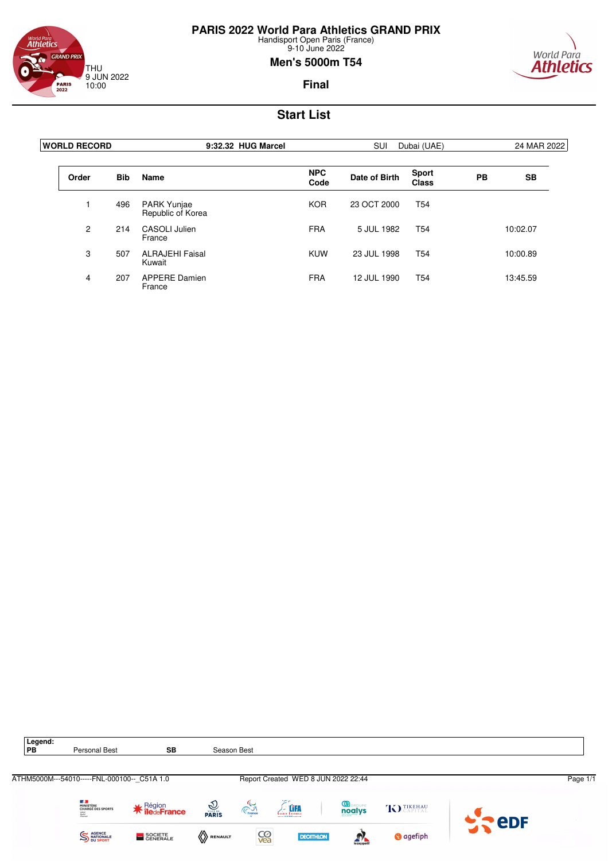

<sup>World Para</sup><br>**Athletics GRAND PRIX** THU 9 JUN 2022 10:00 **PARIS**<br>2022

#### 9-10 June 2022 **Men's 5000m T54**



**Final**

| <b>IWORLD RECORD</b> |            | 9:32.32 HUG Marcel                      |                    | SUI<br>Dubai (UAE) |                       |    | 24 MAR 2022 |  |
|----------------------|------------|-----------------------------------------|--------------------|--------------------|-----------------------|----|-------------|--|
| Order                | <b>Bib</b> | Name                                    | <b>NPC</b><br>Code | Date of Birth      | <b>Sport</b><br>Class | PB | <b>SB</b>   |  |
|                      | 496        | <b>PARK Yunjae</b><br>Republic of Korea | <b>KOR</b>         | 23 OCT 2000        | T54                   |    |             |  |
| $\overline{2}$       | 214        | CASOLI Julien<br>France                 | <b>FRA</b>         | 5 JUL 1982         | T <sub>54</sub>       |    | 10:02.07    |  |
| 3                    | 507        | <b>ALRAJEHI Faisal</b><br>Kuwait        | <b>KUW</b>         | 23 JUL 1998        | T <sub>54</sub>       |    | 10:00.89    |  |
| 4                    | 207        | <b>APPERE Damien</b><br>France          | <b>FRA</b>         | 12 JUL 1990        | T <sub>54</sub>       |    | 13:45.59    |  |

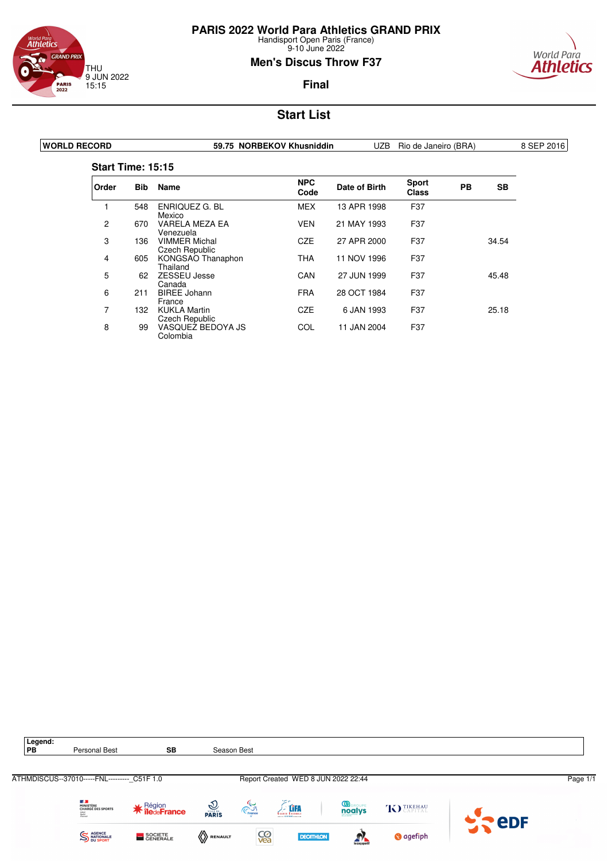

### <sup>World Para</sup><br>**Athletics GRAND PRIX** THU 9 JUN 2022 15:15 **PARIS**<br>2022

### **Men's Discus Throw F37**



### **Final**

| <b>WORLD RECORD</b> |                          |            |                                               | 59.75 NORBEKOV Khusniddin | UZB           | Rio de Janeiro (BRA)         |           |       | 8 SEP 2016 |
|---------------------|--------------------------|------------|-----------------------------------------------|---------------------------|---------------|------------------------------|-----------|-------|------------|
|                     | <b>Start Time: 15:15</b> |            |                                               |                           |               |                              |           |       |            |
|                     | Order                    | <b>Bib</b> | Name                                          | <b>NPC</b><br>Code        | Date of Birth | <b>Sport</b><br><b>Class</b> | <b>PB</b> | SB    |            |
|                     |                          | 548        | <b>ENRIQUEZ G. BL</b><br>Mexico               | MEX                       | 13 APR 1998   | F37                          |           |       |            |
|                     | 2                        | 670        | VARELA MEZA EA<br>Venezuela                   | <b>VEN</b>                | 21 MAY 1993   | F37                          |           |       |            |
|                     | 3                        | 136        | <b>VIMMER Michal</b><br><b>Czech Republic</b> | <b>CZE</b>                | 27 APR 2000   | F37                          |           | 34.54 |            |
|                     | 4                        | 605        | KONGSAO Thanaphon<br>Thailand                 | <b>THA</b>                | 11 NOV 1996   | F37                          |           |       |            |
|                     | 5                        | 62         | <b>ZESSEU Jesse</b><br>Canada                 | CAN                       | 27 JUN 1999   | F37                          |           | 45.48 |            |
|                     | 6                        | 211        | <b>BIREE Johann</b><br>France                 | <b>FRA</b>                | 28 OCT 1984   | F37                          |           |       |            |
|                     | 7                        | 132        | <b>KUKLA Martin</b><br>Czech Republic         | <b>CZE</b>                | 6 JAN 1993    | F37                          |           | 25.18 |            |
|                     | 8                        | 99         | VASQUEZ BEDOYA JS<br>Colombia                 | COL                       | 11 JAN 2004   | F37                          |           |       |            |

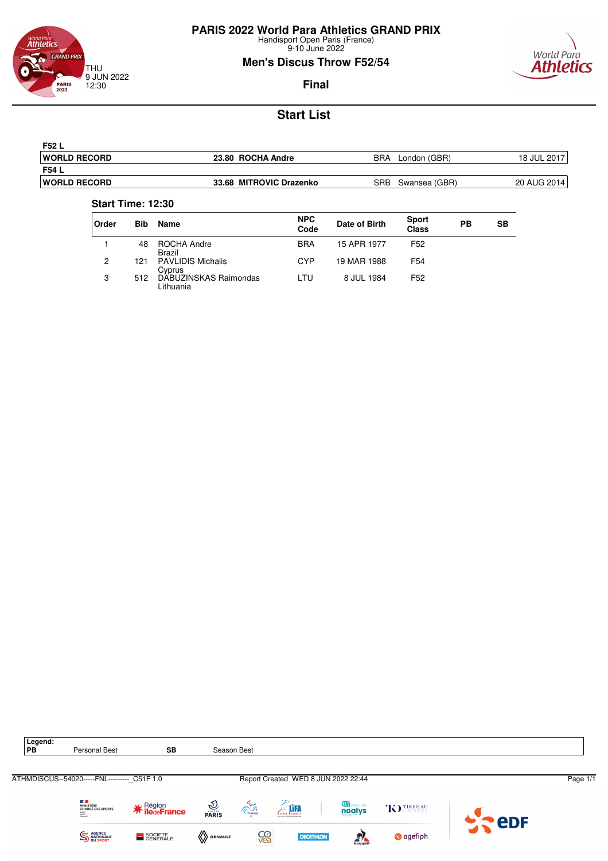

9-10 June 2022

### **Men's Discus Throw F52/54**



**Final**

# **Start List**

| F52 L                |                         |                      |             |
|----------------------|-------------------------|----------------------|-------------|
| <b>IWORLD RECORD</b> | 23.80 ROCHA Andre       | BRA<br>London (GBR)  | 18 JUL 2017 |
| F54 L                |                         |                      |             |
| <b>IWORLD RECORD</b> | 33.68 MITROVIC Drazenko | SRB<br>Swansea (GBR) | 20 AUG 2014 |

#### **Start Time: 12:30**

| <b>Order</b> | <b>Bib</b> | Name                               | <b>NPC</b><br>Code | Date of Birth | <b>Sport</b><br><b>Class</b> | РB | <b>SB</b> |
|--------------|------------|------------------------------------|--------------------|---------------|------------------------------|----|-----------|
|              | 48         | ROCHA Andre<br><b>Brazil</b>       | <b>BRA</b>         | 15 APR 1977   | F <sub>52</sub>              |    |           |
| 2            | 121        | <b>PAVLIDIS Michalis</b><br>Cyprus | CYP                | 19 MAR 1988   | F <sub>54</sub>              |    |           |
| 3            | 512        | DABUZINSKAS Raimondas<br>Lithuania | LTU                | 8 JUL 1984    | F <sub>52</sub>              |    |           |

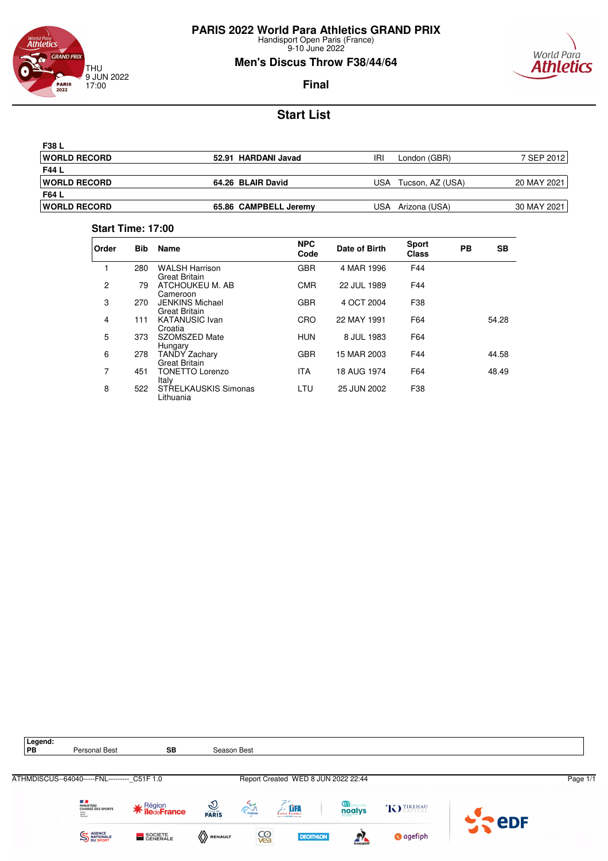

9-10 June 2022

# **Men's Discus Throw F38/44/64**



**Final**

# **Start List**

| <b>F38 L</b>         |                       |                         |             |
|----------------------|-----------------------|-------------------------|-------------|
| <b>IWORLD RECORD</b> | 52.91 HARDANI Javad   | IRI<br>London (GBR)     | 7 SEP 2012  |
| F44 L                |                       |                         |             |
| <b>IWORLD RECORD</b> | 64.26 BLAIR David     | Tucson, AZ (USA)<br>USA | 20 MAY 2021 |
| F64 L                |                       |                         |             |
| <b>IWORLD RECORD</b> | 65.86 CAMPBELL Jeremy | Arizona (USA)<br>USA    | 30 MAY 2021 |

### **Start Time: 17:00**

| Order          | <b>Bib</b> | <b>Name</b>                                    | <b>NPC</b><br>Code | Date of Birth | <b>Sport</b><br><b>Class</b> | <b>PB</b> | <b>SB</b> |
|----------------|------------|------------------------------------------------|--------------------|---------------|------------------------------|-----------|-----------|
|                | 280        | <b>WALSH Harrison</b><br><b>Great Britain</b>  | <b>GBR</b>         | 4 MAR 1996    | F44                          |           |           |
| $\overline{c}$ | 79         | ATCHOUKEU M. AB<br>Cameroon                    | <b>CMR</b>         | 22 JUL 1989   | F44                          |           |           |
| 3              | 270        | <b>JENKINS Michael</b><br><b>Great Britain</b> | <b>GBR</b>         | 4 OCT 2004    | F38                          |           |           |
| 4              | 111        | <b>KATANUSIC Ivan</b><br>Croatia               | CRO                | 22 MAY 1991   | F64                          |           | 54.28     |
| 5              | 373        | SZOMSZED Mate<br>Hungary                       | <b>HUN</b>         | 8 JUL 1983    | F64                          |           |           |
| 6              | 278        | <b>TANDY Zachary</b><br><b>Great Britain</b>   | <b>GBR</b>         | 15 MAR 2003   | F44                          |           | 44.58     |
| 7              | 451        | <b>TONETTO Lorenzo</b><br>Italy                | <b>ITA</b>         | 18 AUG 1974   | F64                          |           | 48.49     |
| 8              | 522        | <b>STRELKAUSKIS Simonas</b><br>Lithuania       | LTU                | 25 JUN 2002   | F38                          |           |           |

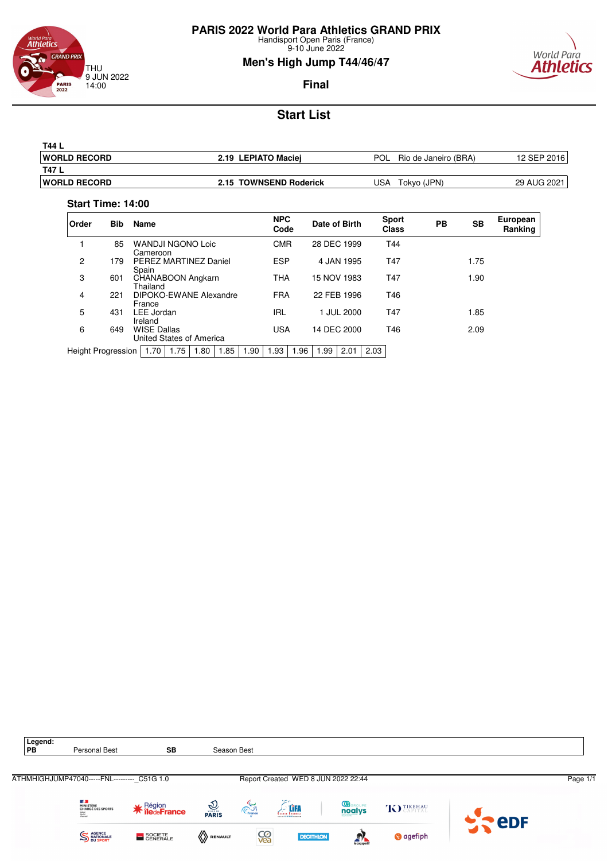

9-10 June 2022

### **Men's High Jump T44/46/47**



**Final**

# **Start List**

| T44 L                |                        |                             |             |
|----------------------|------------------------|-----------------------------|-------------|
| <b>IWORLD RECORD</b> | 2.19 LEPIATO Maciei    | POL<br>Rio de Janeiro (BRA) | 12 SEP 2016 |
| <b>T47 L</b>         |                        |                             |             |
| <b>IWORLD RECORD</b> | 2.15 TOWNSEND Roderick | USA.<br>Tokyo (JPN)         | 29 AUG 2021 |
|                      |                        |                             |             |

#### **Start Time: 14:00**

| Order              | <b>Bib</b> | <b>Name</b>                                    |      |      |      |      | <b>NPC</b><br>Code |      | Date of Birth |             |      | <b>Sport</b><br><b>Class</b> | <b>PB</b> | <b>SB</b> | European<br>Ranking |
|--------------------|------------|------------------------------------------------|------|------|------|------|--------------------|------|---------------|-------------|------|------------------------------|-----------|-----------|---------------------|
|                    | 85         | <b>WANDJI NGONO Loic</b><br>Cameroon           |      |      |      |      | <b>CMR</b>         |      | 28 DEC 1999   |             |      | T44                          |           |           |                     |
| 2                  | 179        | PEREZ MARTINEZ Daniel<br>Spain                 |      |      |      |      | <b>ESP</b>         |      |               | 4 JAN 1995  |      | T47                          |           | 1.75      |                     |
| 3                  | 601        | CHANABOON Angkarn<br>Thailand                  |      |      |      |      | <b>THA</b>         |      | 15 NOV 1983   |             |      | T47                          |           | 1.90      |                     |
| 4                  | 221        | DIPOKO-EWANE Alexandre<br>France               |      |      |      |      | <b>FRA</b>         |      |               | 22 FEB 1996 |      | T46                          |           |           |                     |
| 5                  | 431        | LEE Jordan<br>Ireland                          |      |      |      |      | <b>IRL</b>         |      |               | 1 JUL 2000  |      | T47                          |           | 1.85      |                     |
| 6                  | 649        | <b>WISE Dallas</b><br>United States of America |      |      |      |      | <b>USA</b>         |      |               | 14 DEC 2000 |      | T46                          |           | 2.09      |                     |
| Height Progression |            | 1.70                                           | 1.75 | 1.80 | 1.85 | 1.90 | 1.93               | 1.96 | 1.99          | 2.01        | 2.03 |                              |           |           |                     |

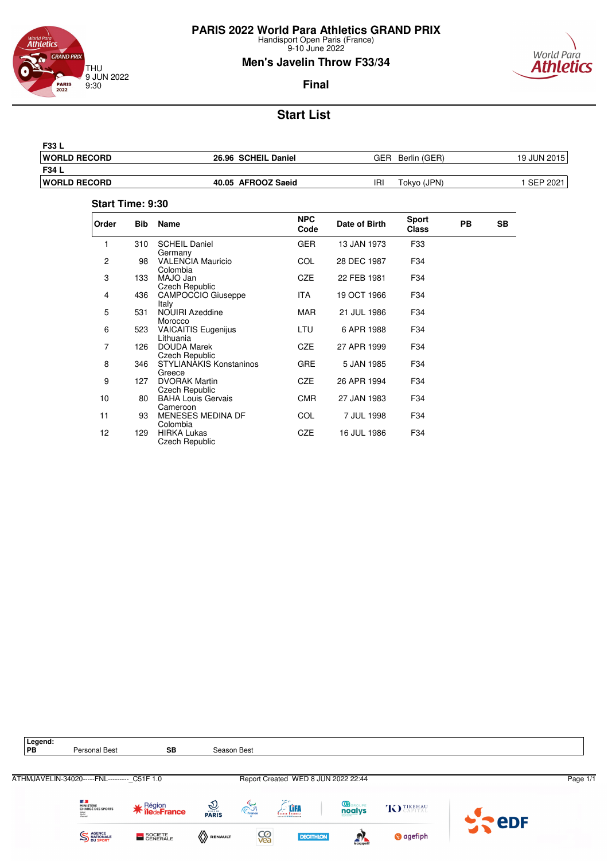

9-10 June 2022

### **Men's Javelin Throw F33/34**



### **Final**

# **Start List**

| <b>F33 L</b>         |                     |                     |             |
|----------------------|---------------------|---------------------|-------------|
| <b>WORLD RECORD</b>  | 26.96 SCHEIL Daniel | GER<br>Berlin (GER) | 19 JUN 2015 |
| F34 L                |                     |                     |             |
| <b>IWORLD RECORD</b> | 40.05 AFROOZ Saeid  | IRI<br>Tokyo (JPN)  | SEP 2021    |
|                      |                     |                     |             |

#### **Start Time: 9:30**

| Order | <b>Bib</b> | Name                                          | <b>NPC</b><br>Code | Date of Birth | <b>Sport</b><br><b>Class</b> | PB | <b>SB</b> |
|-------|------------|-----------------------------------------------|--------------------|---------------|------------------------------|----|-----------|
|       | 310        | <b>SCHEIL Daniel</b><br>Germany               | <b>GER</b>         | 13 JAN 1973   | F33                          |    |           |
| 2     | 98         | <b>VALENCIA Mauricio</b><br>Colombia          | COL                | 28 DEC 1987   | F34                          |    |           |
| 3     | 133        | MAJO Jan<br><b>Czech Republic</b>             | CZE                | 22 FEB 1981   | F34                          |    |           |
| 4     | 436        | <b>CAMPOCCIO Giuseppe</b><br>Italy            | ITA.               | 19 OCT 1966   | F34                          |    |           |
| 5     | 531        | NOUIRI Azeddine<br>Morocco                    | MAR.               | 21 JUL 1986   | F34                          |    |           |
| 6     | 523        | <b>VAICAITIS Eugenijus</b><br>Lithuania       | LTU                | 6 APR 1988    | F34                          |    |           |
| 7     | 126        | <b>DOUDA Marek</b><br><b>Czech Republic</b>   | <b>CZE</b>         | 27 APR 1999   | F34                          |    |           |
| 8     | 346        | <b>STYLIANAKIS Konstaninos</b><br>Greece      | GRE                | 5 JAN 1985    | F34                          |    |           |
| 9     | 127        | <b>DVORAK Martin</b><br><b>Czech Republic</b> | CZE                | 26 APR 1994   | F34                          |    |           |
| 10    | 80         | <b>BAHA Louis Gervais</b><br>Cameroon         | <b>CMR</b>         | 27 JAN 1983   | F34                          |    |           |
| 11    | 93         | <b>MENESES MEDINA DF</b><br>Colombia          | COL                | 7 JUL 1998    | F34                          |    |           |
| 12    | 129        | <b>HIRKA Lukas</b><br>Czech Republic          | CZE                | 16 JUL 1986   | F34                          |    |           |

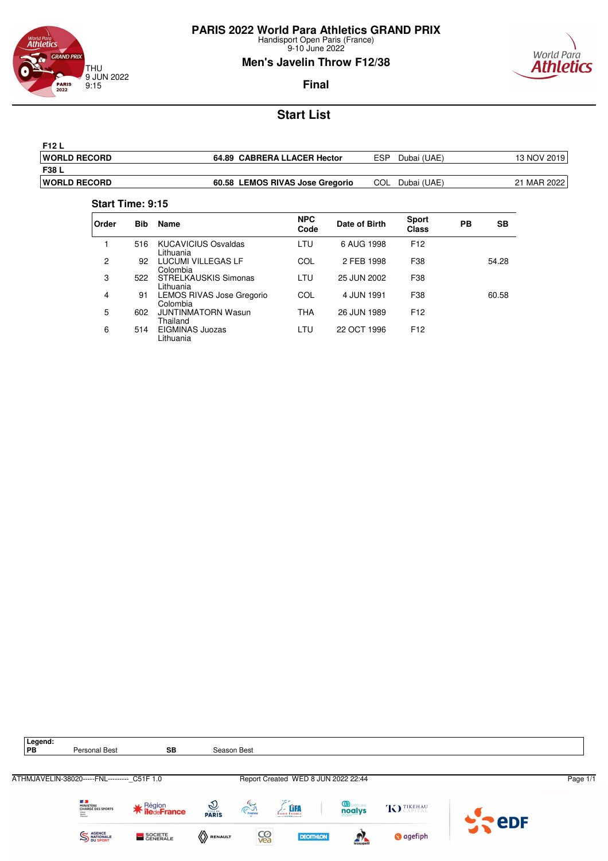![](_page_25_Picture_0.jpeg)

9-10 June 2022

### **Men's Javelin Throw F12/38**

![](_page_25_Picture_4.jpeg)

### **Final**

# **Start List**

| <b>F12 L</b>         |                                 |                    |             |
|----------------------|---------------------------------|--------------------|-------------|
| <b>IWORLD RECORD</b> | 64.89 CABRERA LLACER Hector     | ESP<br>Dubai (UAE) | 13 NOV 2019 |
| <b>F38 L</b>         |                                 |                    |             |
| <b>IWORLD RECORD</b> | 60.58 LEMOS RIVAS Jose Gregorio | COL<br>Dubai (UAE) | 21 MAR 2022 |

#### **Start Time: 9:15**

| Order | <b>Bib</b> | <b>Name</b>                             | <b>NPC</b><br>Code | Date of Birth | <b>Sport</b><br><b>Class</b> | PВ | SВ    |
|-------|------------|-----------------------------------------|--------------------|---------------|------------------------------|----|-------|
|       | 516        | <b>KUCAVICIUS Osvaldas</b><br>Lithuania | LTU                | 6 AUG 1998    | F <sub>12</sub>              |    |       |
| 2     | 92         | LUCUMI VILLEGAS LF<br>Colombia          | COL                | 2 FEB 1998    | F38                          |    | 54.28 |
| 3     | 522        | STRELKAUSKIS Simonas<br>Lithuania       | LTU                | 25 JUN 2002   | F38                          |    |       |
| 4     | 91         | LEMOS RIVAS Jose Gregorio<br>Colombia   | COL                | 4 JUN 1991    | F38                          |    | 60.58 |
| 5     | 602        | <b>JUNTINMATORN Wasun</b><br>Thailand   | THA                | 26 JUN 1989   | F <sub>12</sub>              |    |       |
| 6     | 514        | EIGMINAS Juozas<br>Lithuania            | LTU                | 22 OCT 1996   | F <sub>12</sub>              |    |       |

![](_page_25_Picture_10.jpeg)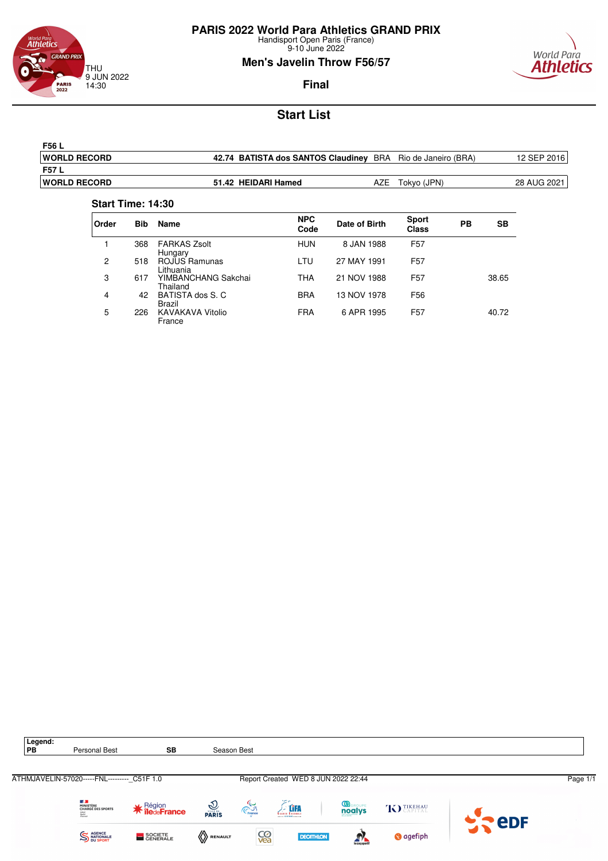![](_page_26_Picture_0.jpeg)

9-10 June 2022

### **Men's Javelin Throw F56/57**

![](_page_26_Picture_4.jpeg)

### **Final**

# **Start List**

| F56 L                |                                        |     |                      |             |
|----------------------|----------------------------------------|-----|----------------------|-------------|
| <b>IWORLD RECORD</b> | 42.74 BATISTA dos SANTOS Claudiney BRA |     | Rio de Janeiro (BRA) | 12 SEP 2016 |
| F57 L                |                                        |     |                      |             |
| <b>IWORLD RECORD</b> | 51.42 HEIDARI Hamed                    | A∠E | Tokyo (JPN)          | 28 AUG 2021 |

#### **Start Time: 14:30**

| Order | <b>Bib</b> | Name                            | <b>NPC</b><br>Code | Date of Birth | <b>Sport</b><br><b>Class</b> | РB | SВ    |
|-------|------------|---------------------------------|--------------------|---------------|------------------------------|----|-------|
|       | 368        | <b>FARKAS Zsolt</b><br>Hungary  | <b>HUN</b>         | 8 JAN 1988    | F <sub>57</sub>              |    |       |
| 2     | 518        | ROJUS Ramunas<br>Lithuania      | <b>LTU</b>         | 27 MAY 1991   | F <sub>57</sub>              |    |       |
| 3     | 617        | YIMBANCHANG Sakchai<br>Thailand | THA                | 21 NOV 1988   | F <sub>57</sub>              |    | 38.65 |
| 4     | 42         | BATISTA dos S. C<br>Brazil      | <b>BRA</b>         | 13 NOV 1978   | F56                          |    |       |
| 5     | 226        | KAVAKAVA Vitolio<br>France      | <b>FRA</b>         | 6 APR 1995    | F <sub>57</sub>              |    | 40.72 |

![](_page_26_Picture_10.jpeg)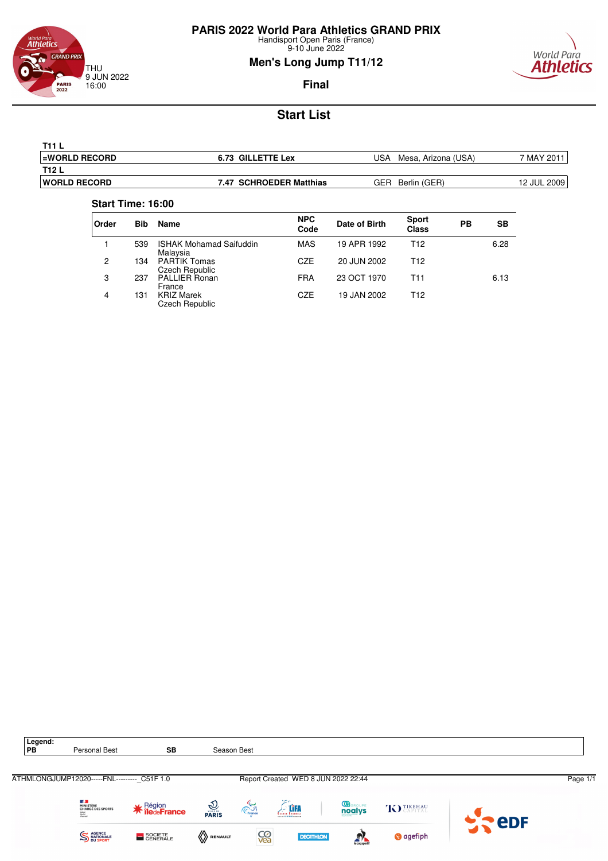![](_page_27_Picture_0.jpeg)

9-10 June 2022

# **Men's Long Jump T11/12**

![](_page_27_Picture_4.jpeg)

### **Final**

# **Start List**

| <b>T11 L</b>          |                         |                            |             |
|-----------------------|-------------------------|----------------------------|-------------|
| <b>LEWORLD RECORD</b> | 6.73 GILLETTE Lex       | USA<br>Mesa, Arizona (USA) | 7 MAY 201   |
| T <sub>12</sub> L     |                         |                            |             |
| <b>IWORLD RECORD</b>  | 7.47 SCHROEDER Matthias | GER<br>Berlin (GER)        | 12 JUL 2009 |
|                       |                         |                            |             |

#### **Start Time: 16:00**

| <b>Order</b> | <b>Bib</b> | <b>Name</b>                                | <b>NPC</b><br>Code | Date of Birth | <b>Sport</b><br><b>Class</b> | PВ | <b>SB</b> |
|--------------|------------|--------------------------------------------|--------------------|---------------|------------------------------|----|-----------|
|              | 539        | <b>ISHAK Mohamad Saifuddin</b><br>Malaysia | MAS                | 19 APR 1992   | T12                          |    | 6.28      |
| 2            | 134        | <b>PARTIK Tomas</b><br>Czech Republic      | CZE                | 20 JUN 2002   | T12                          |    |           |
| 3            | 237        | <b>PALLIER Ronan</b><br>France             | <b>FRA</b>         | 23 OCT 1970   | T11                          |    | 6.13      |
| 4            | 131        | <b>KRIZ Marek</b><br><b>Czech Republic</b> | CZE                | 19 JAN 2002   | T12                          |    |           |

![](_page_27_Picture_10.jpeg)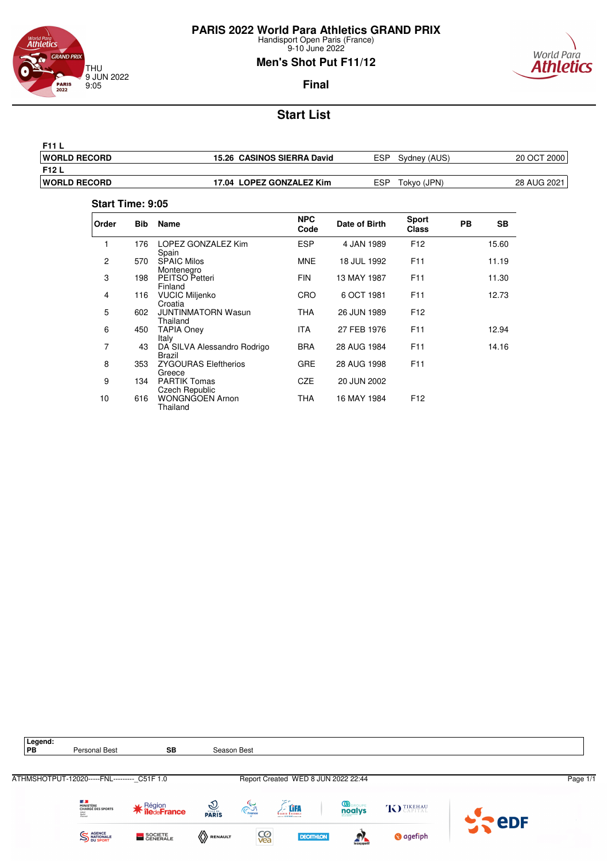![](_page_28_Picture_0.jpeg)

9-10 June 2022

### **Men's Shot Put F11/12**

![](_page_28_Picture_4.jpeg)

# **Start List**

| F11 L                |                            |                           |             |
|----------------------|----------------------------|---------------------------|-------------|
| <b>IWORLD RECORD</b> | 15.26 CASINOS SIERRA David | ESP.<br>Sydney (AUS)      | 20 OCT 2000 |
| <b>F12 L</b>         |                            |                           |             |
| <b>IWORLD RECORD</b> | 17.04 LOPEZ GONZALEZ Kim   | <b>ESP</b><br>Tokyo (JPN) | 28 AUG 2021 |
|                      |                            |                           |             |

#### **Start Time: 9:05**

| Order          | <b>Bib</b> | Name                                  | <b>NPC</b><br>Code | Date of Birth | <b>Sport</b><br><b>Class</b> | PB | SВ    |
|----------------|------------|---------------------------------------|--------------------|---------------|------------------------------|----|-------|
| 1              | 176        | LOPEZ GONZALEZ Kim<br>Spain           | <b>ESP</b>         | 4 JAN 1989    | F <sub>12</sub>              |    | 15.60 |
| $\overline{2}$ | 570        | <b>SPAIC Milos</b><br>Montenegro      | <b>MNE</b>         | 18 JUL 1992   | F <sub>11</sub>              |    | 11.19 |
| 3              | 198        | PEITSO Petteri<br>Finland             | <b>FIN</b>         | 13 MAY 1987   | F11                          |    | 11.30 |
| 4              | 116        | <b>VUCIC Miljenko</b><br>Croatia      | CRO                | 6 OCT 1981    | F11                          |    | 12.73 |
| 5              | 602        | <b>JUNTINMATORN Wasun</b><br>Thailand | THA                | 26 JUN 1989   | F <sub>12</sub>              |    |       |
| 6              | 450        | TAPIA Oney<br>Italy                   | ITA                | 27 FEB 1976   | F11                          |    | 12.94 |
| 7              | 43         | DA SILVA Alessandro Rodrigo<br>Brazil | <b>BRA</b>         | 28 AUG 1984   | F <sub>11</sub>              |    | 14.16 |
| 8              | 353        | <b>ZYGOURAS Eleftherios</b><br>Greece | <b>GRE</b>         | 28 AUG 1998   | F11                          |    |       |
| 9              | 134        | <b>PARTIK Tomas</b><br>Czech Republic | CZE                | 20 JUN 2002   |                              |    |       |
| 10             | 616        | <b>WONGNGOEN Arnon</b><br>Thailand    | THA                | 16 MAY 1984   | F <sub>12</sub>              |    |       |

![](_page_28_Picture_9.jpeg)

![](_page_28_Picture_10.jpeg)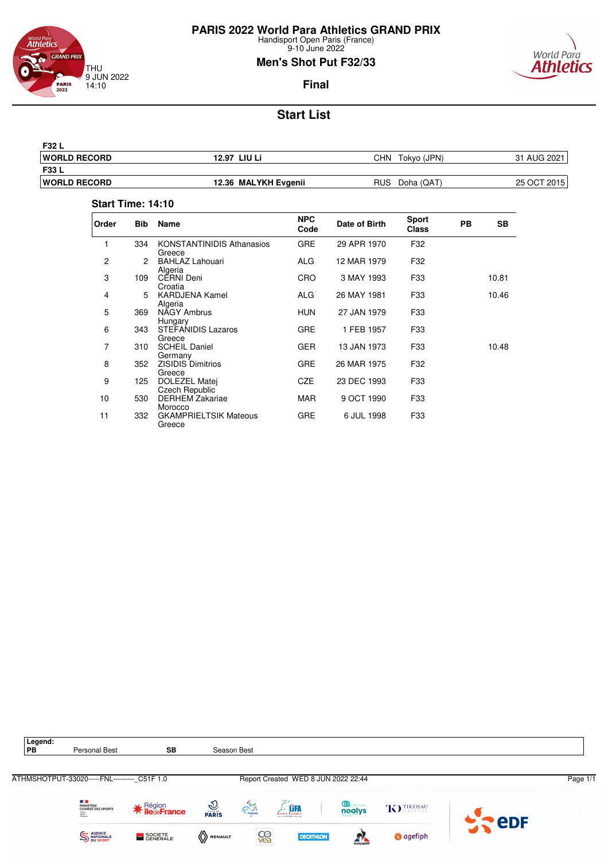![](_page_29_Picture_0.jpeg)

9-10 June 2022

### **Men's Shot Put F32/33**

![](_page_29_Picture_4.jpeg)

**Final**

# **Start List**

| F32 L               |                      |                          |             |
|---------------------|----------------------|--------------------------|-------------|
| <b>WORLD RECORD</b> | 12.97 LIU Li         | CHN<br>Tokvo (JPN)       | 31 AUG 2021 |
| F33 L               |                      |                          |             |
| <b>WORLD RECORD</b> | 12.36 MALYKH Evgenii | <b>RUS</b><br>Doha (QAT) | 25 OCT 2015 |

#### **Start Time: 14:10**

| Order | <b>Bib</b> | Name                                       | <b>NPC</b><br>Code | Date of Birth | <b>Sport</b><br><b>Class</b> | PB | <b>SB</b> |
|-------|------------|--------------------------------------------|--------------------|---------------|------------------------------|----|-----------|
| 1     | 334        | <b>KONSTANTINIDIS Athanasios</b><br>Greece | <b>GRE</b>         | 29 APR 1970   | F32                          |    |           |
| 2     | 2          | <b>BAHLAZ Lahouari</b><br>Algeria          | ALG                | 12 MAR 1979   | F32                          |    |           |
| 3     | 109        | <b>CERNI Deni</b><br>Croatia               | CRO                | 3 MAY 1993    | F33                          |    | 10.81     |
| 4     | 5          | <b>KARDJENA Kamel</b><br>Algeria           | <b>ALG</b>         | 26 MAY 1981   | F33                          |    | 10.46     |
| 5     | 369        | NAGY Ambrus<br>Hungary                     | <b>HUN</b>         | 27 JAN 1979   | F33                          |    |           |
| 6     | 343        | STEFANIDIS Lazaros<br>Greece               | <b>GRE</b>         | 1 FEB 1957    | F33                          |    |           |
| 7     | 310        | <b>SCHEIL Daniel</b><br>Germany            | <b>GER</b>         | 13 JAN 1973   | F33                          |    | 10.48     |
| 8     | 352        | <b>ZISIDIS Dimitrios</b><br>Greece         | <b>GRE</b>         | 26 MAR 1975   | F32                          |    |           |
| 9     | 125        | DOLEZEL Matej<br>Czech Republic            | <b>CZE</b>         | 23 DEC 1993   | F33                          |    |           |
| 10    | 530        | <b>DERHEM Zakariae</b><br>Morocco          | <b>MAR</b>         | 9 OCT 1990    | F33                          |    |           |
| 11    | 332        | <b>GKAMPRIELTSIK Mateous</b><br>Greece     | <b>GRE</b>         | 6 JUL 1998    | F33                          |    |           |

![](_page_29_Figure_10.jpeg)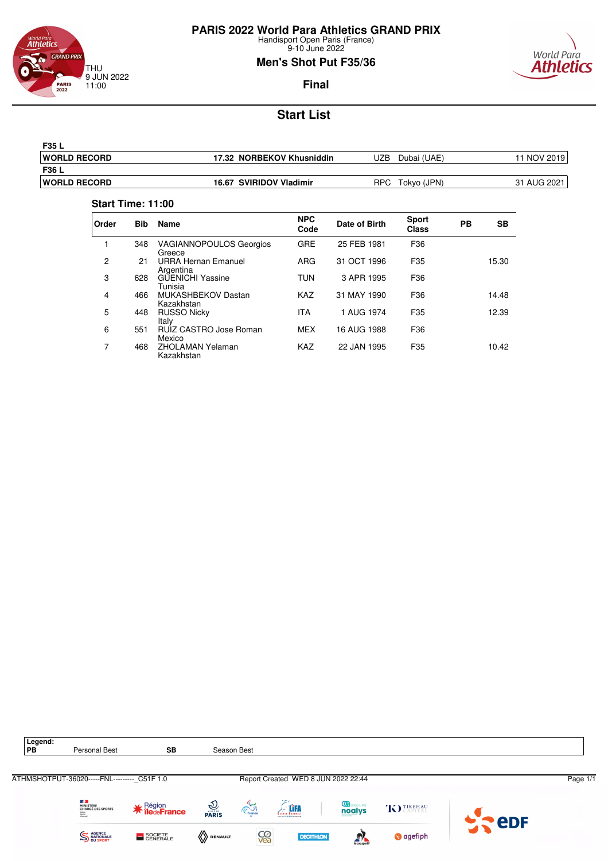![](_page_30_Picture_0.jpeg)

9-10 June 2022

### **Men's Shot Put F35/36**

World Para

**Athletics** 

![](_page_30_Picture_4.jpeg)

# **Start List**

| F35 L                |                           |                    |                 |
|----------------------|---------------------------|--------------------|-----------------|
| <b>IWORLD RECORD</b> | 17.32 NORBEKOV Khusniddin | JZB<br>Dubai (UAE) | <b>NOV 2019</b> |
| F36 L                |                           |                    |                 |
| <b>IWORLD RECORD</b> | 16.67 SVIRIDOV Vladimir   | RPC<br>Tokyo (JPN) | 31 AUG 2021     |

#### **Start Time: 11:00**

| Order | <b>Bib</b> | <b>Name</b>                              | <b>NPC</b><br>Code | Date of Birth | <b>Sport</b><br><b>Class</b> | PB | SВ    |
|-------|------------|------------------------------------------|--------------------|---------------|------------------------------|----|-------|
| 1     | 348        | <b>VAGIANNOPOULOS Georgios</b><br>Greece | <b>GRE</b>         | 25 FEB 1981   | F36                          |    |       |
| 2     | 21         | <b>URRA Hernan Emanuel</b><br>Argentina  | ARG                | 31 OCT 1996   | F35                          |    | 15.30 |
| 3     | 628        | <b>GUENICHI Yassine</b><br>Tunisia       | TUN                | 3 APR 1995    | F36                          |    |       |
| 4     | 466        | MUKASHBEKOV Dastan<br>Kazakhstan         | <b>KAZ</b>         | 31 MAY 1990   | F36                          |    | 14.48 |
| 5     | 448        | <b>RUSSO Nicky</b><br>Italy              | <b>ITA</b>         | 1 AUG 1974    | F35                          |    | 12.39 |
| 6     | 551        | RUIZ CASTRO Jose Roman<br>Mexico         | <b>MEX</b>         | 16 AUG 1988   | F36                          |    |       |
| 7     | 468        | <b>ZHOLAMAN Yelaman</b><br>Kazakhstan    | KAZ                | 22 JAN 1995   | F35                          |    | 10.42 |

![](_page_30_Picture_9.jpeg)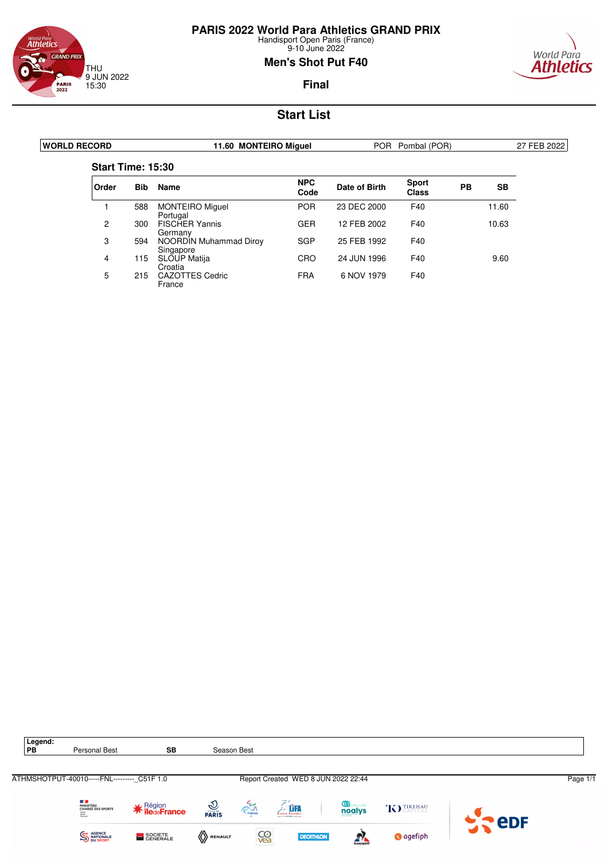![](_page_31_Picture_0.jpeg)

### <sup>World Para</sup><br>**Athletics GRAND PRIX** THU 9 JUN 2022 15:30 **PARIS**<br>2022

### **Men's Shot Put F40**

![](_page_31_Picture_4.jpeg)

**Final**

| <b>WORLD RECORD</b>      |            | 11.60 MONTEIRO Miquel               |                    |               | POR Pombal (POR)             |           |       | 27 FEB 2022 |
|--------------------------|------------|-------------------------------------|--------------------|---------------|------------------------------|-----------|-------|-------------|
| <b>Start Time: 15:30</b> |            |                                     |                    |               |                              |           |       |             |
| Order                    | <b>Bib</b> | <b>Name</b>                         | <b>NPC</b><br>Code | Date of Birth | <b>Sport</b><br><b>Class</b> | <b>PB</b> | SB    |             |
|                          | 588        | <b>MONTEIRO Miguel</b><br>Portugal  | <b>POR</b>         | 23 DEC 2000   | F40                          |           | 11.60 |             |
| $\overline{2}$           | 300        | <b>FISCHER Yannis</b><br>Germany    | <b>GER</b>         | 12 FEB 2002   | F40                          |           | 10.63 |             |
| 3                        | 594        | NOORDIN Muhammad Diroy<br>Singapore | <b>SGP</b>         | 25 FEB 1992   | F40                          |           |       |             |
| 4                        | 115        | SLOUP Matija<br>Croatia             | CRO                | 24 JUN 1996   | F40                          |           | 9.60  |             |
| 5                        | 215        | <b>CAZOTTES Cedric</b><br>France    | <b>FRA</b>         | 6 NOV 1979    | F40                          |           |       |             |

![](_page_31_Picture_8.jpeg)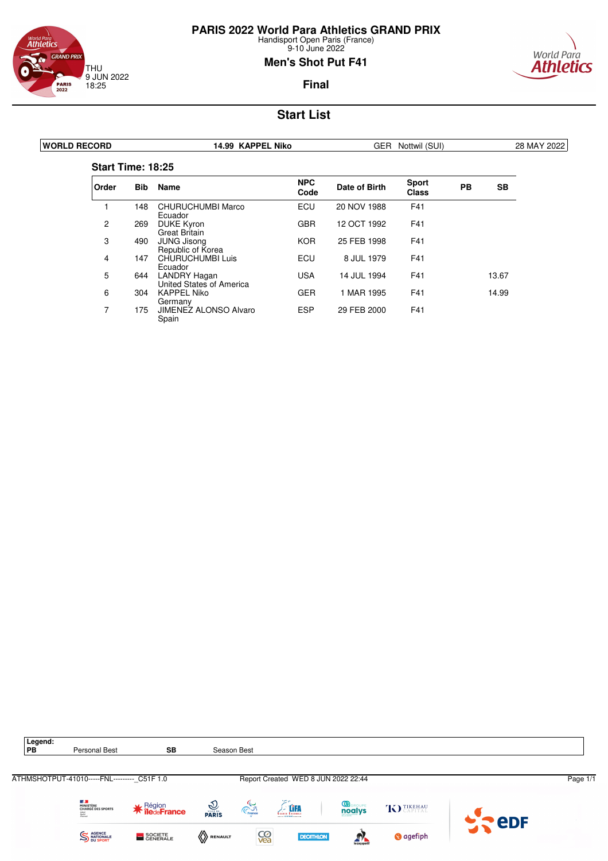![](_page_32_Picture_0.jpeg)

### <sup>World Para</sup><br>**Athletics GRAND PRIX** THU 9 JUN 2022 18:25 **PARIS**<br>2022

### **Men's Shot Put F41**

![](_page_32_Picture_4.jpeg)

**Final**

| <b>WORLD RECORD</b> |                          |            | 14.99 KAPPEL Niko                        |                    |               | GER Nottwil (SUI)            |           |       | 28 MAY 2022 |
|---------------------|--------------------------|------------|------------------------------------------|--------------------|---------------|------------------------------|-----------|-------|-------------|
|                     | <b>Start Time: 18:25</b> |            |                                          |                    |               |                              |           |       |             |
|                     | Order                    | <b>Bib</b> | Name                                     | <b>NPC</b><br>Code | Date of Birth | <b>Sport</b><br><b>Class</b> | <b>PB</b> | SB    |             |
|                     |                          | 148        | <b>CHURUCHUMBI Marco</b><br>Ecuador      | <b>ECU</b>         | 20 NOV 1988   | F41                          |           |       |             |
|                     | $\overline{2}$           | 269        | <b>DUKE Kyron</b><br>Great Britain       | <b>GBR</b>         | 12 OCT 1992   | F41                          |           |       |             |
|                     | 3                        | 490        | <b>JUNG Jisona</b><br>Republic of Korea  | <b>KOR</b>         | 25 FEB 1998   | F41                          |           |       |             |
|                     | 4                        | 147        | CHURUCHUMBI Luis<br>Ecuador              | ECU                | 8 JUL 1979    | F41                          |           |       |             |
|                     | 5                        | 644        | LANDRY Hagan<br>United States of America | <b>USA</b>         | 14 JUL 1994   | F41                          |           | 13.67 |             |
|                     | 6                        | 304        | <b>KAPPEL Niko</b><br>Germany            | <b>GER</b>         | 1 MAR 1995    | F41                          |           | 14.99 |             |
|                     | 7                        | 175        | <b>JIMENEZ ALONSO Alvaro</b><br>Spain    | <b>ESP</b>         | 29 FEB 2000   | F41                          |           |       |             |

![](_page_32_Picture_8.jpeg)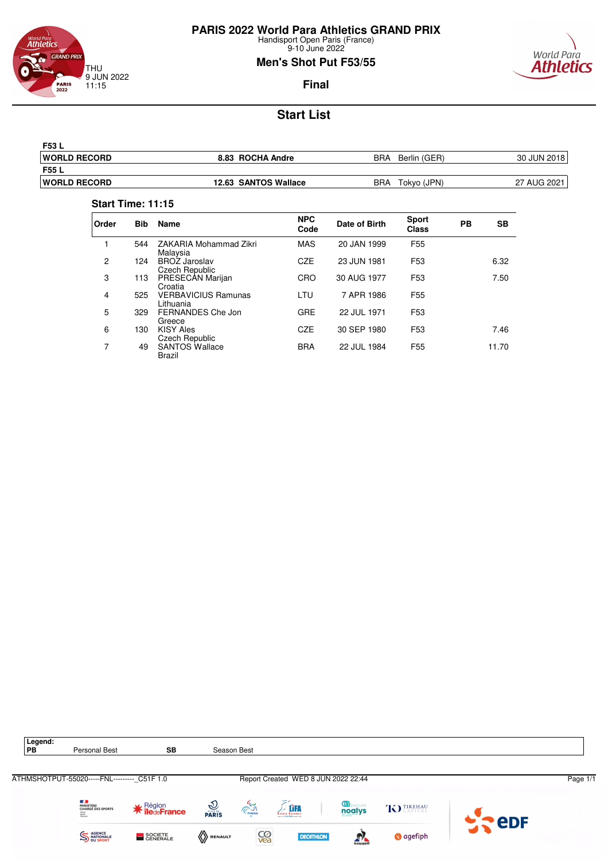![](_page_33_Picture_0.jpeg)

9-10 June 2022

### **Men's Shot Put F53/55**

![](_page_33_Picture_4.jpeg)

**Final**

# **Start List**

| F53 L                |                      |                     |             |
|----------------------|----------------------|---------------------|-------------|
| <b>IWORLD RECORD</b> | 8.83 ROCHA Andre     | BRA<br>Berlin (GER) | 30 JUN 2018 |
| F55 L                |                      |                     |             |
| <b>IWORLD RECORD</b> | 12.63 SANTOS Wallace | BRA<br>Tokyo (JPN)  | 27 AUG 2021 |

#### **Start Time: 11:15**

| Order | <b>Bib</b> | <b>Name</b>                             | <b>NPC</b><br>Code | Date of Birth | <b>Sport</b><br><b>Class</b> | PB | SВ    |
|-------|------------|-----------------------------------------|--------------------|---------------|------------------------------|----|-------|
|       | 544        | ZAKARIA Mohammad Zikri<br>Malaysia      | <b>MAS</b>         | 20 JAN 1999   | F <sub>55</sub>              |    |       |
| 2     | 124        | <b>BROZ Jaroslav</b><br>Czech Republic  | <b>CZE</b>         | 23 JUN 1981   | F <sub>53</sub>              |    | 6.32  |
| 3     | 113        | PRESECAN Marijan<br>Croatia             | CRO                | 30 AUG 1977   | F <sub>53</sub>              |    | 7.50  |
| 4     | 525        | <b>VERBAVICIUS Ramunas</b><br>Lithuania | LTU                | 7 APR 1986    | F <sub>55</sub>              |    |       |
| 5     | 329        | FERNANDES Che Jon<br>Greece             | <b>GRE</b>         | 22 JUL 1971   | F <sub>53</sub>              |    |       |
| 6     | 130        | <b>KISY Ales</b><br>Czech Republic      | <b>CZE</b>         | 30 SEP 1980   | F <sub>53</sub>              |    | 7.46  |
| 7     | 49         | <b>SANTOS Wallace</b><br><b>Brazil</b>  | <b>BRA</b>         | 22 JUL 1984   | F <sub>55</sub>              |    | 11.70 |

![](_page_33_Figure_10.jpeg)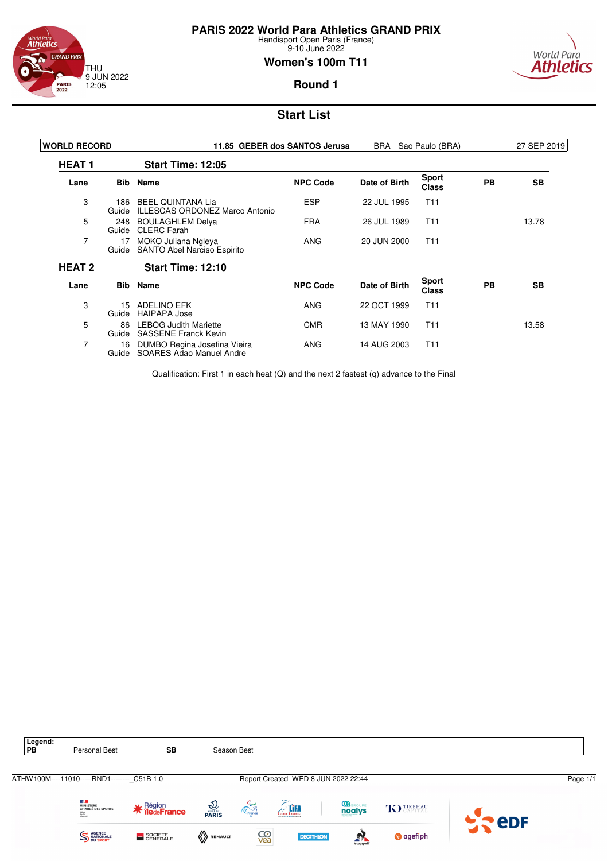![](_page_34_Picture_0.jpeg)

**PARIS 2022 World Para Athletics GRAND PRIX**

Handisport Open Paris (France) 9-10 June 2022

### **Women's 100m T11**

![](_page_34_Picture_4.jpeg)

**Round 1**

# **Start List**

| <b>WORLD RECORD</b> |              | 11.85 GEBER dos SANTOS Jerusa                                     |                 | BRA<br>Sao Paulo (BRA) |                              |           | 27 SEP 2019 |
|---------------------|--------------|-------------------------------------------------------------------|-----------------|------------------------|------------------------------|-----------|-------------|
| <b>HEAT1</b>        |              | <b>Start Time: 12:05</b>                                          |                 |                        |                              |           |             |
| Lane                |              | <b>Bib</b> Name                                                   | <b>NPC Code</b> | Date of Birth          | <b>Sport</b><br><b>Class</b> | <b>PB</b> | <b>SB</b>   |
| 3                   | 186<br>Guide | <b>BEEL QUINTANA Lia</b><br><b>ILLESCAS ORDONEZ Marco Antonio</b> | <b>ESP</b>      | 22 JUL 1995            | T <sub>11</sub>              |           |             |
| 5                   | 248<br>Guide | <b>BOULAGHLEM Delya</b><br><b>CLERC</b> Farah                     | <b>FRA</b>      | 26 JUL 1989            | T <sub>11</sub>              |           | 13.78       |
| 7                   | 17<br>Guide  | MOKO Juliana Ngleya<br>SANTO Abel Narciso Espirito                | ANG             | 20 JUN 2000            | T <sub>11</sub>              |           |             |
| <b>HEAT 2</b>       |              | <b>Start Time: 12:10</b>                                          |                 |                        |                              |           |             |
| Lane                |              | <b>Bib</b> Name                                                   | <b>NPC Code</b> | Date of Birth          | <b>Sport</b><br><b>Class</b> | PB        | SB          |
| 3                   | 15<br>Guide  | ADELINO EFK<br><b>HAIPAPA Jose</b>                                | <b>ANG</b>      | 22 OCT 1999            | T <sub>11</sub>              |           |             |
| 5                   | 86<br>Guide  | <b>LEBOG Judith Mariette</b><br><b>SASSENE Franck Kevin</b>       | <b>CMR</b>      | 13 MAY 1990            | T <sub>11</sub>              |           | 13.58       |
| $\overline{7}$      | 16<br>Guide  | DUMBO Regina Josefina Vieira<br>SOARES Adao Manuel Andre          | ANG             | 14 AUG 2003            | T <sub>11</sub>              |           |             |

Qualification: First 1 in each heat (Q) and the next 2 fastest (q) advance to the Final

![](_page_34_Picture_9.jpeg)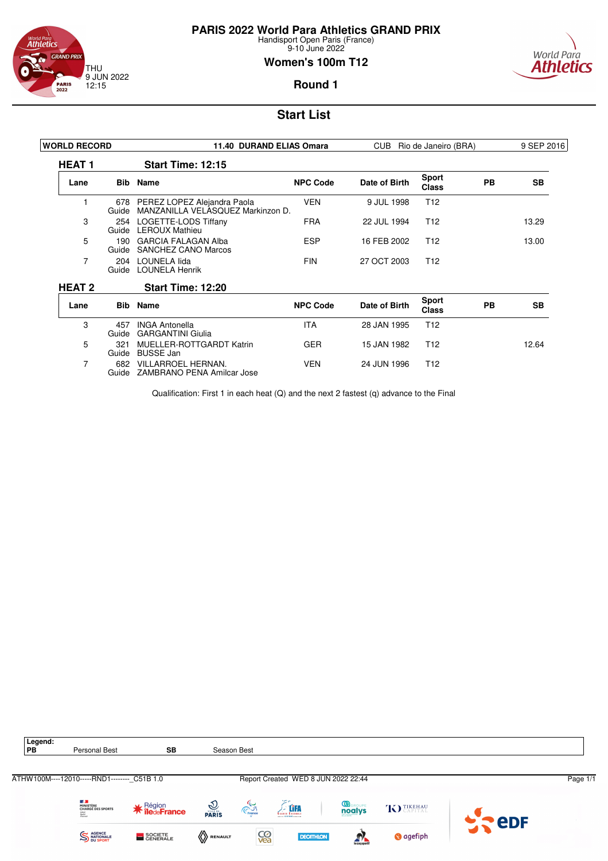![](_page_35_Picture_0.jpeg)

9-10 June 2022

### **Women's 100m T12**

![](_page_35_Picture_4.jpeg)

**Round 1**

# **Start List**

| <b>WORLD RECORD</b> |              | 11.40 DURAND ELIAS Omara                                         |                 | Rio de Janeiro (BRA)<br>CUB. |                              |           | 9 SEP 2016 |
|---------------------|--------------|------------------------------------------------------------------|-----------------|------------------------------|------------------------------|-----------|------------|
| <b>HEAT1</b>        |              | <b>Start Time: 12:15</b>                                         |                 |                              |                              |           |            |
| Lane                |              | <b>Bib</b> Name                                                  | <b>NPC Code</b> | Date of Birth                | <b>Sport</b><br><b>Class</b> | <b>PB</b> | <b>SB</b>  |
|                     | 678<br>Guide | PEREZ LOPEZ Alejandra Paola<br>MANZANILLA VELASQUEZ Markinzon D. | <b>VEN</b>      | 9 JUL 1998                   | T <sub>12</sub>              |           |            |
| 3                   | 254<br>Guide | LOGETTE-LODS Tiffany<br><b>LEROUX Mathieu</b>                    | <b>FRA</b>      | 22 JUL 1994                  | T <sub>12</sub>              |           | 13.29      |
| 5                   | 190<br>Guide | <b>GARCIA FALAGAN Alba</b><br><b>SANCHEZ CANO Marcos</b>         | <b>ESP</b>      | 16 FEB 2002                  | T <sub>12</sub>              |           | 13.00      |
| 7                   | 204<br>Guide | LOUNELA lida<br><b>LOUNELA Henrik</b>                            | <b>FIN</b>      | 27 OCT 2003                  | T <sub>12</sub>              |           |            |
| <b>HEAT 2</b>       |              | Start Time: 12:20                                                |                 |                              |                              |           |            |
| Lane                |              | <b>Bib</b> Name                                                  | <b>NPC Code</b> | Date of Birth                | <b>Sport</b><br><b>Class</b> | <b>PB</b> | <b>SB</b>  |
| 3                   | 457<br>Guide | <b>INGA Antonella</b><br><b>GARGANTINI Giulia</b>                | <b>ITA</b>      | 28 JAN 1995                  | T <sub>12</sub>              |           |            |
| 5                   | 321<br>Guide | <b>MUELLER-ROTTGARDT Katrin</b><br><b>BUSSE Jan</b>              | <b>GER</b>      | 15 JAN 1982                  | T <sub>12</sub>              |           | 12.64      |
| 7                   | 682<br>Guide | VILLARROEL HERNAN.<br>ZAMBRANO PENA Amilcar Jose                 | <b>VEN</b>      | 24 JUN 1996                  | T <sub>12</sub>              |           |            |

Qualification: First 1 in each heat (Q) and the next 2 fastest (q) advance to the Final

![](_page_35_Picture_9.jpeg)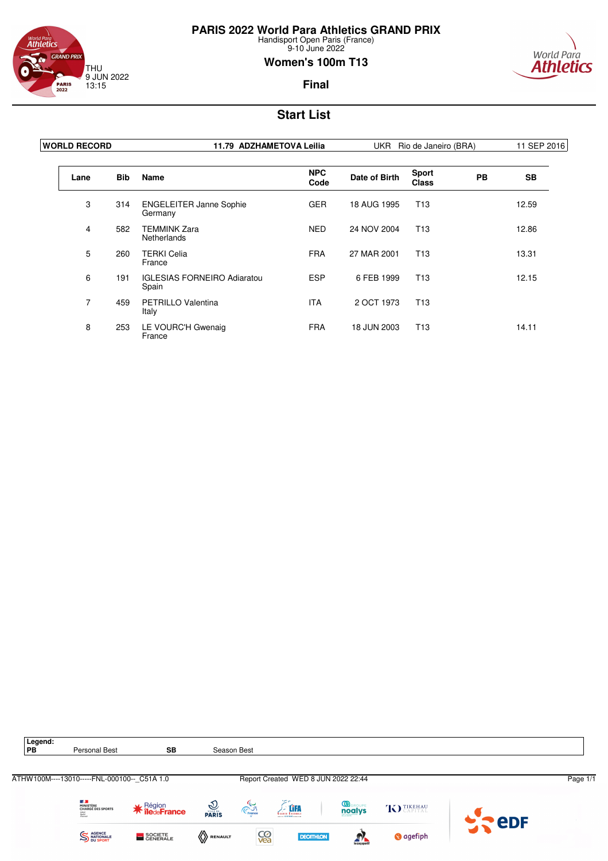![](_page_36_Picture_0.jpeg)

### <sub>World Para</sub><br>**Athletics GRAND PRIX** THU 9 JUN 2022 **PARIS**<br>2022 13:15

### **Women's 100m T13**

![](_page_36_Picture_4.jpeg)

**Final**

| <b>WORLD RECORD</b> |            | 11.79 ADZHAMETOVA Leilia                    | UKR Rio de Janeiro (BRA) |               |                              | 11 SEP 2016 |           |
|---------------------|------------|---------------------------------------------|--------------------------|---------------|------------------------------|-------------|-----------|
| Lane                | <b>Bib</b> | Name                                        | <b>NPC</b><br>Code       | Date of Birth | <b>Sport</b><br><b>Class</b> | <b>PB</b>   | <b>SB</b> |
| 3                   | 314        | <b>ENGELEITER Janne Sophie</b><br>Germany   | <b>GER</b>               | 18 AUG 1995   | T <sub>13</sub>              |             | 12.59     |
| $\overline{4}$      | 582        | <b>TEMMINK Zara</b><br><b>Netherlands</b>   | <b>NED</b>               | 24 NOV 2004   | T <sub>13</sub>              |             | 12.86     |
| 5                   | 260        | <b>TERKI Celia</b><br>France                | <b>FRA</b>               | 27 MAR 2001   | T <sub>13</sub>              |             | 13.31     |
| 6                   | 191        | <b>IGLESIAS FORNEIRO Adiaratou</b><br>Spain | <b>ESP</b>               | 6 FEB 1999    | T <sub>13</sub>              |             | 12.15     |
| 7                   | 459        | <b>PETRILLO Valentina</b><br>Italy          | <b>ITA</b>               | 2 OCT 1973    | T <sub>13</sub>              |             |           |
| 8                   | 253        | LE VOURC'H Gwenaig<br>France                | <b>FRA</b>               | 18 JUN 2003   | T <sub>13</sub>              |             | 14.11     |

![](_page_36_Picture_8.jpeg)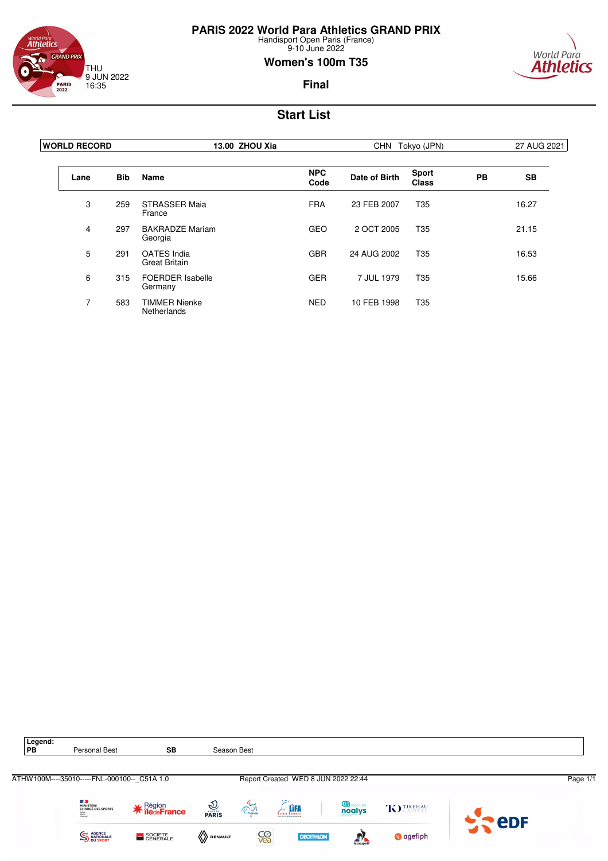![](_page_37_Picture_0.jpeg)

### <sup>World Para</sup><br>**Athletics GRAND PRIX** THU 9 JUN 2022 16:35 **PARIS**<br>2022

### **Women's 100m T35**

![](_page_37_Picture_4.jpeg)

**Final**

| <b>WORLD RECORD</b> | 13.00 ZHOU Xia |                                            | <b>CHN</b>         | Tokyo (JPN)   |                              |           |           |
|---------------------|----------------|--------------------------------------------|--------------------|---------------|------------------------------|-----------|-----------|
| Lane                | <b>Bib</b>     | <b>Name</b>                                | <b>NPC</b><br>Code | Date of Birth | <b>Sport</b><br><b>Class</b> | <b>PB</b> | <b>SB</b> |
| 3                   | 259            | <b>STRASSER Maja</b><br>France             | <b>FRA</b>         | 23 FEB 2007   | T <sub>35</sub>              |           | 16.27     |
| $\overline{4}$      | 297            | <b>BAKRADZE Mariam</b><br>Georgia          | <b>GEO</b>         | 2 OCT 2005    | T <sub>35</sub>              |           | 21.15     |
| 5                   | 291            | <b>OATES</b> India<br><b>Great Britain</b> | <b>GBR</b>         | 24 AUG 2002   | T <sub>35</sub>              |           | 16.53     |
| 6                   | 315            | <b>FOERDER Isabelle</b><br>Germany         | <b>GER</b>         | 7 JUL 1979    | T35                          |           | 15.66     |
| 7                   | 583            | <b>TIMMER Nienke</b><br>Netherlands        | <b>NED</b>         | 10 FEB 1998   | T <sub>35</sub>              |           |           |

![](_page_37_Picture_8.jpeg)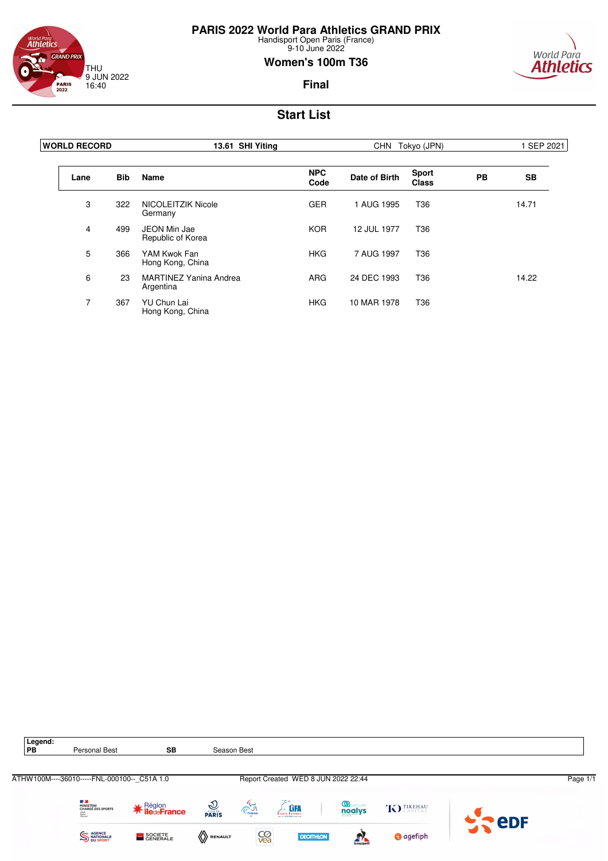![](_page_38_Picture_0.jpeg)

#### <sup>World Para</sup><br>**Athletics GRAND PRIX** THU 9 JUN 2022 16:40 **PARIS**<br>2022

### **Women's 100m T36**

![](_page_38_Picture_4.jpeg)

**Final**

| <b>WORLD RECORD</b> | 13.61 SHI Yiting |                                            | CHN Tokyo (JPN)    |               |                       | SEP 2021  |           |
|---------------------|------------------|--------------------------------------------|--------------------|---------------|-----------------------|-----------|-----------|
| Lane                | <b>Bib</b>       | <b>Name</b>                                | <b>NPC</b><br>Code | Date of Birth | <b>Sport</b><br>Class | <b>PB</b> | <b>SB</b> |
| 3                   | 322              | NICOLEITZIK Nicole<br>Germany              | <b>GER</b>         | 1 AUG 1995    | T36                   |           | 14.71     |
| 4                   | 499              | JEON Min Jae<br>Republic of Korea          | <b>KOR</b>         | 12 JUL 1977   | T <sub>36</sub>       |           |           |
| 5                   | 366              | YAM Kwok Fan<br>Hong Kong, China           | <b>HKG</b>         | 7 AUG 1997    | T <sub>36</sub>       |           |           |
| 6                   | 23               | <b>MARTINEZ Yanina Andrea</b><br>Argentina | <b>ARG</b>         | 24 DEC 1993   | T <sub>36</sub>       |           | 14.22     |
| 7                   | 367              | <b>YU Chun Lai</b><br>Hong Kong, China     | <b>HKG</b>         | 10 MAR 1978   | T <sub>36</sub>       |           |           |

![](_page_38_Picture_8.jpeg)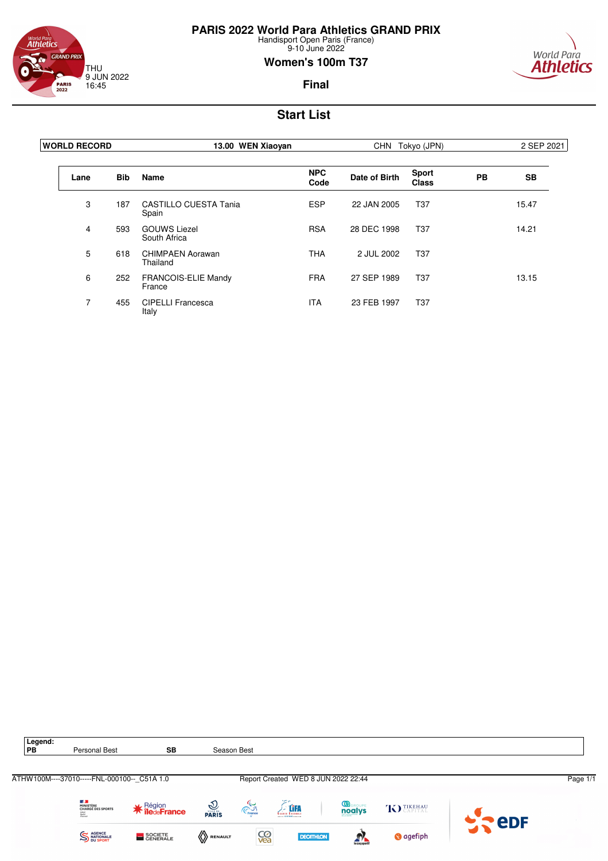![](_page_39_Picture_0.jpeg)

### <sup>World Para</sup><br>**Athletics GRAND PRIX** THU 9 JUN 2022 16:45 **PARIS**<br>2022

### **Women's 100m T37**

![](_page_39_Picture_4.jpeg)

**Final**

| <b>WORLD RECORD</b> | 13.00 WEN Xiaoyan |                                       |                    | CHN Tokyo (JPN) |                       |           | 2 SEP 2021 |  |
|---------------------|-------------------|---------------------------------------|--------------------|-----------------|-----------------------|-----------|------------|--|
| Lane                | <b>Bib</b>        | <b>Name</b>                           | <b>NPC</b><br>Code | Date of Birth   | <b>Sport</b><br>Class | <b>PB</b> | <b>SB</b>  |  |
| 3                   | 187               | <b>CASTILLO CUESTA Tania</b><br>Spain | <b>ESP</b>         | 22 JAN 2005     | T <sub>37</sub>       |           | 15.47      |  |
| 4                   | 593               | <b>GOUWS Liezel</b><br>South Africa   | <b>RSA</b>         | 28 DEC 1998     | T <sub>37</sub>       |           | 14.21      |  |
| 5                   | 618               | <b>CHIMPAEN Aorawan</b><br>Thailand   | <b>THA</b>         | 2 JUL 2002      | T <sub>37</sub>       |           |            |  |
| 6                   | 252               | <b>FRANCOIS-ELIE Mandy</b><br>France  | <b>FRA</b>         | 27 SEP 1989     | T <sub>37</sub>       |           | 13.15      |  |
| 7                   | 455               | <b>CIPELLI Francesca</b><br>Italy     | ITA                | 23 FEB 1997     | T37                   |           |            |  |

![](_page_39_Picture_8.jpeg)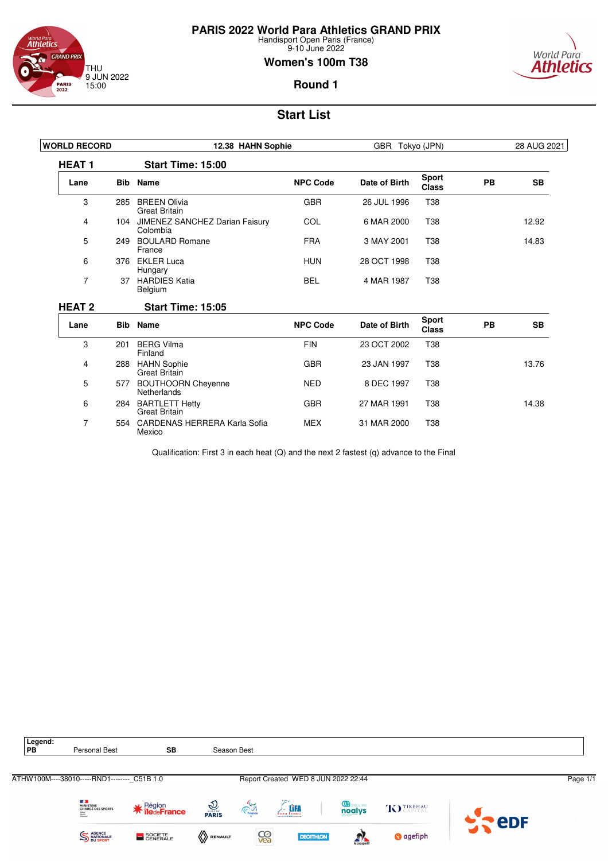![](_page_40_Picture_0.jpeg)

Mexico

# **PARIS 2022 World Para Athletics GRAND PRIX**

Handisport Open Paris (France) 9-10 June 2022

### **Women's 100m T38**

![](_page_40_Picture_4.jpeg)

### **Round 1**

# **Start List**

| <b>WORLD RECORD</b> |            | 12.38 HAHN Sophie                             |                 | GBR Tokyo (JPN) |                              | 28 AUG 2021 |           |
|---------------------|------------|-----------------------------------------------|-----------------|-----------------|------------------------------|-------------|-----------|
| <b>HEAT1</b>        |            | <b>Start Time: 15:00</b>                      |                 |                 |                              |             |           |
| Lane                |            | <b>Bib</b> Name                               | <b>NPC Code</b> | Date of Birth   | <b>Sport</b><br><b>Class</b> | <b>PB</b>   | <b>SB</b> |
| 3                   | 285        | <b>BREEN Olivia</b><br><b>Great Britain</b>   | <b>GBR</b>      | 26 JUL 1996     | <b>T38</b>                   |             |           |
| 4                   | 104        | JIMENEZ SANCHEZ Darian Faisury<br>Colombia    | COL             | 6 MAR 2000      | <b>T38</b>                   |             | 12.92     |
| 5                   | 249        | <b>BOULARD Romane</b><br>France               | <b>FRA</b>      | 3 MAY 2001      | T <sub>38</sub>              |             | 14.83     |
| 6                   |            | 376 EKLER Luca<br>Hungary                     | <b>HUN</b>      | 28 OCT 1998     | T38                          |             |           |
| 7                   | 37         | <b>HARDIES Katia</b><br>Belgium               | <b>BEL</b>      | 4 MAR 1987      | T38                          |             |           |
| <b>HEAT 2</b>       |            | <b>Start Time: 15:05</b>                      |                 |                 |                              |             |           |
| Lane                | <b>Bib</b> | <b>Name</b>                                   | <b>NPC Code</b> | Date of Birth   | <b>Sport</b><br><b>Class</b> | PB          | <b>SB</b> |
| 3                   | 201        | <b>BERG Vilma</b><br>Finland                  | <b>FIN</b>      | 23 OCT 2002     | T38                          |             |           |
| 4                   | 288        | <b>HAHN Sophie</b><br><b>Great Britain</b>    | <b>GBR</b>      | 23 JAN 1997     | <b>T38</b>                   |             | 13.76     |
| 5                   | 577        | <b>BOUTHOORN Cheyenne</b><br>Netherlands      | <b>NED</b>      | 8 DEC 1997      | T38                          |             |           |
| 6                   | 284        | <b>BARTLETT Hetty</b><br><b>Great Britain</b> | <b>GBR</b>      | 27 MAR 1991     | T38                          |             | 14.38     |
| 7                   |            | 554 CARDENAS HERRERA Karla Sofia              | <b>MEX</b>      | 31 MAR 2000     | T38                          |             |           |

Qualification: First 3 in each heat (Q) and the next 2 fastest (q) advance to the Final

![](_page_40_Picture_9.jpeg)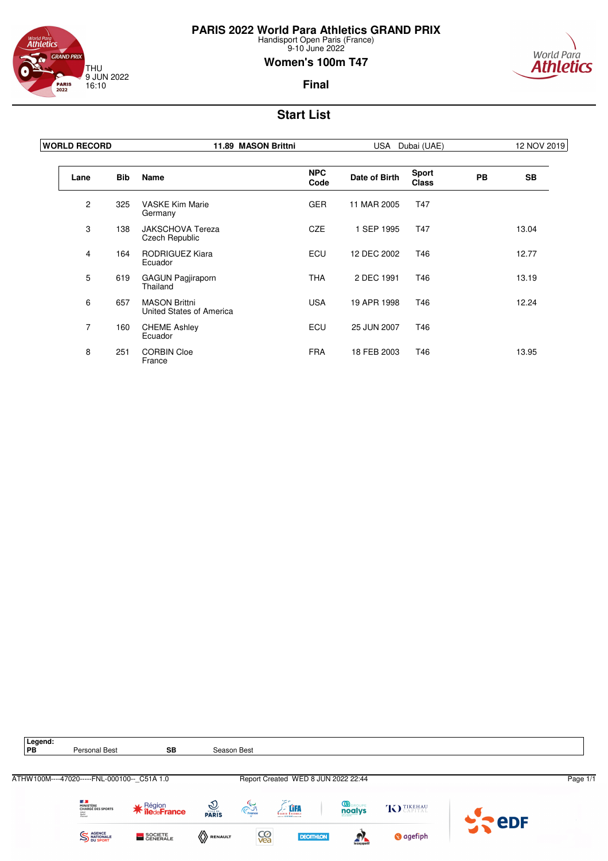![](_page_41_Picture_0.jpeg)

### <sup>World Para</sup><br>**Athletics GRAND PRIX** THU 9 JUN 2022 16:10 **PARIS**<br>2022

### **Women's 100m T47**

![](_page_41_Picture_4.jpeg)

**Final**

| <b>WORLD RECORD</b> | 11.89 MASON Brittni |                                                  | USA                | Dubai (UAE)   |                              |           |           |
|---------------------|---------------------|--------------------------------------------------|--------------------|---------------|------------------------------|-----------|-----------|
| Lane                | <b>Bib</b>          | <b>Name</b>                                      | <b>NPC</b><br>Code | Date of Birth | <b>Sport</b><br><b>Class</b> | <b>PB</b> | <b>SB</b> |
| $\mathbf{2}$        | 325                 | <b>VASKE Kim Marie</b><br>Germany                | <b>GER</b>         | 11 MAR 2005   | T47                          |           |           |
| 3                   | 138                 | <b>JAKSCHOVA Tereza</b><br>Czech Republic        | <b>CZE</b>         | 1 SEP 1995    | T47                          |           | 13.04     |
| $\overline{4}$      | 164                 | RODRIGUEZ Kiara<br>Ecuador                       | <b>ECU</b>         | 12 DEC 2002   | T46                          |           | 12.77     |
| 5                   | 619                 | <b>GAGUN Pagjiraporn</b><br>Thailand             | <b>THA</b>         | 2 DEC 1991    | T46                          |           | 13.19     |
| 6                   | 657                 | <b>MASON Brittni</b><br>United States of America | <b>USA</b>         | 19 APR 1998   | T46                          |           | 12.24     |
| $\overline{7}$      | 160                 | <b>CHEME Ashley</b><br>Ecuador                   | ECU                | 25 JUN 2007   | T46                          |           |           |
| 8                   | 251                 | <b>CORBIN Cloe</b><br>France                     | <b>FRA</b>         | 18 FEB 2003   | T46                          |           | 13.95     |

![](_page_41_Figure_8.jpeg)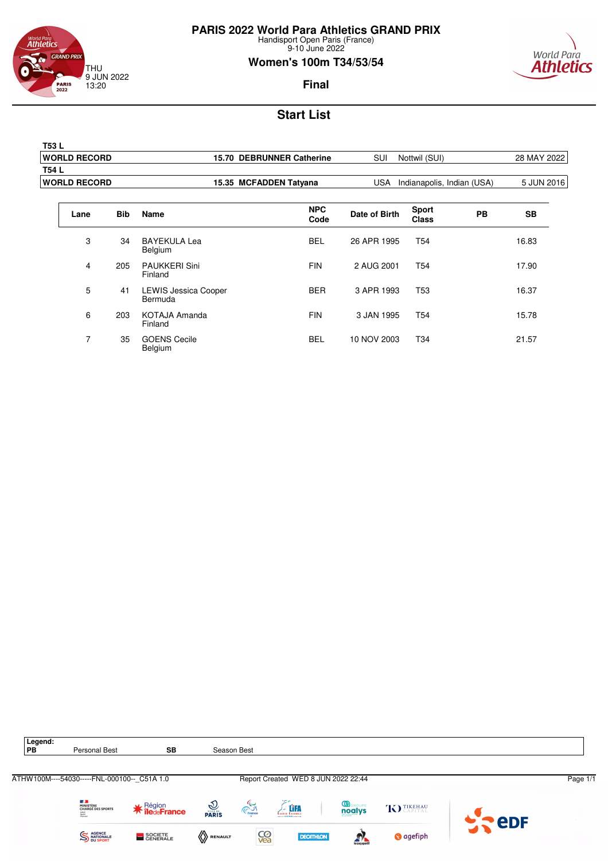![](_page_42_Picture_0.jpeg)

9-10 June 2022

### **Women's 100m T34/53/54**

![](_page_42_Picture_4.jpeg)

### **Final**

| T53 L                |                           |     |                            |             |
|----------------------|---------------------------|-----|----------------------------|-------------|
| <b>WORLD RECORD</b>  | 15.70 DEBRUNNER Catherine | SUI | Nottwil (SUI)              | 28 MAY 2022 |
| T54 L                |                           |     |                            |             |
| <b>IWORLD RECORD</b> | 15.35 MCFADDEN Tatyana    | USA | Indianapolis, Indian (USA) | 5 JUN 2016  |
|                      |                           |     |                            |             |

| Lane           | <b>Bib</b> | <b>Name</b>                            | <b>NPC</b><br>Code | Date of Birth | <b>Sport</b><br><b>Class</b> | <b>PB</b> | <b>SB</b> |
|----------------|------------|----------------------------------------|--------------------|---------------|------------------------------|-----------|-----------|
| 3              | 34         | BAYEKULA Lea<br>Belgium                | <b>BEL</b>         | 26 APR 1995   | T <sub>54</sub>              |           | 16.83     |
| 4              | 205        | <b>PAUKKERI Sini</b><br>Finland        | <b>FIN</b>         | 2 AUG 2001    | T <sub>54</sub>              |           | 17.90     |
| 5              | 41         | <b>LEWIS Jessica Cooper</b><br>Bermuda | <b>BER</b>         | 3 APR 1993    | T <sub>53</sub>              |           | 16.37     |
| 6              | 203        | KOTAJA Amanda<br>Finland               | <b>FIN</b>         | 3 JAN 1995    | T <sub>54</sub>              |           | 15.78     |
| $\overline{7}$ | 35         | <b>GOENS Cecile</b><br>Belgium         | <b>BEL</b>         | 10 NOV 2003   | T <sub>34</sub>              |           | 21.57     |

![](_page_42_Figure_9.jpeg)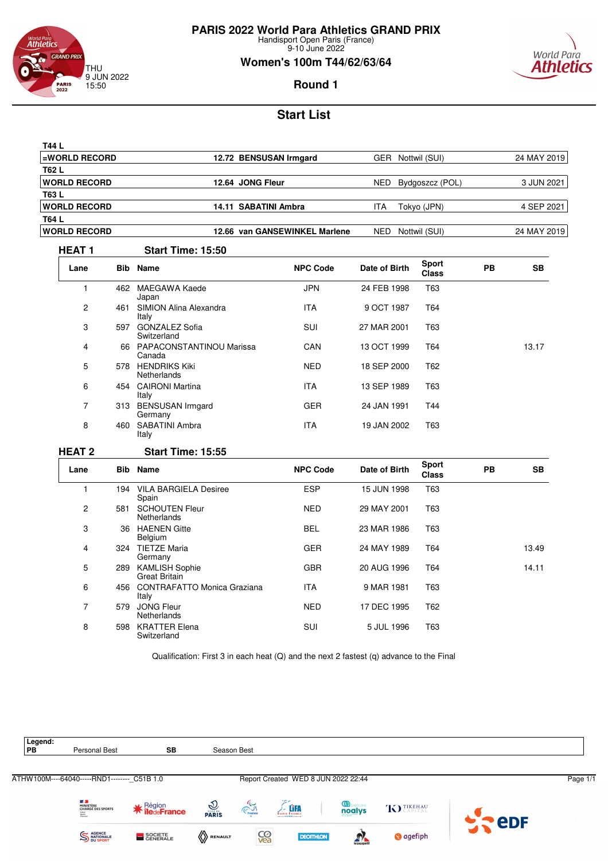![](_page_43_Picture_0.jpeg)

**PARIS 2022 World Para Athletics GRAND PRIX**

Handisport Open Paris (France) 9-10 June 2022

### **Women's 100m T44/62/63/64**

![](_page_43_Picture_4.jpeg)

**Round 1**

# **Start List**

| T44 L                |                               |                         |             |
|----------------------|-------------------------------|-------------------------|-------------|
| <b>EWORLD RECORD</b> | 12.72 BENSUSAN Irmgard        | GER<br>Nottwil (SUI)    | 24 MAY 2019 |
| T62 L                |                               |                         |             |
| <b>IWORLD RECORD</b> | 12.64 JONG Fleur              | NED.<br>Bydgoszcz (POL) | 3 JUN 2021  |
| T63 L                |                               |                         |             |
| <b>IWORLD RECORD</b> | 14.11 SABATINI Ambra          | ITA.<br>Tokyo (JPN)     | 4 SEP 2021  |
| T64 L                |                               |                         |             |
| <b>IWORLD RECORD</b> | 12.66 van GANSEWINKEL Marlene | Nottwil (SUI)<br>NED    | 24 MAY 2019 |
|                      |                               |                         |             |

#### **HEAT 1 Start Time: 15:50**

| Lane           |     | <b>Bib</b> Name                      | <b>NPC Code</b> | Date of Birth | <b>Sport</b><br><b>Class</b> | <b>PB</b> | <b>SB</b> |
|----------------|-----|--------------------------------------|-----------------|---------------|------------------------------|-----------|-----------|
|                | 462 | MAEGAWA Kaede<br>Japan               | <b>JPN</b>      | 24 FEB 1998   | T63                          |           |           |
| $\overline{c}$ | 461 | SIMION Alina Alexandra<br>Italy      | <b>ITA</b>      | 9 OCT 1987    | T64                          |           |           |
| 3              | 597 | <b>GONZALEZ Sofia</b><br>Switzerland | SUI             | 27 MAR 2001   | T63                          |           |           |
| 4              | 66  | PAPACONSTANTINOU Marissa<br>Canada   | CAN             | 13 OCT 1999   | T64                          |           | 13.17     |
| 5              | 578 | <b>HENDRIKS Kiki</b><br>Netherlands  | <b>NED</b>      | 18 SEP 2000   | T62                          |           |           |
| 6              | 454 | <b>CAIRONI Martina</b><br>Italy      | <b>ITA</b>      | 13 SEP 1989   | T63                          |           |           |
| 7              | 313 | <b>BENSUSAN Irmgard</b><br>Germany   | <b>GER</b>      | 24 JAN 1991   | T44                          |           |           |
| 8              | 460 | SABATINI Ambra<br>Italy              | <b>ITA</b>      | 19 JAN 2002   | T63                          |           |           |

#### **HEAT 2 Start Time: 15:55**

| Lane           |     | <b>Bib</b> Name                               | <b>NPC Code</b> | Date of Birth | <b>Sport</b><br><b>Class</b> | PB | SB    |
|----------------|-----|-----------------------------------------------|-----------------|---------------|------------------------------|----|-------|
|                | 194 | <b>VILA BARGIELA Desiree</b><br>Spain         | <b>ESP</b>      | 15 JUN 1998   | T63                          |    |       |
| $\overline{c}$ | 581 | <b>SCHOUTEN Fleur</b><br><b>Netherlands</b>   | <b>NED</b>      | 29 MAY 2001   | T63                          |    |       |
| 3              | 36  | <b>HAENEN Gitte</b><br>Belgium                | <b>BEL</b>      | 23 MAR 1986   | T63                          |    |       |
| 4              | 324 | <b>TIETZE Maria</b><br>Germany                | <b>GER</b>      | 24 MAY 1989   | T64                          |    | 13.49 |
| 5              | 289 | <b>KAMLISH Sophie</b><br><b>Great Britain</b> | <b>GBR</b>      | 20 AUG 1996   | T64                          |    | 14.11 |
| 6              | 456 | <b>CONTRAFATTO Monica Graziana</b><br>Italy   | <b>ITA</b>      | 9 MAR 1981    | T63                          |    |       |
| 7              | 579 | <b>JONG Fleur</b><br><b>Netherlands</b>       | <b>NED</b>      | 17 DEC 1995   | T <sub>62</sub>              |    |       |
| 8              | 598 | <b>KRATTER Elena</b><br>Switzerland           | SUI             | 5 JUL 1996    | T63                          |    |       |

Qualification: First 3 in each heat (Q) and the next 2 fastest (q) advance to the Final

![](_page_43_Picture_13.jpeg)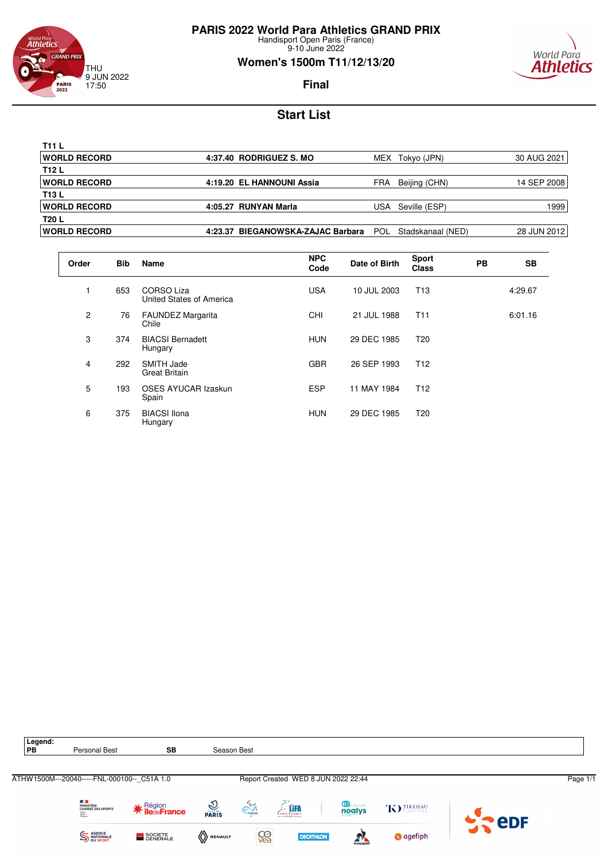![](_page_44_Picture_0.jpeg)

#### world Para<br>**Athletics GRAND PRIX** THU 9 JUN 2022 17:50 **PARIS**<br>2022

### **Women's 1500m T11/12/13/20**

![](_page_44_Picture_4.jpeg)

**Final**

| T11 L                |         |                                  |            |                   |              |
|----------------------|---------|----------------------------------|------------|-------------------|--------------|
| <b>WORLD RECORD</b>  |         | 4:37.40 RODRIGUEZ S. MO          | MEX        | Tokyo (JPN)       | 30 AUG 2021  |
| T12 L                |         |                                  |            |                   |              |
| <b>WORLD RECORD</b>  |         | 4:19.20 EL HANNOUNI Assia        | FRA        | Beijing (CHN)     | 14 SEP 20081 |
| T13 L                |         |                                  |            |                   |              |
| <b>WORLD RECORD</b>  |         | 4:05.27 RUNYAN Marla             | USA        | Seville (ESP)     | 1999         |
| T20 L                |         |                                  |            |                   |              |
| <b>IWORLD RECORD</b> | 4:23.37 | <b>BIEGANOWSKA-ZAJAC Barbara</b> | <b>POL</b> | Stadskanaal (NED) | 28 JUN 2012  |

| Order | <b>Bib</b> | <b>Name</b>                                   | <b>NPC</b><br>Code | Date of Birth | <b>Sport</b><br><b>Class</b> | <b>PB</b> | <b>SB</b> |
|-------|------------|-----------------------------------------------|--------------------|---------------|------------------------------|-----------|-----------|
|       | 653        | <b>CORSO Liza</b><br>United States of America | <b>USA</b>         | 10 JUL 2003   | T <sub>13</sub>              |           | 4:29.67   |
| 2     | 76         | <b>FAUNDEZ Margarita</b><br>Chile             | <b>CHI</b>         | 21 JUL 1988   | T <sub>11</sub>              |           | 6:01.16   |
| 3     | 374        | <b>BIACSI Bernadett</b><br>Hungary            | <b>HUN</b>         | 29 DEC 1985   | T <sub>20</sub>              |           |           |
| 4     | 292        | SMITH Jade<br><b>Great Britain</b>            | <b>GBR</b>         | 26 SEP 1993   | T <sub>12</sub>              |           |           |
| 5     | 193        | <b>OSES AYUCAR Izaskun</b><br>Spain           | <b>ESP</b>         | 11 MAY 1984   | T <sub>12</sub>              |           |           |
| 6     | 375        | <b>BIACSI</b> Ilona<br>Hungary                | <b>HUN</b>         | 29 DEC 1985   | T20                          |           |           |

![](_page_44_Figure_9.jpeg)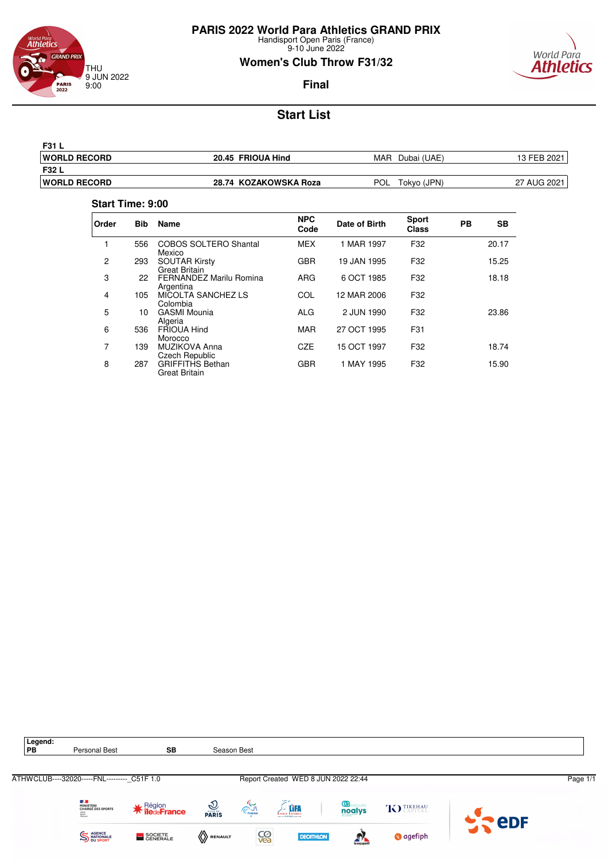![](_page_45_Picture_0.jpeg)

9-10 June 2022

# **Women's Club Throw F31/32**

![](_page_45_Picture_4.jpeg)

### **Final**

# **Start List**

| <b>F31 L</b>         |                       |                     |             |
|----------------------|-----------------------|---------------------|-------------|
| <b>IWORLD RECORD</b> | 20.45 FRIOUA Hind     | MAR<br>Dubai (UAE)  | 13 FEB 2021 |
| <b>F32 L</b>         |                       |                     |             |
| <b>IWORLD RECORD</b> | 28.74 KOZAKOWSKA Roza | POL.<br>Tokyo (JPN) | 27 AUG 2021 |

#### **Start Time: 9:00**

| Order          | <b>Bib</b> | <b>Name</b>                                  | <b>NPC</b><br>Code | Date of Birth | <b>Sport</b><br><b>Class</b> | PB | <b>SB</b> |
|----------------|------------|----------------------------------------------|--------------------|---------------|------------------------------|----|-----------|
| 1              | 556        | <b>COBOS SOLTERO Shantal</b><br>Mexico       | <b>MEX</b>         | 1 MAR 1997    | F32                          |    | 20.17     |
| $\overline{2}$ | 293        | <b>SOUTAR Kirsty</b><br><b>Great Britain</b> | <b>GBR</b>         | 19 JAN 1995   | F32                          |    | 15.25     |
| 3              | 22         | FERNANDEZ Marily Romina<br>Argentina         | <b>ARG</b>         | 6 OCT 1985    | F32                          |    | 18.18     |
| 4              | 105        | MICOLTA SANCHEZ LS<br>Colombia               | COL                | 12 MAR 2006   | F32                          |    |           |
| 5              | 10         | <b>GASMI Mounia</b><br>Algeria               | ALG                | 2 JUN 1990    | F32                          |    | 23.86     |
| 6              | 536        | FRIOUA Hind<br>Morocco                       | <b>MAR</b>         | 27 OCT 1995   | F31                          |    |           |
| 7              | 139        | MUZIKOVA Anna<br>Czech Republic              | <b>CZE</b>         | 15 OCT 1997   | F32                          |    | 18.74     |
| 8              | 287        | <b>GRIFFITHS Bethan</b><br>Great Britain     | <b>GBR</b>         | 1 MAY 1995    | F32                          |    | 15.90     |

![](_page_45_Picture_10.jpeg)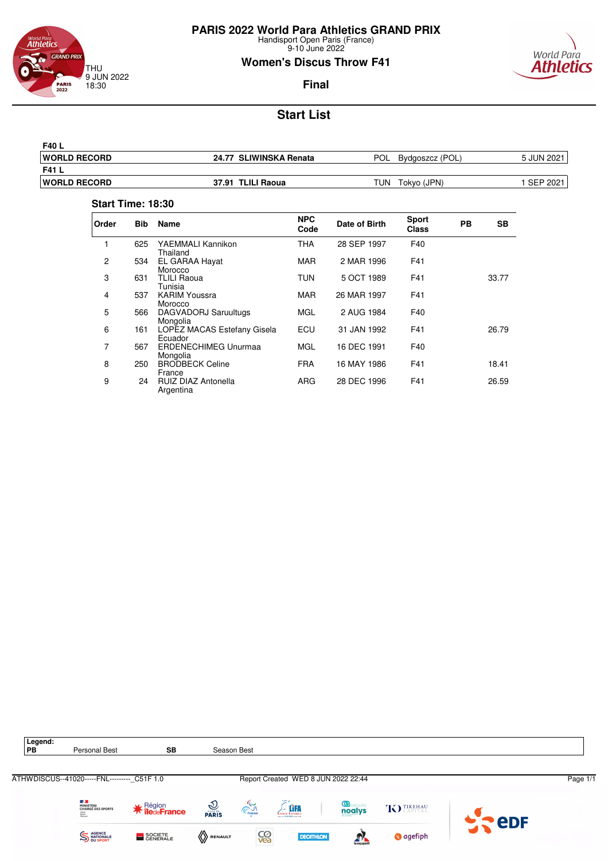![](_page_46_Picture_0.jpeg)

9-10 June 2022

### **Women's Discus Throw F41**

![](_page_46_Picture_4.jpeg)

### **Final**

# **Start List**

| <b>IWORLD RECORD</b> | 24.77 SLIWINSKA Renata<br><b>POL</b> | Bydgoszcz (POL) | 5 JUN 2021 |
|----------------------|--------------------------------------|-----------------|------------|
| F41 L                |                                      |                 |            |
| <b>IWORLD RECORD</b> | TUN<br>37.91 TLILI Raoua             | Tokvo (JPN)     | . SEP 2021 |

#### **Start Time: 18:30**

| Order          | <b>Bib</b> | <b>Name</b>                             | <b>NPC</b><br>Code | Date of Birth | <b>Sport</b><br><b>Class</b> | PB | SВ    |
|----------------|------------|-----------------------------------------|--------------------|---------------|------------------------------|----|-------|
|                | 625        | YAEMMALI Kannikon<br>Thailand           | <b>THA</b>         | 28 SEP 1997   | F40                          |    |       |
| $\overline{c}$ | 534        | EL GARAA Hayat<br>Morocco               | <b>MAR</b>         | 2 MAR 1996    | F41                          |    |       |
| 3              | 631        | <b>TLILI Raoua</b><br>Tunisia           | TUN                | 5 OCT 1989    | F41                          |    | 33.77 |
| 4              | 537        | <b>KARIM Youssra</b><br>Morocco         | <b>MAR</b>         | 26 MAR 1997   | F41                          |    |       |
| 5              | 566        | DAGVADORJ Saruultugs<br>Mongolia        | <b>MGL</b>         | 2 AUG 1984    | F40                          |    |       |
| 6              | 161        | LOPEZ MACAS Estefany Gisela<br>Ecuador  | ECU                | 31 JAN 1992   | F41                          |    | 26.79 |
| 7              | 567        | <b>ERDENECHIMEG Unurmaa</b><br>Mongolia | <b>MGL</b>         | 16 DEC 1991   | F40                          |    |       |
| 8              | 250        | <b>BRODBECK Celine</b><br>France        | <b>FRA</b>         | 16 MAY 1986   | F41                          |    | 18.41 |
| 9              | 24         | <b>RUIZ DIAZ Antonella</b><br>Argentina | <b>ARG</b>         | 28 DEC 1996   | F41                          |    | 26.59 |

![](_page_46_Figure_10.jpeg)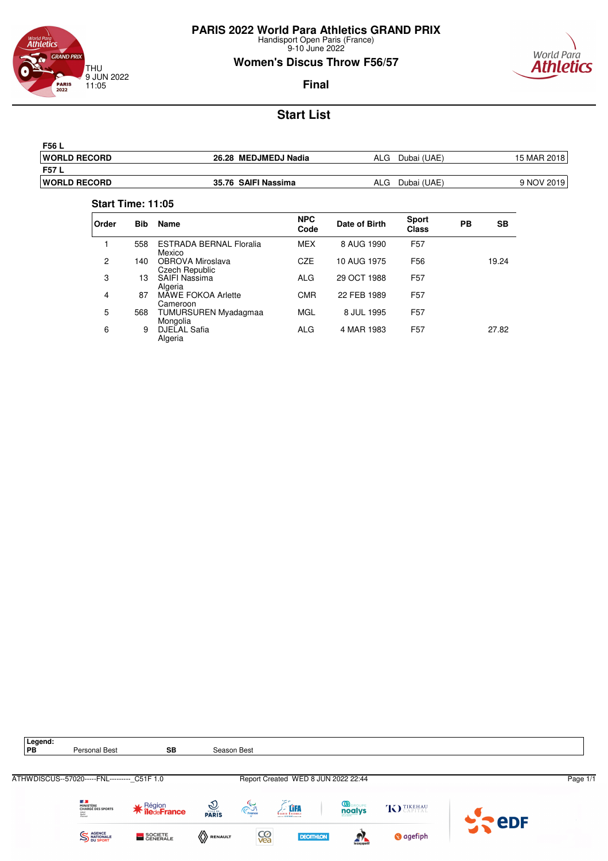![](_page_47_Picture_0.jpeg)

9-10 June 2022

### **Women's Discus Throw F56/57**

![](_page_47_Picture_4.jpeg)

**Final**

# **Start List**

| F56 L                |                      |                    |             |
|----------------------|----------------------|--------------------|-------------|
| <b>IWORLD RECORD</b> | 26.28 MEDJMEDJ Nadia | ALG<br>Dubai (UAE) | 15 MAR 2018 |
| F57 L                |                      |                    |             |
| <b>IWORLD RECORD</b> | 35.76 SAIFI Nassima  | ALG<br>Dubai (UAE) | 9 NOV 2019  |

#### **Start Time: 11:05**

| Order | <b>Bib</b> | <b>Name</b>                              | <b>NPC</b><br>Code | Date of Birth | <b>Sport</b><br><b>Class</b> | PB | SВ    |
|-------|------------|------------------------------------------|--------------------|---------------|------------------------------|----|-------|
|       | 558        | <b>ESTRADA BERNAL Floralia</b><br>Mexico | <b>MEX</b>         | 8 AUG 1990    | F <sub>57</sub>              |    |       |
| 2     | 140        | OBROVA Miroslava<br>Czech Republic       | <b>CZE</b>         | 10 AUG 1975   | F <sub>56</sub>              |    | 19.24 |
| 3     | 13         | <b>SAIFI Nassima</b><br>Algeria          | ALG                | 29 OCT 1988   | F <sub>57</sub>              |    |       |
| 4     | 87         | MÂWE FOKOA Arlette<br>Cameroon           | <b>CMR</b>         | 22 FEB 1989   | F <sub>57</sub>              |    |       |
| 5     | 568        | TUMURSUREN Myadagmaa<br>Mongolia         | <b>MGL</b>         | 8 JUL 1995    | F <sub>57</sub>              |    |       |
| 6     | 9          | <b>DJELAL Safia</b><br>Algeria           | ALG                | 4 MAR 1983    | F <sub>57</sub>              |    | 27.82 |

![](_page_47_Picture_10.jpeg)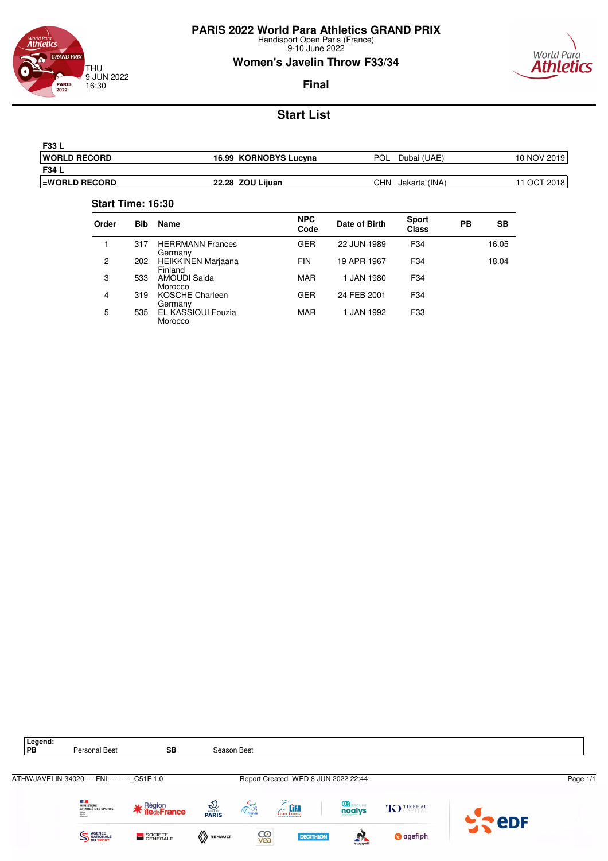![](_page_48_Picture_0.jpeg)

9-10 June 2022

### **Women's Javelin Throw F33/34**

![](_page_48_Picture_4.jpeg)

**Final**

# **Start List**

| <b>F33 L</b>          |                       |                      |             |
|-----------------------|-----------------------|----------------------|-------------|
| <b>IWORLD RECORD</b>  | 16.99 KORNOBYS Lucyna | POL<br>Dubai (UAE)   | 10 NOV 2019 |
| F34 L                 |                       |                      |             |
| <b>LEWORLD RECORD</b> | 22.28 ZOU Lijuan      | CHN<br>Jakarta (INA) | 11 OCT 2018 |

#### **Start Time: 16:30**

| Order | <b>Bib</b> | Name                                 | <b>NPC</b><br>Code | Date of Birth | <b>Sport</b><br><b>Class</b> | PВ | <b>SB</b> |
|-------|------------|--------------------------------------|--------------------|---------------|------------------------------|----|-----------|
|       | 317        | <b>HERRMANN Frances</b><br>Germany   | <b>GER</b>         | 22 JUN 1989   | F34                          |    | 16.05     |
| 2     | 202        | <b>HEIKKINEN Marjaana</b><br>Finland | <b>FIN</b>         | 19 APR 1967   | F34                          |    | 18.04     |
| 3     | 533        | AMOUDI Saida<br>Morocco              | <b>MAR</b>         | 1 JAN 1980    | F <sub>34</sub>              |    |           |
| 4     | 319        | KOSCHE Charleen<br>Germany           | GER                | 24 FEB 2001   | F34                          |    |           |
| 5     | 535        | EL KASSIOUI Fouzia<br>Morocco        | <b>MAR</b>         | 1 JAN 1992    | F33                          |    |           |

![](_page_48_Picture_10.jpeg)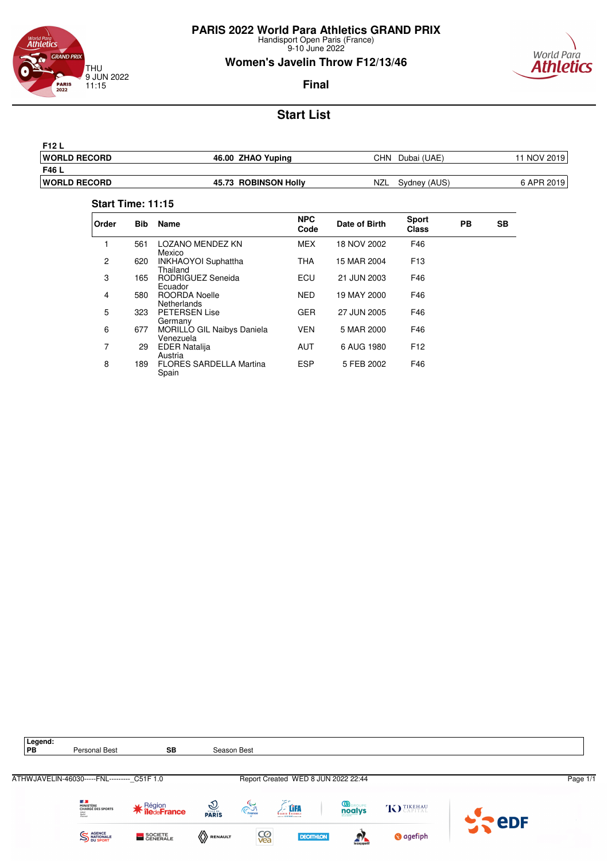![](_page_49_Picture_0.jpeg)

9-10 June 2022

# **Women's Javelin Throw F12/13/46**

![](_page_49_Picture_4.jpeg)

### **Final**

# **Start List**

| <b>F12 L</b>        |                      |                            |             |
|---------------------|----------------------|----------------------------|-------------|
| <b>WORLD RECORD</b> | 46.00 ZHAO Yuping    | Dubai (UAE)<br>CHN         | 11 NOV 2019 |
| F46 L               |                      |                            |             |
| <b>WORLD RECORD</b> | 45.73 ROBINSON Holly | <b>NZL</b><br>Sydney (AUS) | 6 APR 2019  |
|                     |                      |                            |             |

#### **Start Time: 11:15**

| Order | <b>Bib</b> | <b>Name</b>                                    | <b>NPC</b><br>Code | Date of Birth | <b>Sport</b><br><b>Class</b> | <b>PB</b> | SB |
|-------|------------|------------------------------------------------|--------------------|---------------|------------------------------|-----------|----|
| 1     | 561        | <b>LOZANO MENDEZ KN</b><br>Mexico              | <b>MEX</b>         | 18 NOV 2002   | F46                          |           |    |
| 2     | 620        | INKHAOYOI Suphattha<br>Thailand                | <b>THA</b>         | 15 MAR 2004   | F <sub>13</sub>              |           |    |
| 3     | 165        | RODRIGUEZ Seneida<br>Ecuador                   | ECU                | 21 JUN 2003   | F46                          |           |    |
| 4     | 580        | ROORDA Noelle<br><b>Netherlands</b>            | <b>NED</b>         | 19 MAY 2000   | F46                          |           |    |
| 5     | 323        | <b>PETERSEN Lise</b><br>Germany                | <b>GER</b>         | 27 JUN 2005   | F46                          |           |    |
| 6     | 677        | <b>MORILLO GIL Naibys Daniela</b><br>Venezuela | <b>VEN</b>         | 5 MAR 2000    | F46                          |           |    |
| 7     | 29         | <b>EDER Natalija</b><br>Austria                | <b>AUT</b>         | 6 AUG 1980    | F <sub>12</sub>              |           |    |
| 8     | 189        | <b>FLORES SARDELLA Martina</b><br>Spain        | <b>ESP</b>         | 5 FEB 2002    | F46                          |           |    |

![](_page_49_Picture_10.jpeg)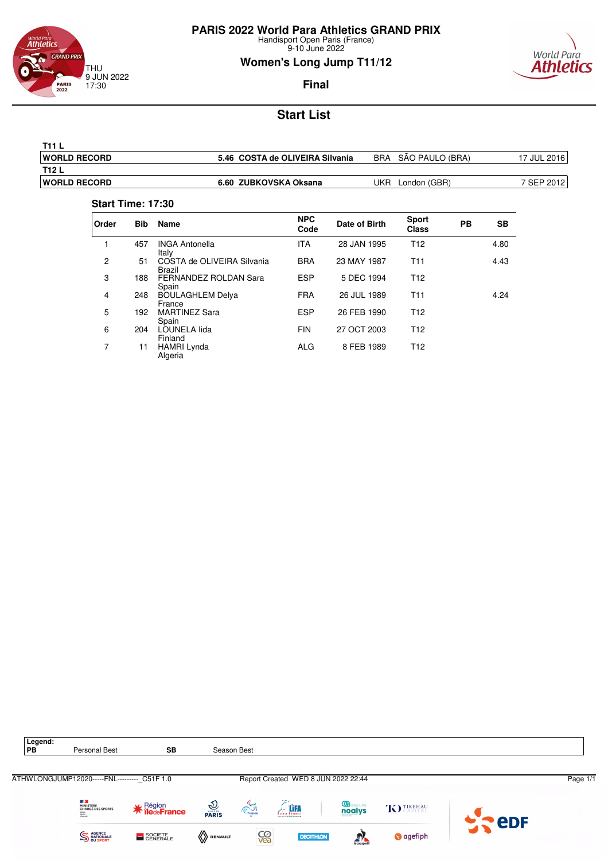![](_page_50_Picture_0.jpeg)

9-10 June 2022

### **Women's Long Jump T11/12**

![](_page_50_Picture_4.jpeg)

### **Final**

# **Start List**

| T11                  |                                 |                               |              |
|----------------------|---------------------------------|-------------------------------|--------------|
| <b>IWORLD RECORD</b> | 5.46 COSTA de OLIVEIRA Silvania | SÃO PAULO (BRA)<br><b>BRA</b> | 17 JUL 20161 |
| T12 L                |                                 |                               |              |
| <b>IWORLD RECORD</b> | 6.60 ZUBKOVSKA Oksana           | UKR<br>London (GBR)           | 7 SEP 2012   |

#### **Start Time: 17:30**

| Order | <b>Bib</b> | Name                                  | <b>NPC</b><br>Code | Date of Birth | <b>Sport</b><br><b>Class</b> | <b>PB</b> | <b>SB</b> |
|-------|------------|---------------------------------------|--------------------|---------------|------------------------------|-----------|-----------|
|       | 457        | <b>INGA Antonella</b><br>Italy        | <b>ITA</b>         | 28 JAN 1995   | T <sub>12</sub>              |           | 4.80      |
| 2     | 51         | COSTA de OLIVEIRA Silvania<br>Brazil  | <b>BRA</b>         | 23 MAY 1987   | T11                          |           | 4.43      |
| 3     | 188        | <b>FERNANDEZ ROLDAN Sara</b><br>Spain | <b>ESP</b>         | 5 DEC 1994    | T <sub>12</sub>              |           |           |
| 4     | 248        | <b>BOULAGHLEM Delya</b><br>France     | <b>FRA</b>         | 26 JUL 1989   | T <sub>11</sub>              |           | 4.24      |
| 5     | 192        | <b>MARTINEZ Sara</b><br>Spain         | <b>ESP</b>         | 26 FEB 1990   | T <sub>12</sub>              |           |           |
| 6     | 204        | LOUNELA lida<br>Finland               | <b>FIN</b>         | 27 OCT 2003   | T <sub>12</sub>              |           |           |
| 7     | 11         | <b>HAMRI Lynda</b><br>Algeria         | ALG                | 8 FEB 1989    | T <sub>12</sub>              |           |           |

![](_page_50_Picture_10.jpeg)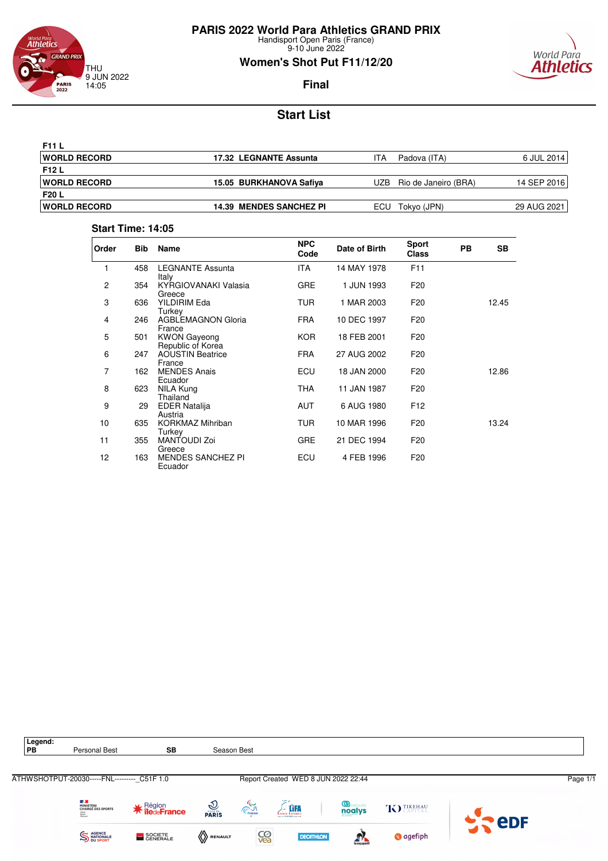![](_page_51_Picture_0.jpeg)

### Äthletics **GRAND PRIX** THU 9 JUN 2022 14:05 **PARIS**<br>2022

### **Women's Shot Put F11/12/20**

![](_page_51_Picture_4.jpeg)

### **Final**

# **Start List**

| <b>F11 L</b>         |                                |                     |                      |             |
|----------------------|--------------------------------|---------------------|----------------------|-------------|
| <b>IWORLD RECORD</b> | 17.32 LEGNANTE Assunta         | ITA<br>Padova (ITA) |                      | 6 JUL 2014  |
| <b>F12 L</b>         |                                |                     |                      |             |
| <b>IWORLD RECORD</b> | 15.05 BURKHANOVA Safiya        | UZB.                | Rio de Janeiro (BRA) | 14 SEP 2016 |
| <b>F20 L</b>         |                                |                     |                      |             |
| <b>IWORLD RECORD</b> | <b>14.39 MENDES SANCHEZ PI</b> | Tokyo (JPN)<br>ECU. |                      | 29 AUG 2021 |

### **Start Time: 14:05**

| Order          | <b>Bib</b> | Name                                     | <b>NPC</b><br>Code | Date of Birth | <b>Sport</b><br><b>Class</b> | <b>PB</b> | <b>SB</b> |
|----------------|------------|------------------------------------------|--------------------|---------------|------------------------------|-----------|-----------|
| 1              | 458        | <b>LEGNANTE Assunta</b><br>Italy         | <b>ITA</b>         | 14 MAY 1978   | F <sub>11</sub>              |           |           |
| $\overline{c}$ | 354        | KYRGIOVANAKI Valasia<br>Greece           | <b>GRE</b>         | 1 JUN 1993    | F <sub>20</sub>              |           |           |
| 3              | 636        | YILDIRIM Eda<br>Turkey                   | <b>TUR</b>         | 1 MAR 2003    | F <sub>20</sub>              |           | 12.45     |
| 4              | 246        | <b>AGBLEMAGNON Gloria</b><br>France      | <b>FRA</b>         | 10 DEC 1997   | F <sub>20</sub>              |           |           |
| 5              | 501        | <b>KWON Gayeong</b><br>Republic of Korea | <b>KOR</b>         | 18 FEB 2001   | F <sub>20</sub>              |           |           |
| 6              | 247        | <b>AOUSTIN Beatrice</b><br>France        | <b>FRA</b>         | 27 AUG 2002   | F <sub>20</sub>              |           |           |
| 7              | 162        | <b>MENDES Anais</b><br>Ecuador           | ECU                | 18 JAN 2000   | F <sub>20</sub>              |           | 12.86     |
| 8              | 623        | NILA Kung<br>Thailand                    | <b>THA</b>         | 11 JAN 1987   | F <sub>20</sub>              |           |           |
| 9              | 29         | <b>EDER Natalija</b><br>Austria          | <b>AUT</b>         | 6 AUG 1980    | F <sub>12</sub>              |           |           |
| 10             | 635        | <b>KORKMAZ Mihriban</b><br>Turkey        | <b>TUR</b>         | 10 MAR 1996   | F <sub>20</sub>              |           | 13.24     |
| 11             | 355        | MANTOUDI Zoi<br>Greece                   | <b>GRE</b>         | 21 DEC 1994   | F <sub>20</sub>              |           |           |
| 12             | 163        | <b>MENDES SANCHEZ PI</b><br>Ecuador      | ECU                | 4 FEB 1996    | F <sub>20</sub>              |           |           |

![](_page_51_Figure_10.jpeg)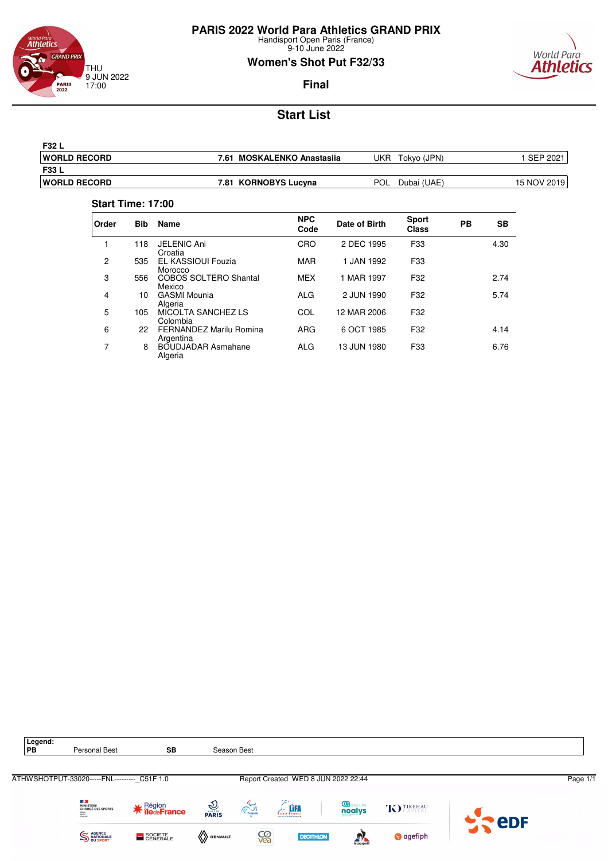![](_page_52_Picture_0.jpeg)

9-10 June 2022

### **Women's Shot Put F32/33**

![](_page_52_Picture_4.jpeg)

### **Final**

# **Start List**

| <b>F32 L</b>         |                                      |                           |                    |
|----------------------|--------------------------------------|---------------------------|--------------------|
| <b>IWORLD RECORD</b> | <b>MOSKALENKO Anastasija</b><br>7.61 | JKR<br>Tokvo (JPN)        | <b>SEP</b><br>2021 |
| <b>F33 L</b>         |                                      |                           |                    |
| <b>IWORLD RECORD</b> | 7.81 KORNOBYS Lucyna                 | <b>POL</b><br>Dubai (UAE) | 15 NOV 2019        |

#### **Start Time: 17:00**

| Order | <b>Bib</b> | <b>Name</b>                            | <b>NPC</b><br>Code | Date of Birth | <b>Sport</b><br>Class | PB | <b>SB</b> |
|-------|------------|----------------------------------------|--------------------|---------------|-----------------------|----|-----------|
|       | 118        | <b>JELENIC Ani</b><br>Croatia          | CRO                | 2 DEC 1995    | F33                   |    | 4.30      |
| 2     | 535        | <b>EL KASSIOUI Fouzia</b><br>Morocco   | <b>MAR</b>         | 1 JAN 1992    | F33                   |    |           |
| 3     | 556        | <b>COBOS SOLTERO Shantal</b><br>Mexico | <b>MEX</b>         | 1 MAR 1997    | F32                   |    | 2.74      |
| 4     | 10         | <b>GASMI Mounia</b><br>Algeria         | <b>ALG</b>         | 2 JUN 1990    | F32                   |    | 5.74      |
| 5     | 105        | MICOLTA SANCHEZ LS<br>Colombia         | COL                | 12 MAR 2006   | F32                   |    |           |
| 6     | 22         | FERNANDEZ Marilu Romina<br>Argentina   | ARG                | 6 OCT 1985    | F32                   |    | 4.14      |
| 7     | 8          | BOUDJADAR Asmahane<br>Algeria          | <b>ALG</b>         | 13 JUN 1980   | F33                   |    | 6.76      |

![](_page_52_Picture_10.jpeg)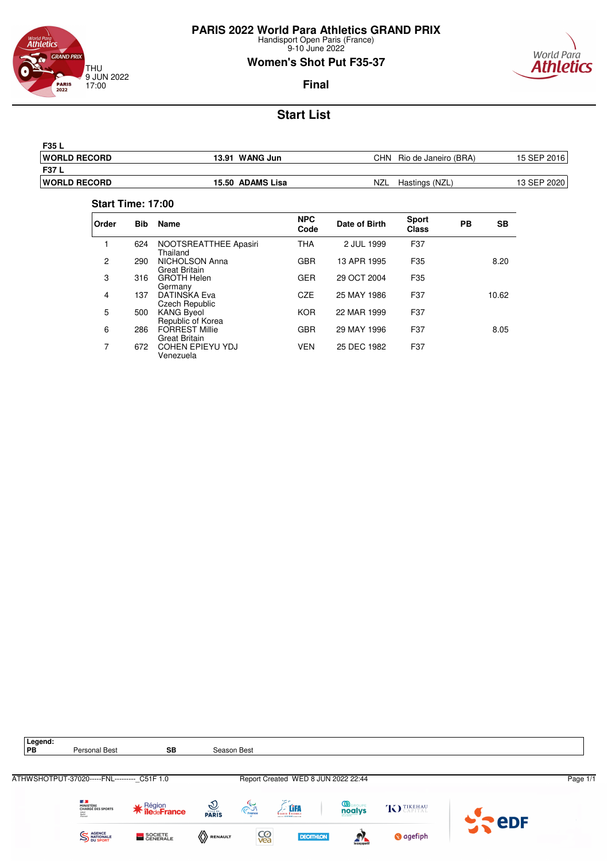![](_page_53_Picture_0.jpeg)

9-10 June 2022

# **Women's Shot Put F35-37**

![](_page_53_Picture_4.jpeg)

### **Final**

# **Start List**

| <b>F35 L</b>         |                   |                              |             |
|----------------------|-------------------|------------------------------|-------------|
| <b>IWORLD RECORD</b> | WANG Jun<br>13.91 | CHN<br>Rio de Janeiro (BRA)  | 15 SEP 2016 |
| <b>F37 L</b>         |                   |                              |             |
| <b>IWORLD RECORD</b> | 15.50 ADAMS Lisa  | <b>NZL</b><br>Hastings (NZL, | 13 SEP 2020 |

#### **Start Time: 17:00**

| Order | <b>Bib</b> | Name                                          | <b>NPC</b><br>Code | Date of Birth | <b>Sport</b><br><b>Class</b> | PB | SВ    |
|-------|------------|-----------------------------------------------|--------------------|---------------|------------------------------|----|-------|
| 1     | 624        | NOOTSREATTHEE Apasiri<br>Thailand             | <b>THA</b>         | 2 JUL 1999    | F37                          |    |       |
| 2     | 290        | NICHOLSON Anna<br><b>Great Britain</b>        | <b>GBR</b>         | 13 APR 1995   | F35                          |    | 8.20  |
| 3     | 316        | <b>GROTH Helen</b><br>Germany                 | <b>GER</b>         | 29 OCT 2004   | F35                          |    |       |
| 4     | 137        | DATINSKA Eva<br>Czech Republic                | <b>CZE</b>         | 25 MAY 1986   | F37                          |    | 10.62 |
| 5     | 500        | <b>KANG Byeol</b><br>Republic of Korea        | <b>KOR</b>         | 22 MAR 1999   | F37                          |    |       |
| 6     | 286        | <b>FORREST Millie</b><br><b>Great Britain</b> | <b>GBR</b>         | 29 MAY 1996   | F37                          |    | 8.05  |
| 7     | 672        | <b>COHEN EPIEYU YDJ</b><br>Venezuela          | <b>VEN</b>         | 25 DEC 1982   | F37                          |    |       |

![](_page_53_Figure_10.jpeg)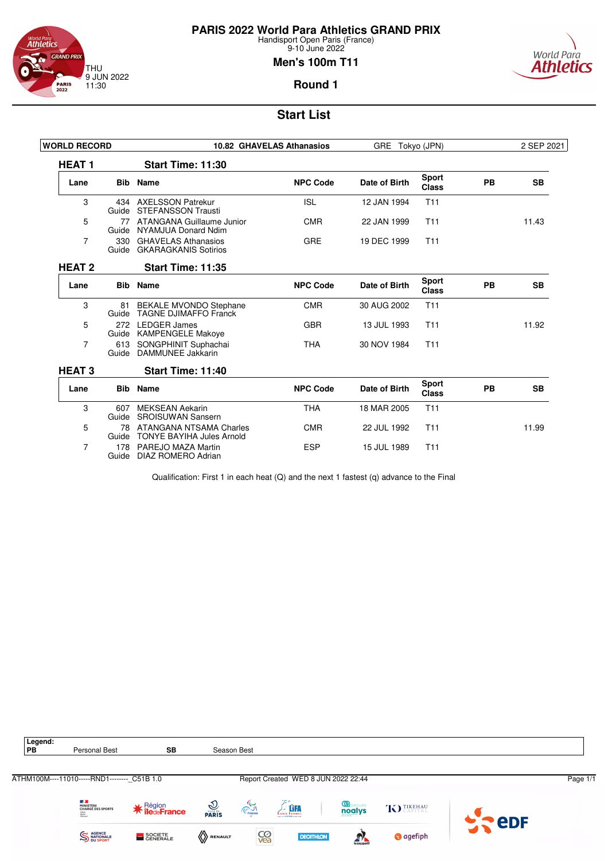![](_page_54_Picture_0.jpeg)

# **PARIS 2022 World Para Athletics GRAND PRIX**

Handisport Open Paris (France) 9-10 June 2022

#### **Men's 100m T11**

![](_page_54_Picture_4.jpeg)

### **Round 1**

### **Start List**

| <b>WORLD RECORD</b> |              |                                                             | 10.82 GHAVELAS Athanasios | GRE Tokyo (JPN) |                              |    | 2 SEP 2021 |
|---------------------|--------------|-------------------------------------------------------------|---------------------------|-----------------|------------------------------|----|------------|
| <b>HEAT1</b>        |              | Start Time: 11:30                                           |                           |                 |                              |    |            |
| Lane                |              | <b>Bib</b> Name                                             | <b>NPC Code</b>           | Date of Birth   | <b>Sport</b><br><b>Class</b> | PB | <b>SB</b>  |
| 3                   | Guide        | 434 AXELSSON Patrekur<br><b>STEFANSSON Trausti</b>          | <b>ISL</b>                | 12 JAN 1994     | T <sub>11</sub>              |    |            |
| 5                   | 77<br>Guide  | ATANGANA Guillaume Junior<br>NYAMJUA Donard Ndim            | <b>CMR</b>                | 22 JAN 1999     | T <sub>11</sub>              |    | 11.43      |
| 7                   | 330<br>Guide | <b>GHAVELAS Athanasios</b><br><b>GKARAGKANIS Sotirios</b>   | <b>GRE</b>                | 19 DEC 1999     | T <sub>11</sub>              |    |            |
| <b>HEAT 2</b>       |              | Start Time: 11:35                                           |                           |                 |                              |    |            |
| Lane                | <b>Bib</b>   | Name                                                        | <b>NPC Code</b>           | Date of Birth   | <b>Sport</b><br><b>Class</b> | PB | <b>SB</b>  |
| 3                   | Guide        | 81 BEKALE MVONDO Stephane<br><b>TAGNE DJIMAFFO Franck</b>   | <b>CMR</b>                | 30 AUG 2002     | T <sub>11</sub>              |    |            |
| 5                   | 272<br>Guide | <b>LEDGER James</b><br><b>KAMPENGELE Makove</b>             | <b>GBR</b>                | 13 JUL 1993     | T <sub>11</sub>              |    | 11.92      |
| 7                   | 613<br>Guide | SONGPHINIT Suphachai<br>DAMMUNEE Jakkarin                   | <b>THA</b>                | 30 NOV 1984     | T11                          |    |            |
| <b>HEAT 3</b>       |              | Start Time: 11:40                                           |                           |                 |                              |    |            |
| Lane                | <b>Bib</b>   | <b>Name</b>                                                 | <b>NPC Code</b>           | Date of Birth   | <b>Sport</b><br><b>Class</b> | PB | <b>SB</b>  |
| 3                   | 607<br>Guide | <b>MEKSEAN Aekarin</b><br><b>SROISUWAN Sansern</b>          | <b>THA</b>                | 18 MAR 2005     | T <sub>11</sub>              |    |            |
| 5                   | 78<br>Guide  | ATANGANA NTSAMA Charles<br><b>TONYE BAYIHA Jules Arnold</b> | <b>CMR</b>                | 22 JUL 1992     | T <sub>11</sub>              |    | 11.99      |
| 7                   | 178<br>Guide | PAREJO MAZA Martin<br>DIAZ ROMERO Adrian                    | <b>ESP</b>                | 15 JUL 1989     | T <sub>11</sub>              |    |            |

Qualification: First 1 in each heat (Q) and the next 1 fastest (q) advance to the Final

![](_page_54_Picture_9.jpeg)